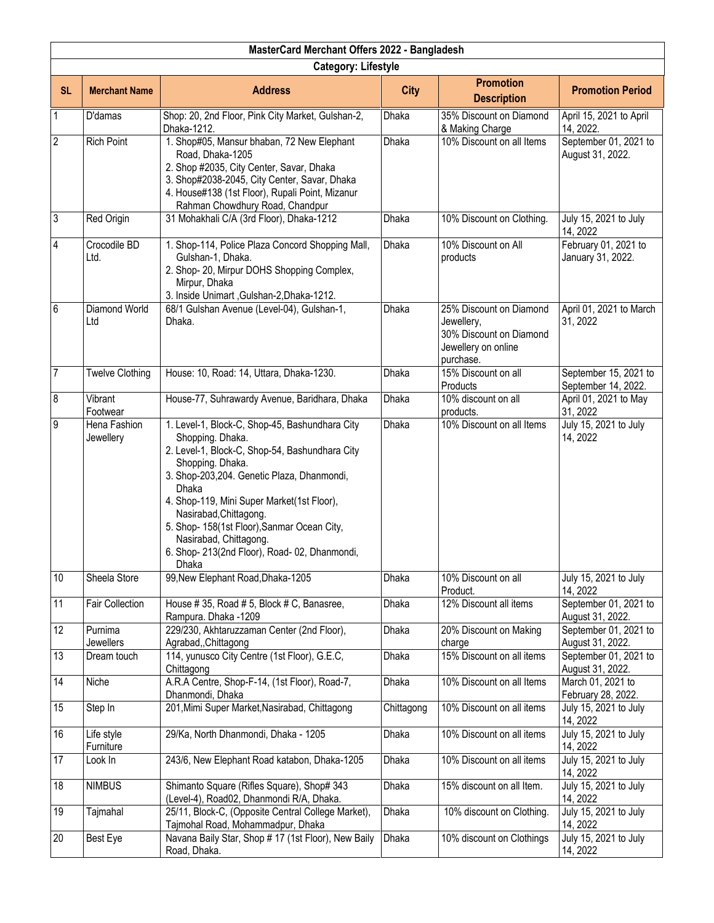| MasterCard Merchant Offers 2022 - Bangladesh |                            |                                                                                                                                                                                                                                                                                                                                                                                                          |              |                                                                                                      |                                              |  |  |
|----------------------------------------------|----------------------------|----------------------------------------------------------------------------------------------------------------------------------------------------------------------------------------------------------------------------------------------------------------------------------------------------------------------------------------------------------------------------------------------------------|--------------|------------------------------------------------------------------------------------------------------|----------------------------------------------|--|--|
|                                              | <b>Category: Lifestyle</b> |                                                                                                                                                                                                                                                                                                                                                                                                          |              |                                                                                                      |                                              |  |  |
| <b>SL</b>                                    | <b>Merchant Name</b>       | <b>Address</b>                                                                                                                                                                                                                                                                                                                                                                                           | <b>City</b>  | <b>Promotion</b><br><b>Description</b>                                                               | <b>Promotion Period</b>                      |  |  |
| $\mathbf{1}$                                 | D'damas                    | Shop: 20, 2nd Floor, Pink City Market, Gulshan-2,<br>Dhaka-1212.                                                                                                                                                                                                                                                                                                                                         | <b>Dhaka</b> | 35% Discount on Diamond<br>& Making Charge                                                           | April 15, 2021 to April<br>14, 2022.         |  |  |
| $\overline{c}$                               | <b>Rich Point</b>          | 1. Shop#05, Mansur bhaban, 72 New Elephant<br>Road, Dhaka-1205<br>2. Shop #2035, City Center, Savar, Dhaka<br>3. Shop#2038-2045, City Center, Savar, Dhaka<br>4. House#138 (1st Floor), Rupali Point, Mizanur<br>Rahman Chowdhury Road, Chandpur                                                                                                                                                         | <b>Dhaka</b> | 10% Discount on all Items                                                                            | September 01, 2021 to<br>August 31, 2022.    |  |  |
| $\sqrt{3}$                                   | Red Origin                 | 31 Mohakhali C/A (3rd Floor), Dhaka-1212                                                                                                                                                                                                                                                                                                                                                                 | Dhaka        | 10% Discount on Clothing.                                                                            | July 15, 2021 to July<br>14, 2022            |  |  |
| 4                                            | Crocodile BD<br>Ltd.       | 1. Shop-114, Police Plaza Concord Shopping Mall,<br>Gulshan-1, Dhaka.<br>2. Shop- 20, Mirpur DOHS Shopping Complex,<br>Mirpur, Dhaka<br>3. Inside Unimart, Gulshan-2, Dhaka-1212.                                                                                                                                                                                                                        | Dhaka        | 10% Discount on All<br>products                                                                      | February 01, 2021 to<br>January 31, 2022.    |  |  |
| 6                                            | Diamond World<br>Ltd       | 68/1 Gulshan Avenue (Level-04), Gulshan-1,<br>Dhaka.                                                                                                                                                                                                                                                                                                                                                     | Dhaka        | 25% Discount on Diamond<br>Jewellery,<br>30% Discount on Diamond<br>Jewellery on online<br>purchase. | April 01, 2021 to March<br>31, 2022          |  |  |
| $\overline{7}$                               | <b>Twelve Clothing</b>     | House: 10, Road: 14, Uttara, Dhaka-1230.                                                                                                                                                                                                                                                                                                                                                                 | Dhaka        | 15% Discount on all<br>Products                                                                      | September 15, 2021 to<br>September 14, 2022. |  |  |
| 8                                            | Vibrant<br>Footwear        | House-77, Suhrawardy Avenue, Baridhara, Dhaka                                                                                                                                                                                                                                                                                                                                                            | Dhaka        | 10% discount on all<br>products.                                                                     | April 01, 2021 to May<br>31, 2022            |  |  |
| 9                                            | Hena Fashion<br>Jewellery  | 1. Level-1, Block-C, Shop-45, Bashundhara City<br>Shopping. Dhaka.<br>2. Level-1, Block-C, Shop-54, Bashundhara City<br>Shopping. Dhaka.<br>3. Shop-203,204. Genetic Plaza, Dhanmondi,<br>Dhaka<br>4. Shop-119, Mini Super Market(1st Floor),<br>Nasirabad, Chittagong.<br>5. Shop- 158(1st Floor), Sanmar Ocean City,<br>Nasirabad, Chittagong.<br>6. Shop-213(2nd Floor), Road-02, Dhanmondi,<br>Dhaka | <b>Dhaka</b> | 10% Discount on all Items                                                                            | July 15, 2021 to July<br>14, 2022            |  |  |
| 10                                           | Sheela Store               | 99, New Elephant Road, Dhaka-1205                                                                                                                                                                                                                                                                                                                                                                        | Dhaka        | 10% Discount on all<br>Product.                                                                      | July 15, 2021 to July<br>14, 2022            |  |  |
| 11                                           | Fair Collection            | House #35, Road #5, Block #C, Banasree,<br>Rampura. Dhaka -1209                                                                                                                                                                                                                                                                                                                                          | Dhaka        | 12% Discount all items                                                                               | September 01, 2021 to<br>August 31, 2022.    |  |  |
| 12                                           | Purnima<br>Jewellers       | 229/230, Akhtaruzzaman Center (2nd Floor),<br>Agrabad, Chittagong                                                                                                                                                                                                                                                                                                                                        | Dhaka        | 20% Discount on Making<br>charge                                                                     | September 01, 2021 to<br>August 31, 2022.    |  |  |
| 13                                           | Dream touch                | 114, yunusco City Centre (1st Floor), G.E.C.<br>Chittagong                                                                                                                                                                                                                                                                                                                                               | Dhaka        | 15% Discount on all items                                                                            | September 01, 2021 to<br>August 31, 2022.    |  |  |
| 14                                           | Niche                      | A.R.A Centre, Shop-F-14, (1st Floor), Road-7,<br>Dhanmondi, Dhaka                                                                                                                                                                                                                                                                                                                                        | Dhaka        | 10% Discount on all Items                                                                            | March 01, 2021 to<br>February 28, 2022.      |  |  |
| 15                                           | Step In                    | 201, Mimi Super Market, Nasirabad, Chittagong                                                                                                                                                                                                                                                                                                                                                            | Chittagong   | 10% Discount on all items                                                                            | July 15, 2021 to July<br>14, 2022            |  |  |
| 16                                           | Life style<br>Furniture    | 29/Ka, North Dhanmondi, Dhaka - 1205                                                                                                                                                                                                                                                                                                                                                                     | Dhaka        | 10% Discount on all items                                                                            | July 15, 2021 to July<br>14, 2022            |  |  |
| 17                                           | Look In                    | 243/6, New Elephant Road katabon, Dhaka-1205                                                                                                                                                                                                                                                                                                                                                             | Dhaka        | 10% Discount on all items                                                                            | July 15, 2021 to July<br>14, 2022            |  |  |
| 18                                           | <b>NIMBUS</b>              | Shimanto Square (Rifles Square), Shop# 343<br>(Level-4), Road02, Dhanmondi R/A, Dhaka.                                                                                                                                                                                                                                                                                                                   | Dhaka        | 15% discount on all Item.                                                                            | July 15, 2021 to July<br>14, 2022            |  |  |
| 19                                           | Tajmahal                   | 25/11, Block-C, (Opposite Central College Market),<br>Tajmohal Road, Mohammadpur, Dhaka                                                                                                                                                                                                                                                                                                                  | Dhaka        | 10% discount on Clothing.                                                                            | July 15, 2021 to July<br>14, 2022            |  |  |
| 20                                           | Best Eye                   | Navana Baily Star, Shop # 17 (1st Floor), New Baily<br>Road, Dhaka.                                                                                                                                                                                                                                                                                                                                      | <b>Dhaka</b> | 10% discount on Clothings                                                                            | July 15, 2021 to July<br>14, 2022            |  |  |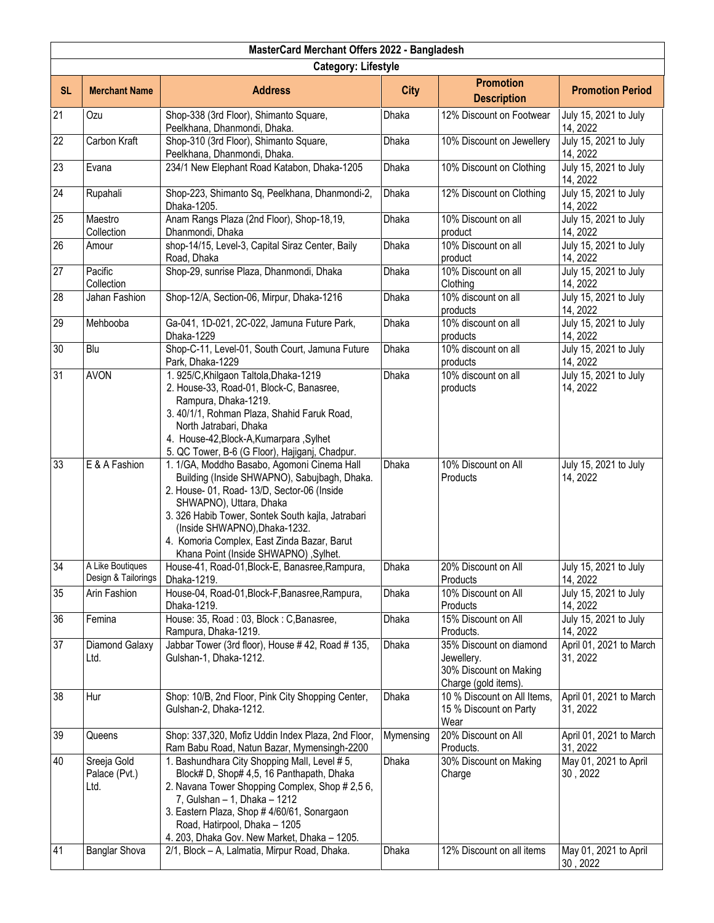| MasterCard Merchant Offers 2022 - Bangladesh |                                                              |                                                                                                                                                                                                                                                                                                                                                                |                |                                                                                         |                                                            |  |
|----------------------------------------------|--------------------------------------------------------------|----------------------------------------------------------------------------------------------------------------------------------------------------------------------------------------------------------------------------------------------------------------------------------------------------------------------------------------------------------------|----------------|-----------------------------------------------------------------------------------------|------------------------------------------------------------|--|
|                                              | <b>Category: Lifestyle</b>                                   |                                                                                                                                                                                                                                                                                                                                                                |                |                                                                                         |                                                            |  |
| <b>SL</b>                                    | <b>Merchant Name</b>                                         | <b>Address</b>                                                                                                                                                                                                                                                                                                                                                 | <b>City</b>    | <b>Promotion</b><br><b>Description</b>                                                  | <b>Promotion Period</b>                                    |  |
| 21                                           | Ozu                                                          | Shop-338 (3rd Floor), Shimanto Square,<br>Peelkhana, Dhanmondi, Dhaka.                                                                                                                                                                                                                                                                                         | Dhaka          | 12% Discount on Footwear                                                                | July 15, 2021 to July<br>14, 2022                          |  |
| $\overline{22}$                              | Carbon Kraft                                                 | Shop-310 (3rd Floor), Shimanto Square,<br>Peelkhana, Dhanmondi, Dhaka.                                                                                                                                                                                                                                                                                         | Dhaka          | 10% Discount on Jewellery                                                               | July 15, 2021 to July<br>14, 2022                          |  |
| 23                                           | Evana                                                        | 234/1 New Elephant Road Katabon, Dhaka-1205                                                                                                                                                                                                                                                                                                                    | Dhaka          | 10% Discount on Clothing                                                                | July 15, 2021 to July<br>14, 2022                          |  |
| 24                                           | Rupahali                                                     | Shop-223, Shimanto Sq, Peelkhana, Dhanmondi-2,<br>Dhaka-1205.                                                                                                                                                                                                                                                                                                  | Dhaka          | 12% Discount on Clothing                                                                | July 15, 2021 to July<br>14, 2022                          |  |
| 25                                           | Maestro<br>Collection                                        | Anam Rangs Plaza (2nd Floor), Shop-18,19,<br>Dhanmondi, Dhaka                                                                                                                                                                                                                                                                                                  | Dhaka          | 10% Discount on all<br>product                                                          | July 15, 2021 to July<br>14, 2022                          |  |
| 26                                           | Amour                                                        | shop-14/15, Level-3, Capital Siraz Center, Baily<br>Road, Dhaka                                                                                                                                                                                                                                                                                                | Dhaka          | 10% Discount on all<br>product                                                          | July 15, 2021 to July<br>14, 2022                          |  |
| 27                                           | Pacific<br>Collection                                        | Shop-29, sunrise Plaza, Dhanmondi, Dhaka                                                                                                                                                                                                                                                                                                                       | Dhaka          | 10% Discount on all<br>Clothing                                                         | July 15, 2021 to July<br>14, 2022                          |  |
| 28                                           | Jahan Fashion                                                | Shop-12/A, Section-06, Mirpur, Dhaka-1216                                                                                                                                                                                                                                                                                                                      | Dhaka          | 10% discount on all<br>products                                                         | July 15, 2021 to July<br>14, 2022                          |  |
| 29                                           | Mehbooba                                                     | Ga-041, 1D-021, 2C-022, Jamuna Future Park,<br>Dhaka-1229                                                                                                                                                                                                                                                                                                      | Dhaka          | 10% discount on all<br>products                                                         | July 15, 2021 to July<br>14, 2022                          |  |
| $\overline{30}$                              | Blu                                                          | Shop-C-11, Level-01, South Court, Jamuna Future<br>Park, Dhaka-1229                                                                                                                                                                                                                                                                                            | Dhaka          | 10% discount on all<br>products                                                         | July 15, 2021 to July<br>14, 2022                          |  |
| 31                                           | <b>AVON</b>                                                  | 1. 925/C, Khilgaon Taltola, Dhaka-1219<br>2. House-33, Road-01, Block-C, Banasree,<br>Rampura, Dhaka-1219.<br>3. 40/1/1, Rohman Plaza, Shahid Faruk Road,<br>North Jatrabari, Dhaka<br>4. House-42, Block-A, Kumarpara, Sylhet<br>5. QC Tower, B-6 (G Floor), Hajiganj, Chadpur.                                                                               | Dhaka          | 10% discount on all<br>products                                                         | July 15, 2021 to July<br>14, 2022                          |  |
| 33                                           | E & A Fashion                                                | 1. 1/GA, Moddho Basabo, Agomoni Cinema Hall<br>Building (Inside SHWAPNO), Sabujbagh, Dhaka.<br>2. House- 01, Road- 13/D, Sector-06 (Inside<br>SHWAPNO), Uttara, Dhaka<br>3. 326 Habib Tower, Sontek South kajla, Jatrabari<br>(Inside SHWAPNO), Dhaka-1232.<br>4. Komoria Complex, East Zinda Bazar, Barut<br>Khana Point (Inside SHWAPNO), Sylhet.            | <b>Dhaka</b>   | 10% Discount on All<br>Products                                                         | July 15, 2021 to July<br>14, 2022                          |  |
| 34                                           | A Like Boutiques<br>Design & Tailorings                      | House-41, Road-01, Block-E, Banasree, Rampura,<br>Dhaka-1219.                                                                                                                                                                                                                                                                                                  | Dhaka          | 20% Discount on All<br>Products                                                         | July 15, 2021 to July<br>14, 2022                          |  |
| 35                                           | <b>Arin Fashion</b>                                          | House-04, Road-01, Block-F, Banasree, Rampura,<br>Dhaka-1219.                                                                                                                                                                                                                                                                                                  | Dhaka          | 10% Discount on All<br>Products                                                         | July 15, 2021 to July<br>14, 2022                          |  |
| 36                                           | Femina                                                       | House: 35, Road: 03, Block: C, Banasree,<br>Rampura, Dhaka-1219.                                                                                                                                                                                                                                                                                               | Dhaka          | 15% Discount on All<br>Products.                                                        | July 15, 2021 to July<br>14, 2022                          |  |
| 37                                           | Diamond Galaxy<br>Ltd.                                       | Jabbar Tower (3rd floor), House #42, Road #135,<br>Gulshan-1, Dhaka-1212.                                                                                                                                                                                                                                                                                      | Dhaka          | 35% Discount on diamond<br>Jewellery.<br>30% Discount on Making<br>Charge (gold items). | April 01, 2021 to March<br>31, 2022                        |  |
| 38                                           | Hur                                                          | Shop: 10/B, 2nd Floor, Pink City Shopping Center,<br>Gulshan-2, Dhaka-1212.                                                                                                                                                                                                                                                                                    | Dhaka          | 10 % Discount on All Items,<br>15 % Discount on Party<br>Wear                           | April 01, 2021 to March<br>31, 2022                        |  |
| 39                                           | Queens                                                       | Shop: 337,320, Mofiz Uddin Index Plaza, 2nd Floor,<br>Ram Babu Road, Natun Bazar, Mymensingh-2200                                                                                                                                                                                                                                                              | Mymensing      | 20% Discount on All<br>Products.                                                        | April 01, 2021 to March<br>31, 2022                        |  |
| 40<br>41                                     | Sreeja Gold<br>Palace (Pvt.)<br>Ltd.<br><b>Banglar Shova</b> | 1. Bashundhara City Shopping Mall, Level # 5,<br>Block# D, Shop# 4,5, 16 Panthapath, Dhaka<br>2. Navana Tower Shopping Complex, Shop # 2,5 6,<br>7, Gulshan - 1, Dhaka - 1212<br>3. Eastern Plaza, Shop # 4/60/61, Sonargaon<br>Road, Hatirpool, Dhaka - 1205<br>4. 203, Dhaka Gov. New Market, Dhaka - 1205.<br>2/1, Block - A, Lalmatia, Mirpur Road, Dhaka. | Dhaka<br>Dhaka | 30% Discount on Making<br>Charge<br>12% Discount on all items                           | May 01, 2021 to April<br>30, 2022<br>May 01, 2021 to April |  |
|                                              |                                                              |                                                                                                                                                                                                                                                                                                                                                                |                |                                                                                         | 30, 2022                                                   |  |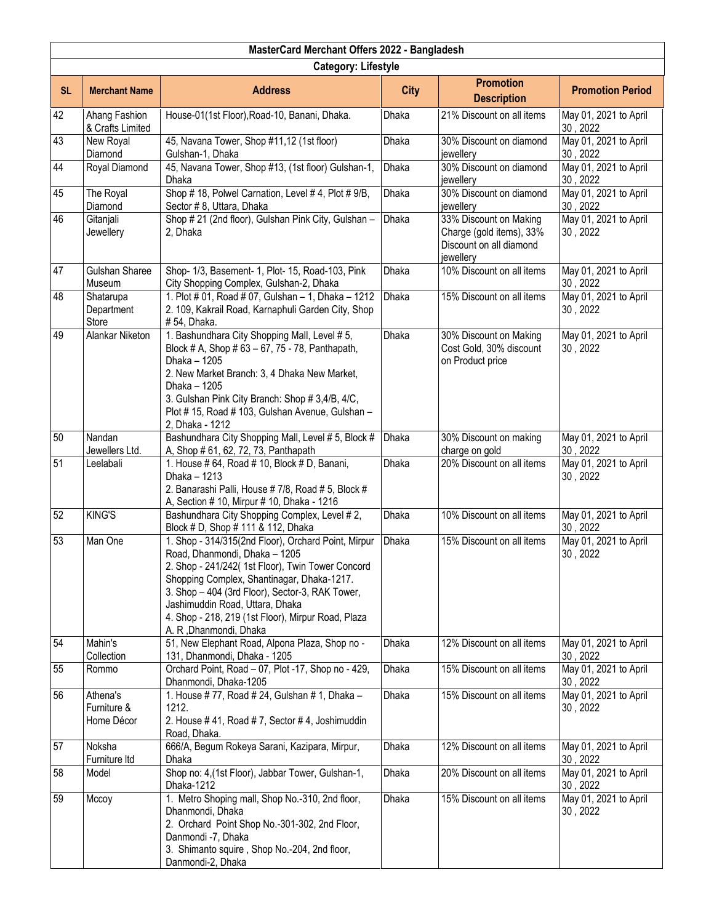|           | MasterCard Merchant Offers 2022 - Bangladesh |                                                                                                                                                                                                                                                                                                                                                                |              |                                                                                            |                                   |  |
|-----------|----------------------------------------------|----------------------------------------------------------------------------------------------------------------------------------------------------------------------------------------------------------------------------------------------------------------------------------------------------------------------------------------------------------------|--------------|--------------------------------------------------------------------------------------------|-----------------------------------|--|
|           | <b>Category: Lifestyle</b>                   |                                                                                                                                                                                                                                                                                                                                                                |              |                                                                                            |                                   |  |
| <b>SL</b> | <b>Merchant Name</b>                         | <b>Address</b>                                                                                                                                                                                                                                                                                                                                                 | <b>City</b>  | <b>Promotion</b><br><b>Description</b>                                                     | <b>Promotion Period</b>           |  |
| 42        | Ahang Fashion<br>& Crafts Limited            | House-01(1st Floor), Road-10, Banani, Dhaka.                                                                                                                                                                                                                                                                                                                   | Dhaka        | 21% Discount on all items                                                                  | May 01, 2021 to April<br>30, 2022 |  |
| 43        | New Royal<br>Diamond                         | 45, Navana Tower, Shop #11,12 (1st floor)<br>Gulshan-1, Dhaka                                                                                                                                                                                                                                                                                                  | Dhaka        | 30% Discount on diamond<br>jewellery                                                       | May 01, 2021 to April<br>30, 2022 |  |
| 44        | Royal Diamond                                | 45, Navana Tower, Shop #13, (1st floor) Gulshan-1,<br><b>Dhaka</b>                                                                                                                                                                                                                                                                                             | Dhaka        | 30% Discount on diamond<br>jewellery                                                       | May 01, 2021 to April<br>30, 2022 |  |
| 45        | The Royal<br>Diamond                         | Shop #18, Polwel Carnation, Level #4, Plot #9/B,<br>Sector #8, Uttara, Dhaka                                                                                                                                                                                                                                                                                   | <b>Dhaka</b> | 30% Discount on diamond<br>jewellery                                                       | May 01, 2021 to April<br>30, 2022 |  |
| 46        | Gitanjali<br>Jewellery                       | Shop #21 (2nd floor), Gulshan Pink City, Gulshan -<br>2, Dhaka                                                                                                                                                                                                                                                                                                 | Dhaka        | 33% Discount on Making<br>Charge (gold items), 33%<br>Discount on all diamond<br>jewellery | May 01, 2021 to April<br>30, 2022 |  |
| 47        | Gulshan Sharee<br>Museum                     | Shop- 1/3, Basement- 1, Plot- 15, Road-103, Pink<br>City Shopping Complex, Gulshan-2, Dhaka                                                                                                                                                                                                                                                                    | Dhaka        | 10% Discount on all items                                                                  | May 01, 2021 to April<br>30, 2022 |  |
| 48        | Shatarupa<br>Department<br>Store             | 1. Plot # 01, Road # 07, Gulshan - 1, Dhaka - 1212<br>2. 109, Kakrail Road, Karnaphuli Garden City, Shop<br># 54, Dhaka.                                                                                                                                                                                                                                       | Dhaka        | 15% Discount on all items                                                                  | May 01, 2021 to April<br>30, 2022 |  |
| 49        | Alankar Niketon                              | 1. Bashundhara City Shopping Mall, Level # 5,<br>Block # A, Shop # 63 - 67, 75 - 78, Panthapath,<br>Dhaka - 1205<br>2. New Market Branch: 3, 4 Dhaka New Market,<br>Dhaka - 1205<br>3. Gulshan Pink City Branch: Shop # 3,4/B, 4/C,<br>Plot #15, Road #103, Gulshan Avenue, Gulshan -<br>2, Dhaka - 1212                                                       | Dhaka        | 30% Discount on Making<br>Cost Gold, 30% discount<br>on Product price                      | May 01, 2021 to April<br>30, 2022 |  |
| 50        | Nandan<br>Jewellers Ltd.                     | Bashundhara City Shopping Mall, Level # 5, Block #<br>A, Shop # 61, 62, 72, 73, Panthapath                                                                                                                                                                                                                                                                     | <b>Dhaka</b> | 30% Discount on making<br>charge on gold                                                   | May 01, 2021 to April<br>30, 2022 |  |
| 51        | Leelabali                                    | 1. House # 64, Road # 10, Block # D, Banani,<br>Dhaka - 1213<br>2. Banarashi Palli, House # 7/8, Road # 5, Block #<br>A, Section # 10, Mirpur # 10, Dhaka - 1216                                                                                                                                                                                               | Dhaka        | 20% Discount on all items                                                                  | May 01, 2021 to April<br>30, 2022 |  |
| 52        | <b>KING'S</b>                                | Bashundhara City Shopping Complex, Level #2,<br>Block # D, Shop # 111 & 112, Dhaka                                                                                                                                                                                                                                                                             | <b>Dhaka</b> | 10% Discount on all items                                                                  | May 01, 2021 to April<br>30, 2022 |  |
| 53        | Man One                                      | 1. Shop - 314/315(2nd Floor), Orchard Point, Mirpur<br>Road, Dhanmondi, Dhaka - 1205<br>2. Shop - 241/242( 1st Floor), Twin Tower Concord<br>Shopping Complex, Shantinagar, Dhaka-1217.<br>3. Shop - 404 (3rd Floor), Sector-3, RAK Tower,<br>Jashimuddin Road, Uttara, Dhaka<br>4. Shop - 218, 219 (1st Floor), Mirpur Road, Plaza<br>A. R , Dhanmondi, Dhaka | Dhaka        | 15% Discount on all items                                                                  | May 01, 2021 to April<br>30, 2022 |  |
| 54        | Mahin's<br>Collection                        | 51, New Elephant Road, Alpona Plaza, Shop no -<br>131, Dhanmondi, Dhaka - 1205                                                                                                                                                                                                                                                                                 | Dhaka        | 12% Discount on all items                                                                  | May 01, 2021 to April<br>30, 2022 |  |
| 55        | Rommo                                        | Orchard Point, Road - 07, Plot -17, Shop no - 429,<br>Dhanmondi, Dhaka-1205                                                                                                                                                                                                                                                                                    | Dhaka        | 15% Discount on all items                                                                  | May 01, 2021 to April<br>30, 2022 |  |
| 56        | Athena's<br>Furniture &<br>Home Décor        | 1. House #77, Road #24, Gulshan #1, Dhaka -<br>1212.<br>2. House #41, Road #7, Sector #4, Joshimuddin<br>Road, Dhaka.                                                                                                                                                                                                                                          | Dhaka        | 15% Discount on all items                                                                  | May 01, 2021 to April<br>30, 2022 |  |
| 57        | Noksha<br>Furniture Itd                      | 666/A, Begum Rokeya Sarani, Kazipara, Mirpur,<br>Dhaka                                                                                                                                                                                                                                                                                                         | <b>Dhaka</b> | 12% Discount on all items                                                                  | May 01, 2021 to April<br>30, 2022 |  |
| 58        | Model                                        | Shop no: 4, (1st Floor), Jabbar Tower, Gulshan-1,<br>Dhaka-1212                                                                                                                                                                                                                                                                                                | Dhaka        | 20% Discount on all items                                                                  | May 01, 2021 to April<br>30, 2022 |  |
| 59        | Mccoy                                        | 1. Metro Shoping mall, Shop No.-310, 2nd floor,<br>Dhanmondi, Dhaka<br>2. Orchard Point Shop No.-301-302, 2nd Floor,<br>Danmondi -7, Dhaka<br>3. Shimanto squire, Shop No.-204, 2nd floor,<br>Danmondi-2, Dhaka                                                                                                                                                | Dhaka        | 15% Discount on all items                                                                  | May 01, 2021 to April<br>30, 2022 |  |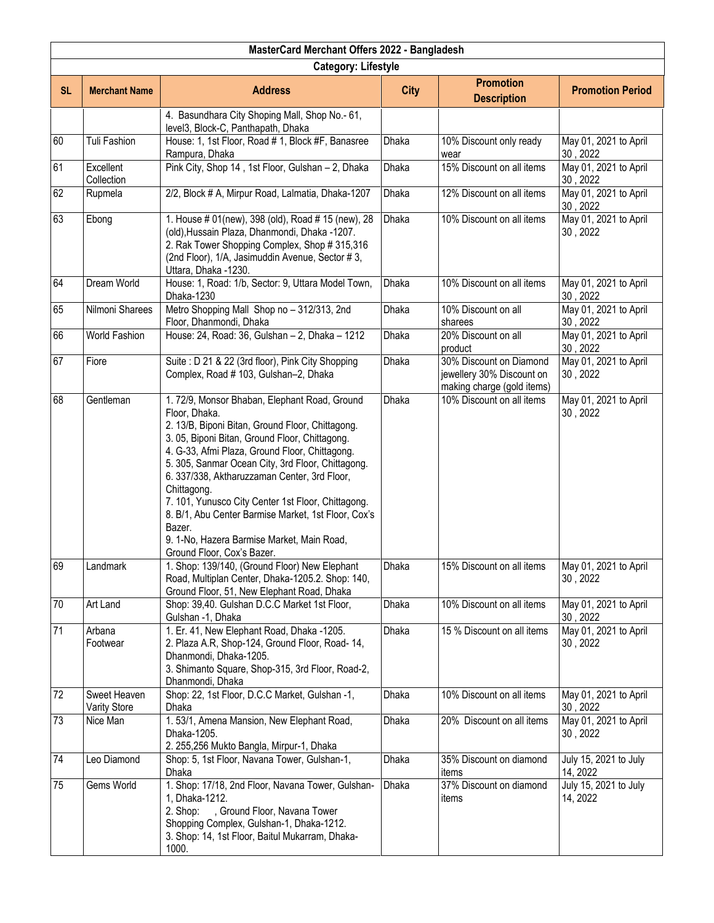|           | MasterCard Merchant Offers 2022 - Bangladesh |                                                                                                                                                                                                                                                                                                                                                                                                                                                                                                                                              |              |                                                                                    |                                   |  |  |
|-----------|----------------------------------------------|----------------------------------------------------------------------------------------------------------------------------------------------------------------------------------------------------------------------------------------------------------------------------------------------------------------------------------------------------------------------------------------------------------------------------------------------------------------------------------------------------------------------------------------------|--------------|------------------------------------------------------------------------------------|-----------------------------------|--|--|
|           | <b>Category: Lifestyle</b>                   |                                                                                                                                                                                                                                                                                                                                                                                                                                                                                                                                              |              |                                                                                    |                                   |  |  |
| <b>SL</b> | <b>Merchant Name</b>                         | <b>Address</b>                                                                                                                                                                                                                                                                                                                                                                                                                                                                                                                               | <b>City</b>  | <b>Promotion</b><br><b>Description</b>                                             | <b>Promotion Period</b>           |  |  |
|           |                                              | 4. Basundhara City Shoping Mall, Shop No.- 61,<br>level3, Block-C, Panthapath, Dhaka                                                                                                                                                                                                                                                                                                                                                                                                                                                         |              |                                                                                    |                                   |  |  |
| 60        | Tuli Fashion                                 | House: 1, 1st Floor, Road # 1, Block #F, Banasree<br>Rampura, Dhaka                                                                                                                                                                                                                                                                                                                                                                                                                                                                          | Dhaka        | 10% Discount only ready<br>wear                                                    | May 01, 2021 to April<br>30, 2022 |  |  |
| 61        | Excellent<br>Collection                      | Pink City, Shop 14, 1st Floor, Gulshan - 2, Dhaka                                                                                                                                                                                                                                                                                                                                                                                                                                                                                            | Dhaka        | 15% Discount on all items                                                          | May 01, 2021 to April<br>30, 2022 |  |  |
| 62        | Rupmela                                      | 2/2, Block # A, Mirpur Road, Lalmatia, Dhaka-1207                                                                                                                                                                                                                                                                                                                                                                                                                                                                                            | Dhaka        | 12% Discount on all items                                                          | May 01, 2021 to April<br>30, 2022 |  |  |
| 63        | Ebong                                        | 1. House # 01(new), 398 (old), Road # 15 (new), 28<br>(old), Hussain Plaza, Dhanmondi, Dhaka -1207.<br>2. Rak Tower Shopping Complex, Shop # 315,316<br>(2nd Floor), 1/A, Jasimuddin Avenue, Sector #3,<br>Uttara, Dhaka -1230.                                                                                                                                                                                                                                                                                                              | Dhaka        | 10% Discount on all items                                                          | May 01, 2021 to April<br>30, 2022 |  |  |
| 64        | <b>Dream World</b>                           | House: 1, Road: 1/b, Sector: 9, Uttara Model Town,<br>Dhaka-1230                                                                                                                                                                                                                                                                                                                                                                                                                                                                             | Dhaka        | 10% Discount on all items                                                          | May 01, 2021 to April<br>30, 2022 |  |  |
| 65        | Nilmoni Sharees                              | Metro Shopping Mall Shop no - 312/313, 2nd<br>Floor, Dhanmondi, Dhaka                                                                                                                                                                                                                                                                                                                                                                                                                                                                        | Dhaka        | 10% Discount on all<br>sharees                                                     | May 01, 2021 to April<br>30, 2022 |  |  |
| 66        | World Fashion                                | House: 24, Road: 36, Gulshan - 2, Dhaka - 1212                                                                                                                                                                                                                                                                                                                                                                                                                                                                                               | Dhaka        | 20% Discount on all<br>product                                                     | May 01, 2021 to April<br>30, 2022 |  |  |
| 67        | Fiore                                        | Suite: D 21 & 22 (3rd floor), Pink City Shopping<br>Complex, Road # 103, Gulshan-2, Dhaka                                                                                                                                                                                                                                                                                                                                                                                                                                                    | <b>Dhaka</b> | 30% Discount on Diamond<br>jewellery 30% Discount on<br>making charge (gold items) | May 01, 2021 to April<br>30, 2022 |  |  |
| 68        | Gentleman                                    | 1.72/9, Monsor Bhaban, Elephant Road, Ground<br>Floor, Dhaka.<br>2. 13/B, Biponi Bitan, Ground Floor, Chittagong.<br>3. 05, Biponi Bitan, Ground Floor, Chittagong.<br>4. G-33, Afmi Plaza, Ground Floor, Chittagong.<br>5. 305, Sanmar Ocean City, 3rd Floor, Chittagong.<br>6. 337/338, Aktharuzzaman Center, 3rd Floor,<br>Chittagong.<br>7. 101, Yunusco City Center 1st Floor, Chittagong.<br>8. B/1, Abu Center Barmise Market, 1st Floor, Cox's<br>Bazer.<br>9. 1-No, Hazera Barmise Market, Main Road,<br>Ground Floor, Cox's Bazer. | <b>Dhaka</b> | 10% Discount on all items                                                          | May 01, 2021 to April<br>30, 2022 |  |  |
| 69        | Landmark                                     | 1. Shop: 139/140, (Ground Floor) New Elephant<br>Road, Multiplan Center, Dhaka-1205.2. Shop: 140,<br>Ground Floor, 51, New Elephant Road, Dhaka                                                                                                                                                                                                                                                                                                                                                                                              | <b>Dhaka</b> | 15% Discount on all items                                                          | May 01, 2021 to April<br>30, 2022 |  |  |
| 70        | Art Land                                     | Shop: 39,40. Gulshan D.C.C Market 1st Floor,<br>Gulshan -1, Dhaka                                                                                                                                                                                                                                                                                                                                                                                                                                                                            | Dhaka        | 10% Discount on all items                                                          | May 01, 2021 to April<br>30, 2022 |  |  |
| 71        | Arbana<br>Footwear                           | 1. Er. 41, New Elephant Road, Dhaka -1205.<br>2. Plaza A.R, Shop-124, Ground Floor, Road-14,<br>Dhanmondi, Dhaka-1205.<br>3. Shimanto Square, Shop-315, 3rd Floor, Road-2,<br>Dhanmondi, Dhaka                                                                                                                                                                                                                                                                                                                                               | Dhaka        | 15 % Discount on all items                                                         | May 01, 2021 to April<br>30, 2022 |  |  |
| 72        | Sweet Heaven<br><b>Varity Store</b>          | Shop: 22, 1st Floor, D.C.C Market, Gulshan -1,<br>Dhaka                                                                                                                                                                                                                                                                                                                                                                                                                                                                                      | Dhaka        | 10% Discount on all items                                                          | May 01, 2021 to April<br>30, 2022 |  |  |
| 73        | Nice Man                                     | 1.53/1, Amena Mansion, New Elephant Road,<br>Dhaka-1205.<br>2. 255,256 Mukto Bangla, Mirpur-1, Dhaka                                                                                                                                                                                                                                                                                                                                                                                                                                         | Dhaka        | 20% Discount on all items                                                          | May 01, 2021 to April<br>30, 2022 |  |  |
| 74        | Leo Diamond                                  | Shop: 5, 1st Floor, Navana Tower, Gulshan-1,<br>Dhaka                                                                                                                                                                                                                                                                                                                                                                                                                                                                                        | Dhaka        | 35% Discount on diamond<br>items                                                   | July 15, 2021 to July<br>14, 2022 |  |  |
| 75        | Gems World                                   | 1. Shop: 17/18, 2nd Floor, Navana Tower, Gulshan-<br>1, Dhaka-1212.<br>, Ground Floor, Navana Tower<br>2. Shop:<br>Shopping Complex, Gulshan-1, Dhaka-1212.<br>3. Shop: 14, 1st Floor, Baitul Mukarram, Dhaka-<br>1000.                                                                                                                                                                                                                                                                                                                      | Dhaka        | 37% Discount on diamond<br>items                                                   | July 15, 2021 to July<br>14, 2022 |  |  |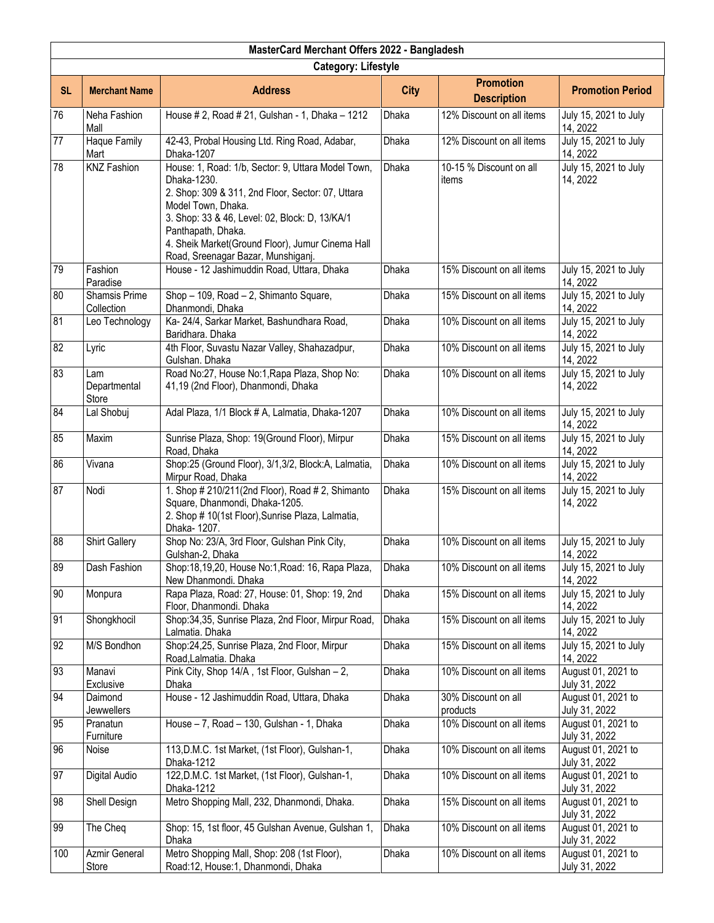| MasterCard Merchant Offers 2022 - Bangladesh |                                     |                                                                                                                                                                                                                                                                                                                |              |                                        |                                     |  |
|----------------------------------------------|-------------------------------------|----------------------------------------------------------------------------------------------------------------------------------------------------------------------------------------------------------------------------------------------------------------------------------------------------------------|--------------|----------------------------------------|-------------------------------------|--|
|                                              | <b>Category: Lifestyle</b>          |                                                                                                                                                                                                                                                                                                                |              |                                        |                                     |  |
| <b>SL</b>                                    | <b>Merchant Name</b>                | <b>Address</b>                                                                                                                                                                                                                                                                                                 | <b>City</b>  | <b>Promotion</b><br><b>Description</b> | <b>Promotion Period</b>             |  |
| 76                                           | Neha Fashion<br>Mall                | House # 2, Road # 21, Gulshan - 1, Dhaka - 1212                                                                                                                                                                                                                                                                | <b>Dhaka</b> | 12% Discount on all items              | July 15, 2021 to July<br>14, 2022   |  |
| $\overline{77}$                              | Haque Family<br>Mart                | 42-43, Probal Housing Ltd. Ring Road, Adabar,<br>Dhaka-1207                                                                                                                                                                                                                                                    | Dhaka        | 12% Discount on all items              | July 15, 2021 to July<br>14, 2022   |  |
| 78                                           | <b>KNZ Fashion</b>                  | House: 1, Road: 1/b, Sector: 9, Uttara Model Town,<br>Dhaka-1230.<br>2. Shop: 309 & 311, 2nd Floor, Sector: 07, Uttara<br>Model Town, Dhaka.<br>3. Shop: 33 & 46, Level: 02, Block: D, 13/KA/1<br>Panthapath, Dhaka.<br>4. Sheik Market(Ground Floor), Jumur Cinema Hall<br>Road, Sreenagar Bazar, Munshiganj. | Dhaka        | 10-15 % Discount on all<br>items       | July 15, 2021 to July<br>14, 2022   |  |
| 79                                           | Fashion<br>Paradise                 | House - 12 Jashimuddin Road, Uttara, Dhaka                                                                                                                                                                                                                                                                     | Dhaka        | 15% Discount on all items              | July 15, 2021 to July<br>14, 2022   |  |
| 80                                           | Shamsis Prime<br>Collection         | Shop - 109, Road - 2, Shimanto Square,<br>Dhanmondi, Dhaka                                                                                                                                                                                                                                                     | <b>Dhaka</b> | 15% Discount on all items              | July 15, 2021 to July<br>14, 2022   |  |
| 81                                           | Leo Technology                      | Ka- 24/4, Sarkar Market, Bashundhara Road,<br>Baridhara. Dhaka                                                                                                                                                                                                                                                 | Dhaka        | 10% Discount on all items              | July 15, 2021 to July<br>14, 2022   |  |
| 82                                           | Lyric                               | 4th Floor, Suvastu Nazar Valley, Shahazadpur,<br>Gulshan. Dhaka                                                                                                                                                                                                                                                | <b>Dhaka</b> | 10% Discount on all items              | July 15, 2021 to July<br>14, 2022   |  |
| 83                                           | Lam<br>Departmental<br><b>Store</b> | Road No:27, House No:1, Rapa Plaza, Shop No:<br>41,19 (2nd Floor), Dhanmondi, Dhaka                                                                                                                                                                                                                            | <b>Dhaka</b> | 10% Discount on all items              | July 15, 2021 to July<br>14, 2022   |  |
| 84                                           | Lal Shobuj                          | Adal Plaza, 1/1 Block # A, Lalmatia, Dhaka-1207                                                                                                                                                                                                                                                                | Dhaka        | 10% Discount on all items              | July 15, 2021 to July<br>14, 2022   |  |
| 85                                           | Maxim                               | Sunrise Plaza, Shop: 19(Ground Floor), Mirpur<br>Road, Dhaka                                                                                                                                                                                                                                                   | <b>Dhaka</b> | 15% Discount on all items              | July 15, 2021 to July<br>14, 2022   |  |
| 86                                           | Vivana                              | Shop:25 (Ground Floor), 3/1,3/2, Block:A, Lalmatia,<br>Mirpur Road, Dhaka                                                                                                                                                                                                                                      | Dhaka        | 10% Discount on all items              | July 15, 2021 to July<br>14, 2022   |  |
| 87                                           | Nodi                                | 1. Shop # 210/211(2nd Floor), Road # 2, Shimanto<br>Square, Dhanmondi, Dhaka-1205.<br>2. Shop # 10(1st Floor), Sunrise Plaza, Lalmatia,<br>Dhaka-1207.                                                                                                                                                         | Dhaka        | 15% Discount on all items              | July 15, 2021 to July<br>14, 2022   |  |
| 88                                           | <b>Shirt Gallery</b>                | Shop No: 23/A, 3rd Floor, Gulshan Pink City,<br>Gulshan-2, Dhaka                                                                                                                                                                                                                                               | <b>Dhaka</b> | 10% Discount on all items              | July 15, 2021 to July<br>14, 2022   |  |
| 89                                           | Dash Fashion                        | Shop:18,19,20, House No:1, Road: 16, Rapa Plaza,<br>New Dhanmondi. Dhaka                                                                                                                                                                                                                                       | Dhaka        | 10% Discount on all items              | July 15, 2021 to July<br>14, 2022   |  |
| $\overline{90}$                              | Monpura                             | Rapa Plaza, Road: 27, House: 01, Shop: 19, 2nd<br>Floor, Dhanmondi. Dhaka                                                                                                                                                                                                                                      | Dhaka        | 15% Discount on all items              | July 15, 2021 to July<br>14, 2022   |  |
| 91                                           | Shongkhocil                         | Shop:34,35, Sunrise Plaza, 2nd Floor, Mirpur Road,<br>Lalmatia. Dhaka                                                                                                                                                                                                                                          | Dhaka        | 15% Discount on all items              | July 15, 2021 to July<br>14, 2022   |  |
| 92                                           | M/S Bondhon                         | Shop:24,25, Sunrise Plaza, 2nd Floor, Mirpur<br>Road, Lalmatia. Dhaka                                                                                                                                                                                                                                          | Dhaka        | 15% Discount on all items              | July 15, 2021 to July<br>14, 2022   |  |
| 93                                           | Manavi<br>Exclusive                 | Pink City, Shop 14/A, 1st Floor, Gulshan - 2.<br>Dhaka                                                                                                                                                                                                                                                         | Dhaka        | 10% Discount on all items              | August 01, 2021 to<br>July 31, 2022 |  |
| 94                                           | Daimond<br>Jewwellers               | House - 12 Jashimuddin Road, Uttara, Dhaka                                                                                                                                                                                                                                                                     | Dhaka        | 30% Discount on all<br>products        | August 01, 2021 to<br>July 31, 2022 |  |
| 95                                           | Pranatun<br>Furniture               | House - 7, Road - 130, Gulshan - 1, Dhaka                                                                                                                                                                                                                                                                      | Dhaka        | 10% Discount on all items              | August 01, 2021 to<br>July 31, 2022 |  |
| 96                                           | Noise                               | 113, D.M.C. 1st Market, (1st Floor), Gulshan-1,<br>Dhaka-1212                                                                                                                                                                                                                                                  | Dhaka        | 10% Discount on all items              | August 01, 2021 to<br>July 31, 2022 |  |
| 97                                           | Digital Audio                       | 122, D.M.C. 1st Market, (1st Floor), Gulshan-1,<br>Dhaka-1212                                                                                                                                                                                                                                                  | Dhaka        | 10% Discount on all items              | August 01, 2021 to<br>July 31, 2022 |  |
| 98                                           | Shell Design                        | Metro Shopping Mall, 232, Dhanmondi, Dhaka.                                                                                                                                                                                                                                                                    | Dhaka        | 15% Discount on all items              | August 01, 2021 to<br>July 31, 2022 |  |
| 99                                           | The Cheq                            | Shop: 15, 1st floor, 45 Gulshan Avenue, Gulshan 1,<br>Dhaka                                                                                                                                                                                                                                                    | Dhaka        | 10% Discount on all items              | August 01, 2021 to<br>July 31, 2022 |  |
| 100                                          | Azmir General<br>Store              | Metro Shopping Mall, Shop: 208 (1st Floor),<br>Road:12, House:1, Dhanmondi, Dhaka                                                                                                                                                                                                                              | Dhaka        | 10% Discount on all items              | August 01, 2021 to<br>July 31, 2022 |  |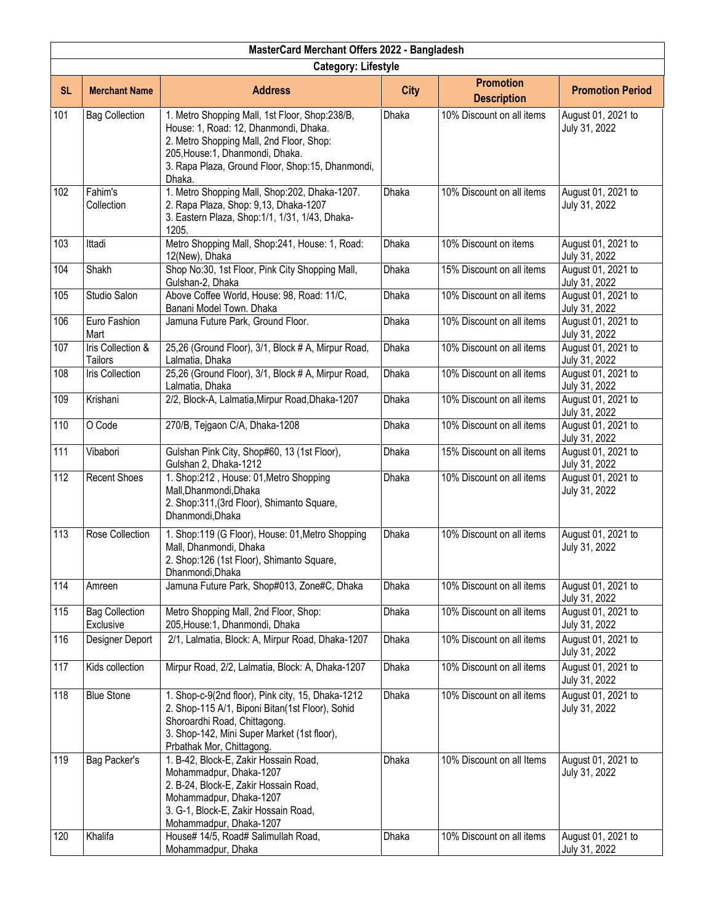|           | MasterCard Merchant Offers 2022 - Bangladesh   |                                                                                                                                                                                                                                       |              |                                        |                                     |  |  |
|-----------|------------------------------------------------|---------------------------------------------------------------------------------------------------------------------------------------------------------------------------------------------------------------------------------------|--------------|----------------------------------------|-------------------------------------|--|--|
|           |                                                | <b>Category: Lifestyle</b>                                                                                                                                                                                                            |              |                                        |                                     |  |  |
| <b>SL</b> | <b>Merchant Name</b>                           | <b>Address</b>                                                                                                                                                                                                                        | <b>City</b>  | <b>Promotion</b><br><b>Description</b> | <b>Promotion Period</b>             |  |  |
| 101       | <b>Bag Collection</b>                          | 1. Metro Shopping Mall, 1st Floor, Shop:238/B,<br>House: 1, Road: 12, Dhanmondi, Dhaka.<br>2. Metro Shopping Mall, 2nd Floor, Shop:<br>205, House: 1, Dhanmondi, Dhaka.<br>3. Rapa Plaza, Ground Floor, Shop:15, Dhanmondi,<br>Dhaka. | Dhaka        | 10% Discount on all items              | August 01, 2021 to<br>July 31, 2022 |  |  |
| 102       | Fahim's<br>Collection                          | 1. Metro Shopping Mall, Shop:202, Dhaka-1207.<br>2. Rapa Plaza, Shop: 9,13, Dhaka-1207<br>3. Eastern Plaza, Shop:1/1, 1/31, 1/43, Dhaka-<br>1205.                                                                                     | <b>Dhaka</b> | 10% Discount on all items              | August 01, 2021 to<br>July 31, 2022 |  |  |
| 103       | Ittadi                                         | Metro Shopping Mall, Shop:241, House: 1, Road:<br>12(New), Dhaka                                                                                                                                                                      | <b>Dhaka</b> | 10% Discount on items                  | August 01, 2021 to<br>July 31, 2022 |  |  |
| 104       | Shakh                                          | Shop No:30, 1st Floor, Pink City Shopping Mall,<br>Gulshan-2, Dhaka                                                                                                                                                                   | Dhaka        | 15% Discount on all items              | August 01, 2021 to<br>July 31, 2022 |  |  |
| 105       | Studio Salon                                   | Above Coffee World, House: 98, Road: 11/C,<br>Banani Model Town. Dhaka                                                                                                                                                                | Dhaka        | 10% Discount on all items              | August 01, 2021 to<br>July 31, 2022 |  |  |
| 106       | Euro Fashion<br>Mart                           | Jamuna Future Park, Ground Floor.                                                                                                                                                                                                     | Dhaka        | 10% Discount on all items              | August 01, 2021 to<br>July 31, 2022 |  |  |
| 107       | <b>Iris Collection &amp;</b><br><b>Tailors</b> | 25,26 (Ground Floor), 3/1, Block # A, Mirpur Road,<br>Lalmatia, Dhaka                                                                                                                                                                 | <b>Dhaka</b> | 10% Discount on all items              | August 01, 2021 to<br>July 31, 2022 |  |  |
| 108       | Iris Collection                                | 25,26 (Ground Floor), 3/1, Block # A, Mirpur Road,<br>Lalmatia, Dhaka                                                                                                                                                                 | <b>Dhaka</b> | 10% Discount on all items              | August 01, 2021 to<br>July 31, 2022 |  |  |
| 109       | Krishani                                       | 2/2, Block-A, Lalmatia, Mirpur Road, Dhaka-1207                                                                                                                                                                                       | Dhaka        | 10% Discount on all items              | August 01, 2021 to<br>July 31, 2022 |  |  |
| 110       | O Code                                         | 270/B, Tejgaon C/A, Dhaka-1208                                                                                                                                                                                                        | Dhaka        | 10% Discount on all items              | August 01, 2021 to<br>July 31, 2022 |  |  |
| 111       | Vibabori                                       | Gulshan Pink City, Shop#60, 13 (1st Floor),<br>Gulshan 2, Dhaka-1212                                                                                                                                                                  | Dhaka        | 15% Discount on all items              | August 01, 2021 to<br>July 31, 2022 |  |  |
| 112       | <b>Recent Shoes</b>                            | 1. Shop:212, House: 01, Metro Shopping<br>Mall, Dhanmondi, Dhaka<br>2. Shop:311, (3rd Floor), Shimanto Square,<br>Dhanmondi, Dhaka                                                                                                    | Dhaka        | 10% Discount on all items              | August 01, 2021 to<br>July 31, 2022 |  |  |
| 113       | Rose Collection                                | 1. Shop:119 (G Floor), House: 01, Metro Shopping<br>Mall, Dhanmondi, Dhaka<br>2. Shop:126 (1st Floor), Shimanto Square,<br>Dhanmondi, Dhaka                                                                                           | Dhaka        | 10% Discount on all items              | August 01, 2021 to<br>July 31, 2022 |  |  |
| 114       | Amreen                                         | Jamuna Future Park, Shop#013, Zone#C, Dhaka                                                                                                                                                                                           | Dhaka        | 10% Discount on all items              | August 01, 2021 to<br>July 31, 2022 |  |  |
| 115       | <b>Bag Collection</b><br>Exclusive             | Metro Shopping Mall, 2nd Floor, Shop:<br>205, House: 1, Dhanmondi, Dhaka                                                                                                                                                              | Dhaka        | 10% Discount on all items              | August 01, 2021 to<br>July 31, 2022 |  |  |
| 116       | Designer Deport                                | 2/1, Lalmatia, Block: A, Mirpur Road, Dhaka-1207                                                                                                                                                                                      | Dhaka        | 10% Discount on all items              | August 01, 2021 to<br>July 31, 2022 |  |  |
| 117       | Kids collection                                | Mirpur Road, 2/2, Lalmatia, Block: A, Dhaka-1207                                                                                                                                                                                      | Dhaka        | 10% Discount on all items              | August 01, 2021 to<br>July 31, 2022 |  |  |
| 118       | <b>Blue Stone</b>                              | 1. Shop-c-9(2nd floor), Pink city, 15, Dhaka-1212<br>2. Shop-115 A/1, Biponi Bitan(1st Floor), Sohid<br>Shoroardhi Road, Chittagong.<br>3. Shop-142, Mini Super Market (1st floor),<br>Prbathak Mor, Chittagong.                      | Dhaka        | 10% Discount on all items              | August 01, 2021 to<br>July 31, 2022 |  |  |
| 119       | Bag Packer's                                   | 1. B-42, Block-E, Zakir Hossain Road,<br>Mohammadpur, Dhaka-1207<br>2. B-24, Block-E, Zakir Hossain Road,<br>Mohammadpur, Dhaka-1207<br>3. G-1, Block-E, Zakir Hossain Road,<br>Mohammadpur, Dhaka-1207                               | Dhaka        | 10% Discount on all Items              | August 01, 2021 to<br>July 31, 2022 |  |  |
| 120       | Khalifa                                        | House# 14/5, Road# Salimullah Road,<br>Mohammadpur, Dhaka                                                                                                                                                                             | Dhaka        | 10% Discount on all items              | August 01, 2021 to<br>July 31, 2022 |  |  |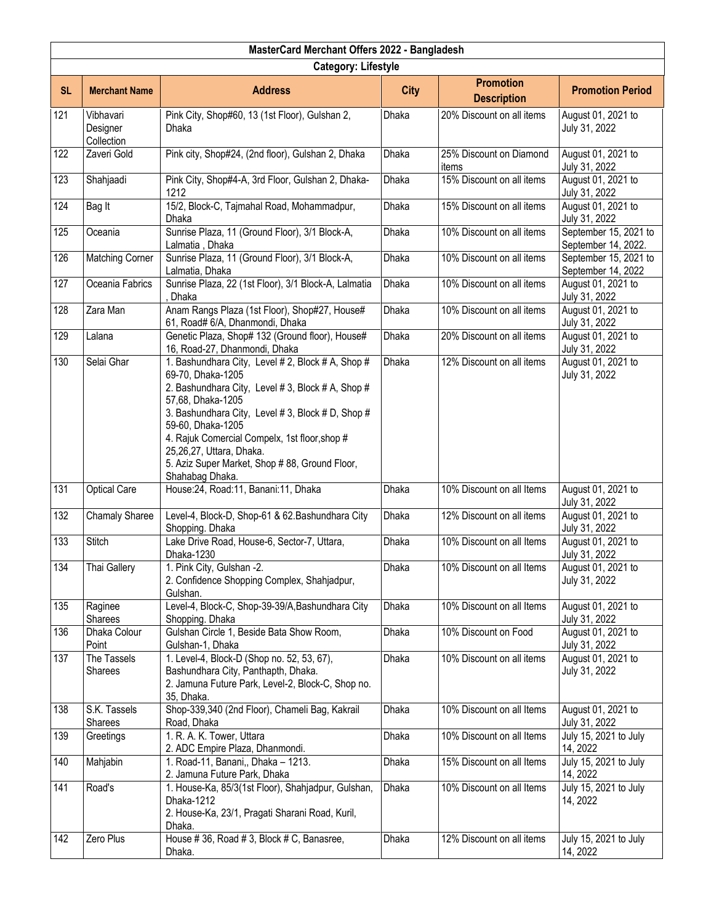|           | MasterCard Merchant Offers 2022 - Bangladesh |                                                                                                                                                                                                                                                                                                                                                                              |              |                                        |                                              |  |  |
|-----------|----------------------------------------------|------------------------------------------------------------------------------------------------------------------------------------------------------------------------------------------------------------------------------------------------------------------------------------------------------------------------------------------------------------------------------|--------------|----------------------------------------|----------------------------------------------|--|--|
|           | <b>Category: Lifestyle</b>                   |                                                                                                                                                                                                                                                                                                                                                                              |              |                                        |                                              |  |  |
| <b>SL</b> | <b>Merchant Name</b>                         | <b>Address</b>                                                                                                                                                                                                                                                                                                                                                               | <b>City</b>  | <b>Promotion</b><br><b>Description</b> | <b>Promotion Period</b>                      |  |  |
| 121       | Vibhavari<br>Designer<br>Collection          | Pink City, Shop#60, 13 (1st Floor), Gulshan 2,<br>Dhaka                                                                                                                                                                                                                                                                                                                      | Dhaka        | 20% Discount on all items              | August 01, 2021 to<br>July 31, 2022          |  |  |
| 122       | Zaveri Gold                                  | Pink city, Shop#24, (2nd floor), Gulshan 2, Dhaka                                                                                                                                                                                                                                                                                                                            | Dhaka        | 25% Discount on Diamond<br>items       | August 01, 2021 to<br>July 31, 2022          |  |  |
| 123       | Shahjaadi                                    | Pink City, Shop#4-A, 3rd Floor, Gulshan 2, Dhaka-<br>1212                                                                                                                                                                                                                                                                                                                    | <b>Dhaka</b> | 15% Discount on all items              | August 01, 2021 to<br>July 31, 2022          |  |  |
| 124       | Bag It                                       | 15/2, Block-C, Tajmahal Road, Mohammadpur,<br>Dhaka                                                                                                                                                                                                                                                                                                                          | <b>Dhaka</b> | 15% Discount on all items              | August 01, 2021 to<br>July 31, 2022          |  |  |
| 125       | Oceania                                      | Sunrise Plaza, 11 (Ground Floor), 3/1 Block-A,<br>Lalmatia, Dhaka                                                                                                                                                                                                                                                                                                            | Dhaka        | 10% Discount on all items              | September 15, 2021 to<br>September 14, 2022. |  |  |
| 126       | <b>Matching Corner</b>                       | Sunrise Plaza, 11 (Ground Floor), 3/1 Block-A,<br>Lalmatia, Dhaka                                                                                                                                                                                                                                                                                                            | Dhaka        | 10% Discount on all items              | September 15, 2021 to<br>September 14, 2022  |  |  |
| 127       | Oceania Fabrics                              | Sunrise Plaza, 22 (1st Floor), 3/1 Block-A, Lalmatia<br>Dhaka                                                                                                                                                                                                                                                                                                                | Dhaka        | 10% Discount on all items              | August 01, 2021 to<br>July 31, 2022          |  |  |
| 128       | Zara Man                                     | Anam Rangs Plaza (1st Floor), Shop#27, House#<br>61, Road# 6/A, Dhanmondi, Dhaka                                                                                                                                                                                                                                                                                             | Dhaka        | 10% Discount on all items              | August 01, 2021 to<br>July 31, 2022          |  |  |
| 129       | Lalana                                       | Genetic Plaza, Shop# 132 (Ground floor), House#<br>16, Road-27, Dhanmondi, Dhaka                                                                                                                                                                                                                                                                                             | Dhaka        | 20% Discount on all items              | August 01, 2021 to<br>July 31, 2022          |  |  |
| 130       | Selai Ghar                                   | 1. Bashundhara City, Level # 2, Block # A, Shop #<br>69-70, Dhaka-1205<br>2. Bashundhara City, Level # 3, Block # A, Shop #<br>57,68, Dhaka-1205<br>3. Bashundhara City, Level # 3, Block # D, Shop #<br>59-60, Dhaka-1205<br>4. Rajuk Comercial Compelx, 1st floor, shop #<br>25,26,27, Uttara, Dhaka.<br>5. Aziz Super Market, Shop # 88, Ground Floor,<br>Shahabag Dhaka. | <b>Dhaka</b> | 12% Discount on all items              | August 01, 2021 to<br>July 31, 2022          |  |  |
| 131       | <b>Optical Care</b>                          | House:24, Road:11, Banani:11, Dhaka                                                                                                                                                                                                                                                                                                                                          | Dhaka        | 10% Discount on all Items              | August 01, 2021 to<br>July 31, 2022          |  |  |
| 132       | <b>Chamaly Sharee</b>                        | Level-4, Block-D, Shop-61 & 62. Bashundhara City<br>Shopping. Dhaka                                                                                                                                                                                                                                                                                                          | Dhaka        | 12% Discount on all items              | August 01, 2021 to<br>July 31, 2022          |  |  |
| 133       | Stitch                                       | Lake Drive Road, House-6, Sector-7, Uttara,<br>Dhaka-1230                                                                                                                                                                                                                                                                                                                    | Dhaka        | 10% Discount on all Items              | August 01, 2021 to<br>July 31, 2022          |  |  |
| 134       | Thai Gallery                                 | 1. Pink City, Gulshan -2.<br>2. Confidence Shopping Complex, Shahjadpur,<br>Gulshan.                                                                                                                                                                                                                                                                                         | Dhaka        | 10% Discount on all Items              | August 01, 2021 to<br>July 31, 2022          |  |  |
| 135       | Raginee<br>Sharees                           | Level-4, Block-C, Shop-39-39/A, Bashundhara City<br>Shopping. Dhaka                                                                                                                                                                                                                                                                                                          | Dhaka        | 10% Discount on all Items              | August 01, 2021 to<br>July 31, 2022          |  |  |
| 136       | Dhaka Colour<br>Point                        | Gulshan Circle 1, Beside Bata Show Room,<br>Gulshan-1, Dhaka                                                                                                                                                                                                                                                                                                                 | <b>Dhaka</b> | 10% Discount on Food                   | August 01, 2021 to<br>July 31, 2022          |  |  |
| 137       | The Tassels<br>Sharees                       | 1. Level-4, Block-D (Shop no. 52, 53, 67),<br>Bashundhara City, Panthapth, Dhaka.<br>2. Jamuna Future Park, Level-2, Block-C, Shop no.<br>35, Dhaka.                                                                                                                                                                                                                         | Dhaka        | 10% Discount on all items              | August 01, 2021 to<br>July 31, 2022          |  |  |
| 138       | S.K. Tassels<br>Sharees                      | Shop-339,340 (2nd Floor), Chameli Bag, Kakrail<br>Road, Dhaka                                                                                                                                                                                                                                                                                                                | Dhaka        | 10% Discount on all Items              | August 01, 2021 to<br>July 31, 2022          |  |  |
| 139       | Greetings                                    | 1. R. A. K. Tower, Uttara<br>2. ADC Empire Plaza, Dhanmondi.                                                                                                                                                                                                                                                                                                                 | Dhaka        | 10% Discount on all Items              | July 15, 2021 to July<br>14, 2022            |  |  |
| 140       | Mahjabin                                     | 1. Road-11, Banani,, Dhaka - 1213.<br>2. Jamuna Future Park, Dhaka                                                                                                                                                                                                                                                                                                           | Dhaka        | 15% Discount on all Items              | July 15, 2021 to July<br>14, 2022            |  |  |
| 141       | Road's                                       | 1. House-Ka, 85/3(1st Floor), Shahjadpur, Gulshan,<br>Dhaka-1212<br>2. House-Ka, 23/1, Pragati Sharani Road, Kuril,<br>Dhaka.                                                                                                                                                                                                                                                | Dhaka        | 10% Discount on all Items              | July 15, 2021 to July<br>14, 2022            |  |  |
| 142       | Zero Plus                                    | House #36, Road #3, Block #C, Banasree,<br>Dhaka.                                                                                                                                                                                                                                                                                                                            | Dhaka        | 12% Discount on all items              | July 15, 2021 to July<br>14, 2022            |  |  |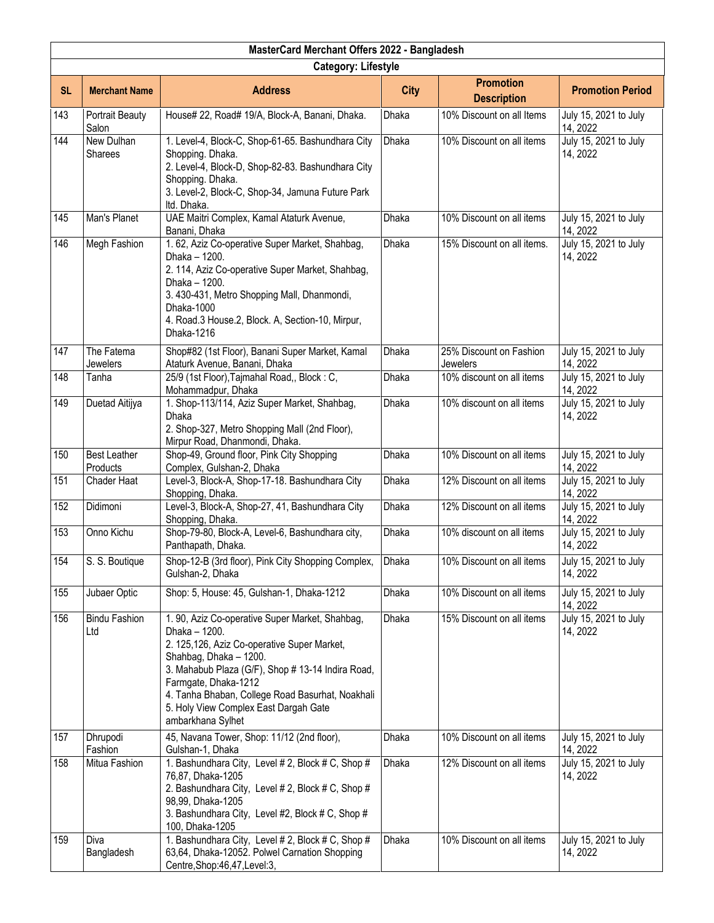|           | MasterCard Merchant Offers 2022 - Bangladesh |                                                                                                                                                                                                                                                                                                                                          |              |                                        |                                   |  |  |
|-----------|----------------------------------------------|------------------------------------------------------------------------------------------------------------------------------------------------------------------------------------------------------------------------------------------------------------------------------------------------------------------------------------------|--------------|----------------------------------------|-----------------------------------|--|--|
|           |                                              | <b>Category: Lifestyle</b>                                                                                                                                                                                                                                                                                                               |              |                                        |                                   |  |  |
| <b>SL</b> | <b>Merchant Name</b>                         | <b>Address</b>                                                                                                                                                                                                                                                                                                                           | <b>City</b>  | <b>Promotion</b><br><b>Description</b> | <b>Promotion Period</b>           |  |  |
| 143       | <b>Portrait Beauty</b><br>Salon              | House# 22, Road# 19/A, Block-A, Banani, Dhaka.                                                                                                                                                                                                                                                                                           | Dhaka        | 10% Discount on all Items              | July 15, 2021 to July<br>14, 2022 |  |  |
| 144       | New Dulhan<br><b>Sharees</b>                 | 1. Level-4, Block-C, Shop-61-65. Bashundhara City<br>Shopping. Dhaka.<br>2. Level-4, Block-D, Shop-82-83. Bashundhara City<br>Shopping. Dhaka.<br>3. Level-2, Block-C, Shop-34, Jamuna Future Park<br>Itd. Dhaka.                                                                                                                        | Dhaka        | 10% Discount on all items              | July 15, 2021 to July<br>14, 2022 |  |  |
| 145       | Man's Planet                                 | UAE Maitri Complex, Kamal Ataturk Avenue,<br>Banani, Dhaka                                                                                                                                                                                                                                                                               | Dhaka        | 10% Discount on all items              | July 15, 2021 to July<br>14, 2022 |  |  |
| 146       | Megh Fashion                                 | 1.62, Aziz Co-operative Super Market, Shahbag,<br>Dhaka - 1200.<br>2. 114, Aziz Co-operative Super Market, Shahbag,<br>Dhaka - 1200.<br>3. 430-431, Metro Shopping Mall, Dhanmondi,<br>Dhaka-1000<br>4. Road.3 House.2, Block. A, Section-10, Mirpur,<br>Dhaka-1216                                                                      | Dhaka        | 15% Discount on all items.             | July 15, 2021 to July<br>14, 2022 |  |  |
| 147       | The Fatema<br>Jewelers                       | Shop#82 (1st Floor), Banani Super Market, Kamal<br>Ataturk Avenue, Banani, Dhaka                                                                                                                                                                                                                                                         | <b>Dhaka</b> | 25% Discount on Fashion<br>Jewelers    | July 15, 2021 to July<br>14, 2022 |  |  |
| 148       | Tanha                                        | 25/9 (1st Floor), Tajmahal Road,, Block: C,<br>Mohammadpur, Dhaka                                                                                                                                                                                                                                                                        | Dhaka        | 10% discount on all items              | July 15, 2021 to July<br>14, 2022 |  |  |
| 149       | Duetad Aitijya                               | 1. Shop-113/114, Aziz Super Market, Shahbag,<br>Dhaka<br>2. Shop-327, Metro Shopping Mall (2nd Floor),<br>Mirpur Road, Dhanmondi, Dhaka.                                                                                                                                                                                                 | Dhaka        | 10% discount on all items              | July 15, 2021 to July<br>14, 2022 |  |  |
| 150       | <b>Best Leather</b><br>Products              | Shop-49, Ground floor, Pink City Shopping<br>Complex, Gulshan-2, Dhaka                                                                                                                                                                                                                                                                   | Dhaka        | 10% Discount on all items              | July 15, 2021 to July<br>14, 2022 |  |  |
| 151       | Chader Haat                                  | Level-3, Block-A, Shop-17-18. Bashundhara City<br>Shopping, Dhaka.                                                                                                                                                                                                                                                                       | <b>Dhaka</b> | 12% Discount on all items              | July 15, 2021 to July<br>14, 2022 |  |  |
| 152       | Didimoni                                     | Level-3, Block-A, Shop-27, 41, Bashundhara City<br>Shopping, Dhaka.                                                                                                                                                                                                                                                                      | Dhaka        | 12% Discount on all items              | July 15, 2021 to July<br>14, 2022 |  |  |
| 153       | Onno Kichu                                   | Shop-79-80, Block-A, Level-6, Bashundhara city,<br>Panthapath, Dhaka.                                                                                                                                                                                                                                                                    | Dhaka        | 10% discount on all items              | July 15, 2021 to July<br>14, 2022 |  |  |
| 154       | S. S. Boutique                               | Shop-12-B (3rd floor), Pink City Shopping Complex,<br>Gulshan-2, Dhaka                                                                                                                                                                                                                                                                   | Dhaka        | 10% Discount on all items              | July 15, 2021 to July<br>14, 2022 |  |  |
| 155       | Jubaer Optic                                 | Shop: 5, House: 45, Gulshan-1, Dhaka-1212                                                                                                                                                                                                                                                                                                | Dhaka        | 10% Discount on all items              | July 15, 2021 to July<br>14, 2022 |  |  |
| 156       | <b>Bindu Fashion</b><br>Ltd                  | 1. 90, Aziz Co-operative Super Market, Shahbag,<br>Dhaka - 1200.<br>2. 125,126, Aziz Co-operative Super Market,<br>Shahbag, Dhaka - 1200.<br>3. Mahabub Plaza (G/F), Shop # 13-14 Indira Road,<br>Farmgate, Dhaka-1212<br>4. Tanha Bhaban, College Road Basurhat, Noakhali<br>5. Holy View Complex East Dargah Gate<br>ambarkhana Sylhet | Dhaka        | 15% Discount on all items              | July 15, 2021 to July<br>14, 2022 |  |  |
| 157       | Dhrupodi<br>Fashion                          | 45, Navana Tower, Shop: 11/12 (2nd floor),<br>Gulshan-1, Dhaka                                                                                                                                                                                                                                                                           | Dhaka        | 10% Discount on all items              | July 15, 2021 to July<br>14, 2022 |  |  |
| 158       | Mitua Fashion                                | 1. Bashundhara City, Level # 2, Block # C, Shop #<br>76,87, Dhaka-1205<br>2. Bashundhara City, Level # 2, Block # C, Shop #<br>98,99, Dhaka-1205<br>3. Bashundhara City, Level #2, Block # C, Shop #<br>100, Dhaka-1205                                                                                                                  | Dhaka        | 12% Discount on all items              | July 15, 2021 to July<br>14, 2022 |  |  |
| 159       | Diva<br>Bangladesh                           | 1. Bashundhara City, Level # 2, Block # C, Shop #<br>63,64, Dhaka-12052. Polwel Carnation Shopping<br>Centre, Shop: 46, 47, Level: 3,                                                                                                                                                                                                    | Dhaka        | 10% Discount on all items              | July 15, 2021 to July<br>14, 2022 |  |  |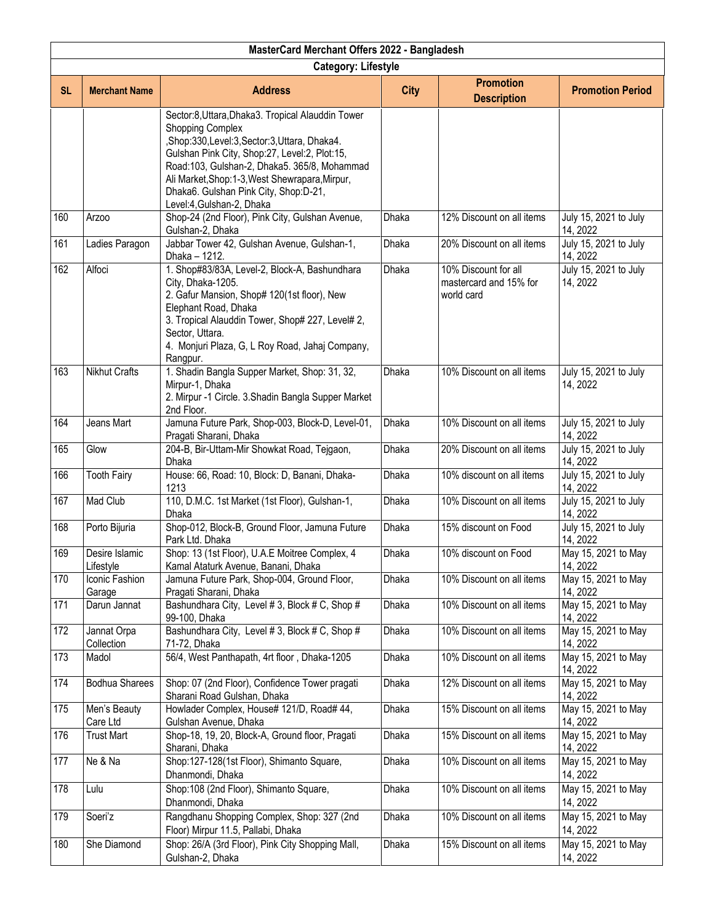|           | MasterCard Merchant Offers 2022 - Bangladesh                                                                               |                                                                                                                                                                                                                                                                                                                                                      |              |                                                              |                                   |  |  |
|-----------|----------------------------------------------------------------------------------------------------------------------------|------------------------------------------------------------------------------------------------------------------------------------------------------------------------------------------------------------------------------------------------------------------------------------------------------------------------------------------------------|--------------|--------------------------------------------------------------|-----------------------------------|--|--|
|           | <b>Category: Lifestyle</b>                                                                                                 |                                                                                                                                                                                                                                                                                                                                                      |              |                                                              |                                   |  |  |
| <b>SL</b> | <b>Promotion</b><br><b>Merchant Name</b><br><b>Address</b><br><b>City</b><br><b>Promotion Period</b><br><b>Description</b> |                                                                                                                                                                                                                                                                                                                                                      |              |                                                              |                                   |  |  |
|           |                                                                                                                            | Sector:8, Uttara, Dhaka3. Tropical Alauddin Tower<br><b>Shopping Complex</b><br>,Shop:330,Level:3,Sector:3,Uttara, Dhaka4.<br>Gulshan Pink City, Shop:27, Level:2, Plot:15,<br>Road:103, Gulshan-2, Dhaka5. 365/8, Mohammad<br>Ali Market, Shop: 1-3, West Shewrapara, Mirpur,<br>Dhaka6. Gulshan Pink City, Shop:D-21,<br>Level:4, Gulshan-2, Dhaka |              |                                                              |                                   |  |  |
| 160       | Arzoo                                                                                                                      | Shop-24 (2nd Floor), Pink City, Gulshan Avenue,<br>Gulshan-2, Dhaka                                                                                                                                                                                                                                                                                  | Dhaka        | 12% Discount on all items                                    | July 15, 2021 to July<br>14, 2022 |  |  |
| 161       | Ladies Paragon                                                                                                             | Jabbar Tower 42, Gulshan Avenue, Gulshan-1,<br>Dhaka - 1212.                                                                                                                                                                                                                                                                                         | <b>Dhaka</b> | 20% Discount on all items                                    | July 15, 2021 to July<br>14, 2022 |  |  |
| 162       | Alfoci                                                                                                                     | 1. Shop#83/83A, Level-2, Block-A, Bashundhara<br>City, Dhaka-1205.<br>2. Gafur Mansion, Shop# 120(1st floor), New<br>Elephant Road, Dhaka<br>3. Tropical Alauddin Tower, Shop# 227, Level# 2,<br>Sector, Uttara.<br>4. Monjuri Plaza, G, L Roy Road, Jahaj Company,<br>Rangpur.                                                                      | <b>Dhaka</b> | 10% Discount for all<br>mastercard and 15% for<br>world card | July 15, 2021 to July<br>14, 2022 |  |  |
| 163       | <b>Nikhut Crafts</b>                                                                                                       | 1. Shadin Bangla Supper Market, Shop: 31, 32,<br>Mirpur-1, Dhaka<br>2. Mirpur -1 Circle. 3. Shadin Bangla Supper Market<br>2nd Floor.                                                                                                                                                                                                                | Dhaka        | 10% Discount on all items                                    | July 15, 2021 to July<br>14, 2022 |  |  |
| 164       | Jeans Mart                                                                                                                 | Jamuna Future Park, Shop-003, Block-D, Level-01,<br>Pragati Sharani, Dhaka                                                                                                                                                                                                                                                                           | Dhaka        | 10% Discount on all items                                    | July 15, 2021 to July<br>14, 2022 |  |  |
| 165       | Glow                                                                                                                       | 204-B, Bir-Uttam-Mir Showkat Road, Tejgaon,<br>Dhaka                                                                                                                                                                                                                                                                                                 | Dhaka        | 20% Discount on all items                                    | July 15, 2021 to July<br>14, 2022 |  |  |
| 166       | <b>Tooth Fairy</b>                                                                                                         | House: 66, Road: 10, Block: D, Banani, Dhaka-<br>1213                                                                                                                                                                                                                                                                                                | Dhaka        | 10% discount on all items                                    | July 15, 2021 to July<br>14, 2022 |  |  |
| 167       | Mad Club                                                                                                                   | 110, D.M.C. 1st Market (1st Floor), Gulshan-1,<br>Dhaka                                                                                                                                                                                                                                                                                              | Dhaka        | 10% Discount on all items                                    | July 15, 2021 to July<br>14, 2022 |  |  |
| 168       | Porto Bijuria                                                                                                              | Shop-012, Block-B, Ground Floor, Jamuna Future<br>Park Ltd. Dhaka                                                                                                                                                                                                                                                                                    | Dhaka        | 15% discount on Food                                         | July 15, 2021 to July<br>14, 2022 |  |  |
| 169       | Desire Islamic<br>Lifestyle                                                                                                | Shop: 13 (1st Floor), U.A.E Moitree Complex, 4<br>Kamal Ataturk Avenue, Banani, Dhaka                                                                                                                                                                                                                                                                | Dhaka        | 10% discount on Food                                         | May 15, 2021 to May<br>14, 2022   |  |  |
| 170       | Iconic Fashion<br>Garage                                                                                                   | Jamuna Future Park, Shop-004, Ground Floor,<br>Pragati Sharani, Dhaka                                                                                                                                                                                                                                                                                | Dhaka        | 10% Discount on all items                                    | May 15, 2021 to May<br>14, 2022   |  |  |
| 171       | Darun Jannat                                                                                                               | Bashundhara City, Level # 3, Block # C, Shop #<br>99-100, Dhaka                                                                                                                                                                                                                                                                                      | <b>Dhaka</b> | 10% Discount on all items                                    | May 15, 2021 to May<br>14, 2022   |  |  |
| 172       | Jannat Orpa<br>Collection                                                                                                  | Bashundhara City, Level # 3, Block # C, Shop #<br>71-72, Dhaka                                                                                                                                                                                                                                                                                       | <b>Dhaka</b> | 10% Discount on all items                                    | May 15, 2021 to May<br>14, 2022   |  |  |
| 173       | Madol                                                                                                                      | 56/4, West Panthapath, 4rt floor, Dhaka-1205                                                                                                                                                                                                                                                                                                         | Dhaka        | 10% Discount on all items                                    | May 15, 2021 to May<br>14, 2022   |  |  |
| 174       | <b>Bodhua Sharees</b>                                                                                                      | Shop: 07 (2nd Floor), Confidence Tower pragati<br>Sharani Road Gulshan, Dhaka                                                                                                                                                                                                                                                                        | Dhaka        | 12% Discount on all items                                    | May 15, 2021 to May<br>14, 2022   |  |  |
| 175       | Men's Beauty<br>Care Ltd                                                                                                   | Howlader Complex, House# 121/D, Road# 44,<br>Gulshan Avenue, Dhaka                                                                                                                                                                                                                                                                                   | Dhaka        | 15% Discount on all items                                    | May 15, 2021 to May<br>14, 2022   |  |  |
| 176       | <b>Trust Mart</b>                                                                                                          | Shop-18, 19, 20, Block-A, Ground floor, Pragati<br>Sharani, Dhaka                                                                                                                                                                                                                                                                                    | Dhaka        | 15% Discount on all items                                    | May 15, 2021 to May<br>14, 2022   |  |  |
| 177       | Ne & Na                                                                                                                    | Shop:127-128(1st Floor), Shimanto Square,<br>Dhanmondi, Dhaka                                                                                                                                                                                                                                                                                        | Dhaka        | 10% Discount on all items                                    | May 15, 2021 to May<br>14, 2022   |  |  |
| 178       | Lulu                                                                                                                       | Shop:108 (2nd Floor), Shimanto Square,<br>Dhanmondi, Dhaka                                                                                                                                                                                                                                                                                           | Dhaka        | 10% Discount on all items                                    | May 15, 2021 to May<br>14, 2022   |  |  |
| 179       | Soeri'z                                                                                                                    | Rangdhanu Shopping Complex, Shop: 327 (2nd<br>Floor) Mirpur 11.5, Pallabi, Dhaka                                                                                                                                                                                                                                                                     | Dhaka        | 10% Discount on all items                                    | May 15, 2021 to May<br>14, 2022   |  |  |
| 180       | She Diamond                                                                                                                | Shop: 26/A (3rd Floor), Pink City Shopping Mall,<br>Gulshan-2, Dhaka                                                                                                                                                                                                                                                                                 | <b>Dhaka</b> | 15% Discount on all items                                    | May 15, 2021 to May<br>14, 2022   |  |  |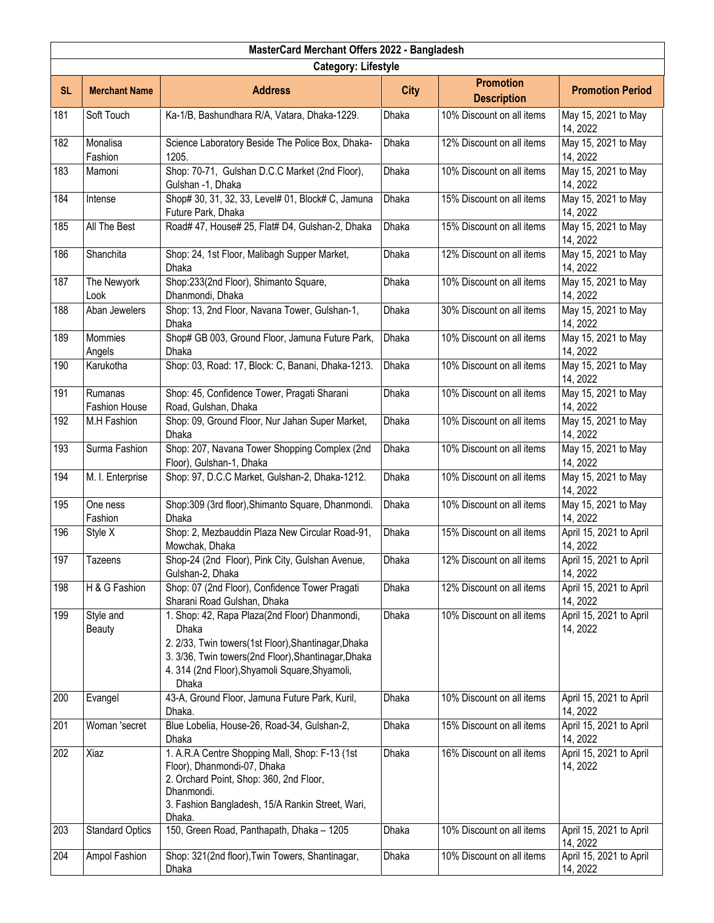|           | MasterCard Merchant Offers 2022 - Bangladesh |                                                                                                                                                                                                                                 |              |                                        |                                     |  |  |
|-----------|----------------------------------------------|---------------------------------------------------------------------------------------------------------------------------------------------------------------------------------------------------------------------------------|--------------|----------------------------------------|-------------------------------------|--|--|
|           | <b>Category: Lifestyle</b>                   |                                                                                                                                                                                                                                 |              |                                        |                                     |  |  |
| <b>SL</b> | <b>Merchant Name</b>                         | <b>Address</b>                                                                                                                                                                                                                  | <b>City</b>  | <b>Promotion</b><br><b>Description</b> | <b>Promotion Period</b>             |  |  |
| 181       | Soft Touch                                   | Ka-1/B, Bashundhara R/A, Vatara, Dhaka-1229.                                                                                                                                                                                    | Dhaka        | 10% Discount on all items              | May 15, 2021 to May<br>14, 2022     |  |  |
| 182       | Monalisa<br>Fashion                          | Science Laboratory Beside The Police Box, Dhaka-<br>1205.                                                                                                                                                                       | Dhaka        | 12% Discount on all items              | May 15, 2021 to May<br>14, 2022     |  |  |
| 183       | Mamoni                                       | Shop: 70-71, Gulshan D.C.C Market (2nd Floor),<br>Gulshan -1, Dhaka                                                                                                                                                             | <b>Dhaka</b> | 10% Discount on all items              | May 15, 2021 to May<br>14, 2022     |  |  |
| 184       | Intense                                      | Shop# 30, 31, 32, 33, Level# 01, Block# C, Jamuna<br>Future Park, Dhaka                                                                                                                                                         | <b>Dhaka</b> | 15% Discount on all items              | May 15, 2021 to May<br>14, 2022     |  |  |
| 185       | All The Best                                 | Road# 47, House# 25, Flat# D4, Gulshan-2, Dhaka                                                                                                                                                                                 | Dhaka        | 15% Discount on all items              | May 15, 2021 to May<br>14, 2022     |  |  |
| 186       | Shanchita                                    | Shop: 24, 1st Floor, Malibagh Supper Market,<br>Dhaka                                                                                                                                                                           | Dhaka        | 12% Discount on all items              | May 15, 2021 to May<br>14, 2022     |  |  |
| 187       | The Newyork<br>Look                          | Shop:233(2nd Floor), Shimanto Square,<br>Dhanmondi, Dhaka                                                                                                                                                                       | Dhaka        | 10% Discount on all items              | May 15, 2021 to May<br>14, 2022     |  |  |
| 188       | Aban Jewelers                                | Shop: 13, 2nd Floor, Navana Tower, Gulshan-1,<br>Dhaka                                                                                                                                                                          | Dhaka        | 30% Discount on all items              | May 15, 2021 to May<br>14, 2022     |  |  |
| 189       | Mommies<br>Angels                            | Shop# GB 003, Ground Floor, Jamuna Future Park,<br>Dhaka                                                                                                                                                                        | Dhaka        | 10% Discount on all items              | May 15, 2021 to May<br>14, 2022     |  |  |
| 190       | Karukotha                                    | Shop: 03, Road: 17, Block: C, Banani, Dhaka-1213.                                                                                                                                                                               | Dhaka        | 10% Discount on all items              | May 15, 2021 to May<br>14, 2022     |  |  |
| 191       | Rumanas<br><b>Fashion House</b>              | Shop: 45, Confidence Tower, Pragati Sharani<br>Road, Gulshan, Dhaka                                                                                                                                                             | <b>Dhaka</b> | 10% Discount on all items              | May 15, 2021 to May<br>14, 2022     |  |  |
| 192       | M.H Fashion                                  | Shop: 09, Ground Floor, Nur Jahan Super Market,<br>Dhaka                                                                                                                                                                        | Dhaka        | 10% Discount on all items              | May 15, 2021 to May<br>14, 2022     |  |  |
| 193       | Surma Fashion                                | Shop: 207, Navana Tower Shopping Complex (2nd<br>Floor), Gulshan-1, Dhaka                                                                                                                                                       | Dhaka        | 10% Discount on all items              | May 15, 2021 to May<br>14, 2022     |  |  |
| 194       | M. I. Enterprise                             | Shop: 97, D.C.C Market, Gulshan-2, Dhaka-1212.                                                                                                                                                                                  | Dhaka        | 10% Discount on all items              | May 15, 2021 to May<br>14, 2022     |  |  |
| 195       | One ness<br>Fashion                          | Shop:309 (3rd floor), Shimanto Square, Dhanmondi.<br>Dhaka                                                                                                                                                                      | Dhaka        | 10% Discount on all items              | May 15, 2021 to May<br>14, 2022     |  |  |
| 196       | Style X                                      | Shop: 2, Mezbauddin Plaza New Circular Road-91,<br>Mowchak, Dhaka                                                                                                                                                               | Dhaka        | 15% Discount on all items              | April 15, 2021 to April<br>14, 2022 |  |  |
| 197       | Tazeens                                      | Shop-24 (2nd Floor), Pink City, Gulshan Avenue,<br>Gulshan-2, Dhaka                                                                                                                                                             | Dhaka        | 12% Discount on all items              | April 15, 2021 to April<br>14, 2022 |  |  |
| 198       | H & G Fashion                                | Shop: 07 (2nd Floor), Confidence Tower Pragati<br>Sharani Road Gulshan, Dhaka                                                                                                                                                   | Dhaka        | 12% Discount on all items              | April 15, 2021 to April<br>14, 2022 |  |  |
| 199       | Style and<br><b>Beauty</b>                   | 1. Shop: 42, Rapa Plaza(2nd Floor) Dhanmondi,<br>Dhaka<br>2. 2/33, Twin towers(1st Floor), Shantinagar, Dhaka<br>3. 3/36, Twin towers(2nd Floor), Shantinagar, Dhaka<br>4. 314 (2nd Floor), Shyamoli Square, Shyamoli,<br>Dhaka | Dhaka        | 10% Discount on all items              | April 15, 2021 to April<br>14, 2022 |  |  |
| 200       | Evangel                                      | 43-A, Ground Floor, Jamuna Future Park, Kuril,<br>Dhaka.                                                                                                                                                                        | Dhaka        | 10% Discount on all items              | April 15, 2021 to April<br>14, 2022 |  |  |
| 201       | Woman 'secret                                | Blue Lobelia, House-26, Road-34, Gulshan-2,<br>Dhaka                                                                                                                                                                            | Dhaka        | 15% Discount on all items              | April 15, 2021 to April<br>14, 2022 |  |  |
| 202       | Xiaz                                         | 1. A.R.A Centre Shopping Mall, Shop: F-13 (1st<br>Floor), Dhanmondi-07, Dhaka<br>2. Orchard Point, Shop: 360, 2nd Floor,<br>Dhanmondi.<br>3. Fashion Bangladesh, 15/A Rankin Street, Wari,<br>Dhaka.                            | Dhaka        | 16% Discount on all items              | April 15, 2021 to April<br>14, 2022 |  |  |
| 203       | <b>Standard Optics</b>                       | 150, Green Road, Panthapath, Dhaka - 1205                                                                                                                                                                                       | Dhaka        | 10% Discount on all items              | April 15, 2021 to April<br>14, 2022 |  |  |
| 204       | Ampol Fashion                                | Shop: 321(2nd floor), Twin Towers, Shantinagar,<br>Dhaka                                                                                                                                                                        | Dhaka        | 10% Discount on all items              | April 15, 2021 to April<br>14, 2022 |  |  |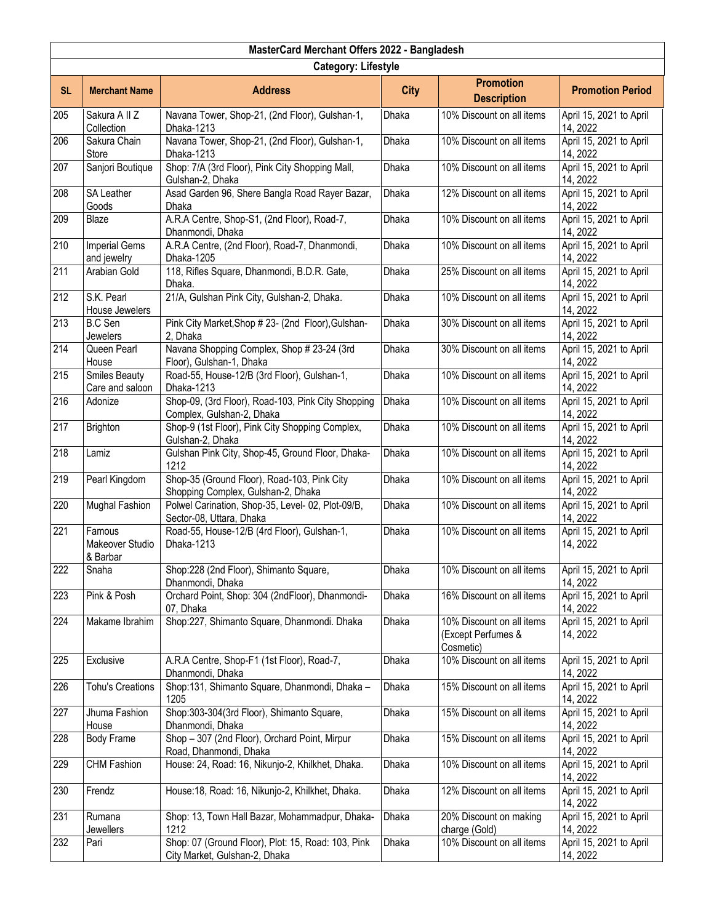|           | MasterCard Merchant Offers 2022 - Bangladesh |                                                                                     |              |                                                              |                                     |  |  |
|-----------|----------------------------------------------|-------------------------------------------------------------------------------------|--------------|--------------------------------------------------------------|-------------------------------------|--|--|
|           | <b>Category: Lifestyle</b>                   |                                                                                     |              |                                                              |                                     |  |  |
| <b>SL</b> | <b>Merchant Name</b>                         | <b>Address</b>                                                                      | <b>City</b>  | <b>Promotion</b><br><b>Description</b>                       | <b>Promotion Period</b>             |  |  |
| 205       | Sakura A II Z<br>Collection                  | Navana Tower, Shop-21, (2nd Floor), Gulshan-1,<br>Dhaka-1213                        | Dhaka        | 10% Discount on all items                                    | April 15, 2021 to April<br>14, 2022 |  |  |
| 206       | Sakura Chain<br>Store                        | Navana Tower, Shop-21, (2nd Floor), Gulshan-1,<br>Dhaka-1213                        | Dhaka        | 10% Discount on all items                                    | April 15, 2021 to April<br>14, 2022 |  |  |
| 207       | Sanjori Boutique                             | Shop: 7/A (3rd Floor), Pink City Shopping Mall,<br>Gulshan-2, Dhaka                 | <b>Dhaka</b> | 10% Discount on all items                                    | April 15, 2021 to April<br>14, 2022 |  |  |
| 208       | <b>SA Leather</b><br>Goods                   | Asad Garden 96, Shere Bangla Road Rayer Bazar,<br>Dhaka                             | <b>Dhaka</b> | 12% Discount on all items                                    | April 15, 2021 to April<br>14, 2022 |  |  |
| 209       | Blaze                                        | A.R.A Centre, Shop-S1, (2nd Floor), Road-7,<br>Dhanmondi, Dhaka                     | Dhaka        | 10% Discount on all items                                    | April 15, 2021 to April<br>14, 2022 |  |  |
| 210       | <b>Imperial Gems</b><br>and jewelry          | A.R.A Centre, (2nd Floor), Road-7, Dhanmondi,<br>Dhaka-1205                         | Dhaka        | 10% Discount on all items                                    | April 15, 2021 to April<br>14, 2022 |  |  |
| 211       | Arabian Gold                                 | 118, Rifles Square, Dhanmondi, B.D.R. Gate,<br>Dhaka.                               | <b>Dhaka</b> | 25% Discount on all items                                    | April 15, 2021 to April<br>14, 2022 |  |  |
| 212       | S.K. Pearl<br>House Jewelers                 | 21/A, Gulshan Pink City, Gulshan-2, Dhaka.                                          | <b>Dhaka</b> | 10% Discount on all items                                    | April 15, 2021 to April<br>14, 2022 |  |  |
| 213       | <b>B.C Sen</b><br><b>Jewelers</b>            | Pink City Market, Shop # 23- (2nd Floor), Gulshan-<br>2, Dhaka                      | Dhaka        | 30% Discount on all items                                    | April 15, 2021 to April<br>14, 2022 |  |  |
| 214       | Queen Pearl<br>House                         | Navana Shopping Complex, Shop # 23-24 (3rd<br>Floor), Gulshan-1, Dhaka              | Dhaka        | 30% Discount on all items                                    | April 15, 2021 to April<br>14, 2022 |  |  |
| 215       | <b>Smiles Beauty</b><br>Care and saloon      | Road-55, House-12/B (3rd Floor), Gulshan-1,<br>Dhaka-1213                           | <b>Dhaka</b> | 10% Discount on all items                                    | April 15, 2021 to April<br>14, 2022 |  |  |
| 216       | Adonize                                      | Shop-09, (3rd Floor), Road-103, Pink City Shopping<br>Complex, Gulshan-2, Dhaka     | <b>Dhaka</b> | 10% Discount on all items                                    | April 15, 2021 to April<br>14, 2022 |  |  |
| 217       | <b>Brighton</b>                              | Shop-9 (1st Floor), Pink City Shopping Complex,<br>Gulshan-2, Dhaka                 | <b>Dhaka</b> | 10% Discount on all items                                    | April 15, 2021 to April<br>14, 2022 |  |  |
| 218       | Lamiz                                        | Gulshan Pink City, Shop-45, Ground Floor, Dhaka-<br>1212                            | <b>Dhaka</b> | 10% Discount on all items                                    | April 15, 2021 to April<br>14, 2022 |  |  |
| 219       | Pearl Kingdom                                | Shop-35 (Ground Floor), Road-103, Pink City<br>Shopping Complex, Gulshan-2, Dhaka   | <b>Dhaka</b> | 10% Discount on all items                                    | April 15, 2021 to April<br>14, 2022 |  |  |
| 220       | <b>Mughal Fashion</b>                        | Polwel Carination, Shop-35, Level- 02, Plot-09/B,<br>Sector-08, Uttara, Dhaka       | <b>Dhaka</b> | 10% Discount on all items                                    | April 15, 2021 to April<br>14, 2022 |  |  |
| 221       | Famous<br>Makeover Studio<br>& Barbar        | Road-55, House-12/B (4rd Floor), Gulshan-1,<br>Dhaka-1213                           | Dhaka        | 10% Discount on all items                                    | April 15, 2021 to April<br>14, 2022 |  |  |
| 222       | Snaha                                        | Shop:228 (2nd Floor), Shimanto Square,<br>Dhanmondi, Dhaka                          | Dhaka        | 10% Discount on all items                                    | April 15, 2021 to April<br>14, 2022 |  |  |
| 223       | Pink & Posh                                  | Orchard Point, Shop: 304 (2ndFloor), Dhanmondi-<br>07, Dhaka                        | Dhaka        | 16% Discount on all items                                    | April 15, 2021 to April<br>14, 2022 |  |  |
| 224       | Makame Ibrahim                               | Shop:227, Shimanto Square, Dhanmondi. Dhaka                                         | Dhaka        | 10% Discount on all items<br>(Except Perfumes &<br>Cosmetic) | April 15, 2021 to April<br>14, 2022 |  |  |
| 225       | Exclusive                                    | A.R.A Centre, Shop-F1 (1st Floor), Road-7,<br>Dhanmondi, Dhaka                      | Dhaka        | 10% Discount on all items                                    | April 15, 2021 to April<br>14, 2022 |  |  |
| 226       | <b>Tohu's Creations</b>                      | Shop:131, Shimanto Square, Dhanmondi, Dhaka -<br>1205                               | Dhaka        | 15% Discount on all items                                    | April 15, 2021 to April<br>14, 2022 |  |  |
| 227       | Jhuma Fashion<br>House                       | Shop:303-304(3rd Floor), Shimanto Square,<br>Dhanmondi, Dhaka                       | Dhaka        | 15% Discount on all items                                    | April 15, 2021 to April<br>14, 2022 |  |  |
| 228       | <b>Body Frame</b>                            | Shop - 307 (2nd Floor), Orchard Point, Mirpur<br>Road, Dhanmondi, Dhaka             | Dhaka        | 15% Discount on all items                                    | April 15, 2021 to April<br>14, 2022 |  |  |
| 229       | <b>CHM Fashion</b>                           | House: 24, Road: 16, Nikunjo-2, Khilkhet, Dhaka.                                    | Dhaka        | 10% Discount on all items                                    | April 15, 2021 to April<br>14, 2022 |  |  |
| 230       | Frendz                                       | House:18, Road: 16, Nikunjo-2, Khilkhet, Dhaka.                                     | Dhaka        | 12% Discount on all items                                    | April 15, 2021 to April<br>14, 2022 |  |  |
| 231       | Rumana<br>Jewellers                          | Shop: 13, Town Hall Bazar, Mohammadpur, Dhaka-<br>1212                              | Dhaka        | 20% Discount on making<br>charge (Gold)                      | April 15, 2021 to April<br>14, 2022 |  |  |
| 232       | Pari                                         | Shop: 07 (Ground Floor), Plot: 15, Road: 103, Pink<br>City Market, Gulshan-2, Dhaka | Dhaka        | 10% Discount on all items                                    | April 15, 2021 to April<br>14, 2022 |  |  |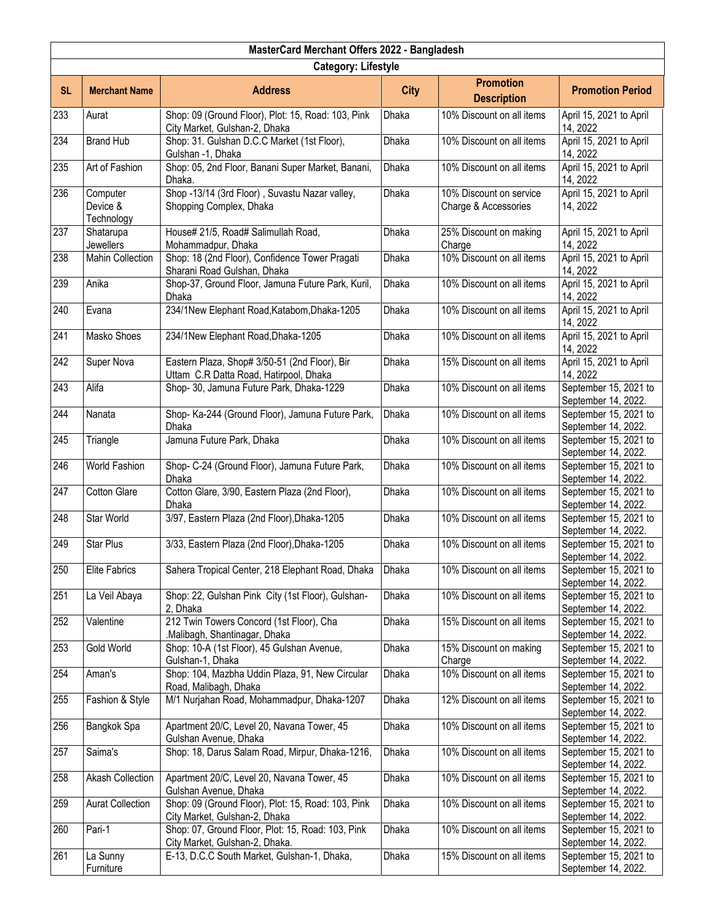| MasterCard Merchant Offers 2022 - Bangladesh |                                    |                                                                                         |              |                                                 |                                              |  |  |
|----------------------------------------------|------------------------------------|-----------------------------------------------------------------------------------------|--------------|-------------------------------------------------|----------------------------------------------|--|--|
|                                              | <b>Category: Lifestyle</b>         |                                                                                         |              |                                                 |                                              |  |  |
| <b>SL</b>                                    | <b>Merchant Name</b>               | <b>Address</b>                                                                          | <b>City</b>  | <b>Promotion</b><br><b>Description</b>          | <b>Promotion Period</b>                      |  |  |
| 233                                          | Aurat                              | Shop: 09 (Ground Floor), Plot: 15, Road: 103, Pink<br>City Market, Gulshan-2, Dhaka     | Dhaka        | 10% Discount on all items                       | April 15, 2021 to April<br>14, 2022          |  |  |
| 234                                          | <b>Brand Hub</b>                   | Shop: 31. Gulshan D.C.C Market (1st Floor),<br>Gulshan -1, Dhaka                        | Dhaka        | 10% Discount on all items                       | April 15, 2021 to April<br>14, 2022          |  |  |
| 235                                          | Art of Fashion                     | Shop: 05, 2nd Floor, Banani Super Market, Banani,<br>Dhaka.                             | Dhaka        | 10% Discount on all items                       | April 15, 2021 to April<br>14, 2022          |  |  |
| 236                                          | Computer<br>Device &<br>Technology | Shop -13/14 (3rd Floor), Suvastu Nazar valley,<br>Shopping Complex, Dhaka               | <b>Dhaka</b> | 10% Discount on service<br>Charge & Accessories | April 15, 2021 to April<br>14, 2022          |  |  |
| 237                                          | Shatarupa<br>Jewellers             | House# 21/5, Road# Salimullah Road,<br>Mohammadpur, Dhaka                               | Dhaka        | 25% Discount on making<br>Charge                | April 15, 2021 to April<br>14, 2022          |  |  |
| 238                                          | <b>Mahin Collection</b>            | Shop: 18 (2nd Floor), Confidence Tower Pragati<br>Sharani Road Gulshan, Dhaka           | Dhaka        | 10% Discount on all items                       | April 15, 2021 to April<br>14, 2022          |  |  |
| 239                                          | Anika                              | Shop-37, Ground Floor, Jamuna Future Park, Kuril,<br>Dhaka                              | Dhaka        | 10% Discount on all items                       | April 15, 2021 to April<br>14, 2022          |  |  |
| 240                                          | Evana                              | 234/1New Elephant Road, Katabom, Dhaka-1205                                             | Dhaka        | 10% Discount on all items                       | April 15, 2021 to April<br>14, 2022          |  |  |
| 241                                          | Masko Shoes                        | 234/1New Elephant Road, Dhaka-1205                                                      | Dhaka        | 10% Discount on all items                       | April 15, 2021 to April<br>14, 2022          |  |  |
| 242                                          | Super Nova                         | Eastern Plaza, Shop# 3/50-51 (2nd Floor), Bir<br>Uttam C.R Datta Road, Hatirpool, Dhaka | <b>Dhaka</b> | 15% Discount on all items                       | April 15, 2021 to April<br>14, 2022          |  |  |
| 243                                          | Alifa                              | Shop- 30, Jamuna Future Park, Dhaka-1229                                                | Dhaka        | 10% Discount on all items                       | September 15, 2021 to<br>September 14, 2022. |  |  |
| 244                                          | Nanata                             | Shop- Ka-244 (Ground Floor), Jamuna Future Park,<br>Dhaka                               | Dhaka        | 10% Discount on all items                       | September 15, 2021 to<br>September 14, 2022. |  |  |
| 245                                          | Triangle                           | Jamuna Future Park, Dhaka                                                               | Dhaka        | 10% Discount on all items                       | September 15, 2021 to<br>September 14, 2022. |  |  |
| 246                                          | World Fashion                      | Shop- C-24 (Ground Floor), Jamuna Future Park,<br>Dhaka                                 | Dhaka        | 10% Discount on all items                       | September 15, 2021 to<br>September 14, 2022. |  |  |
| 247                                          | <b>Cotton Glare</b>                | Cotton Glare, 3/90, Eastern Plaza (2nd Floor),<br>Dhaka                                 | Dhaka        | 10% Discount on all items                       | September 15, 2021 to<br>September 14, 2022. |  |  |
| 248                                          | Star World                         | 3/97, Eastern Plaza (2nd Floor), Dhaka-1205                                             | Dhaka        | 10% Discount on all items                       | September 15, 2021 to<br>September 14, 2022. |  |  |
| 249                                          | <b>Star Plus</b>                   | 3/33, Eastern Plaza (2nd Floor), Dhaka-1205                                             | Dhaka        | 10% Discount on all items                       | September 15, 2021 to<br>September 14, 2022. |  |  |
| 250                                          | Elite Fabrics                      | Sahera Tropical Center, 218 Elephant Road, Dhaka                                        | Dhaka        | 10% Discount on all items                       | September 15, 2021 to<br>September 14, 2022. |  |  |
| 251                                          | La Veil Abaya                      | Shop: 22, Gulshan Pink City (1st Floor), Gulshan-<br>2, Dhaka                           | Dhaka        | 10% Discount on all items                       | September 15, 2021 to<br>September 14, 2022. |  |  |
| 252                                          | Valentine                          | 212 Twin Towers Concord (1st Floor), Cha<br>Malibagh, Shantinagar, Dhaka                | Dhaka        | 15% Discount on all items                       | September 15, 2021 to<br>September 14, 2022. |  |  |
| 253                                          | Gold World                         | Shop: 10-A (1st Floor), 45 Gulshan Avenue,<br>Gulshan-1, Dhaka                          | Dhaka        | 15% Discount on making<br>Charge                | September 15, 2021 to<br>September 14, 2022. |  |  |
| 254                                          | Aman's                             | Shop: 104, Mazbha Uddin Plaza, 91, New Circular<br>Road, Malibagh, Dhaka                | Dhaka        | 10% Discount on all items                       | September 15, 2021 to<br>September 14, 2022. |  |  |
| 255                                          | Fashion & Style                    | M/1 Nurjahan Road, Mohammadpur, Dhaka-1207                                              | Dhaka        | 12% Discount on all items                       | September 15, 2021 to<br>September 14, 2022. |  |  |
| 256                                          | Bangkok Spa                        | Apartment 20/C, Level 20, Navana Tower, 45<br>Gulshan Avenue, Dhaka                     | Dhaka        | 10% Discount on all items                       | September 15, 2021 to<br>September 14, 2022. |  |  |
| 257                                          | Saima's                            | Shop: 18, Darus Salam Road, Mirpur, Dhaka-1216,                                         | Dhaka        | 10% Discount on all items                       | September 15, 2021 to<br>September 14, 2022. |  |  |
| 258                                          | Akash Collection                   | Apartment 20/C, Level 20, Navana Tower, 45<br>Gulshan Avenue, Dhaka                     | Dhaka        | 10% Discount on all items                       | September 15, 2021 to<br>September 14, 2022. |  |  |
| 259                                          | <b>Aurat Collection</b>            | Shop: 09 (Ground Floor), Plot: 15, Road: 103, Pink<br>City Market, Gulshan-2, Dhaka     | Dhaka        | 10% Discount on all items                       | September 15, 2021 to<br>September 14, 2022. |  |  |
| 260                                          | Pari-1                             | Shop: 07, Ground Floor, Plot: 15, Road: 103, Pink<br>City Market, Gulshan-2, Dhaka.     | Dhaka        | 10% Discount on all items                       | September 15, 2021 to<br>September 14, 2022. |  |  |
| 261                                          | La Sunny<br>Furniture              | E-13, D.C.C South Market, Gulshan-1, Dhaka,                                             | Dhaka        | 15% Discount on all items                       | September 15, 2021 to<br>September 14, 2022. |  |  |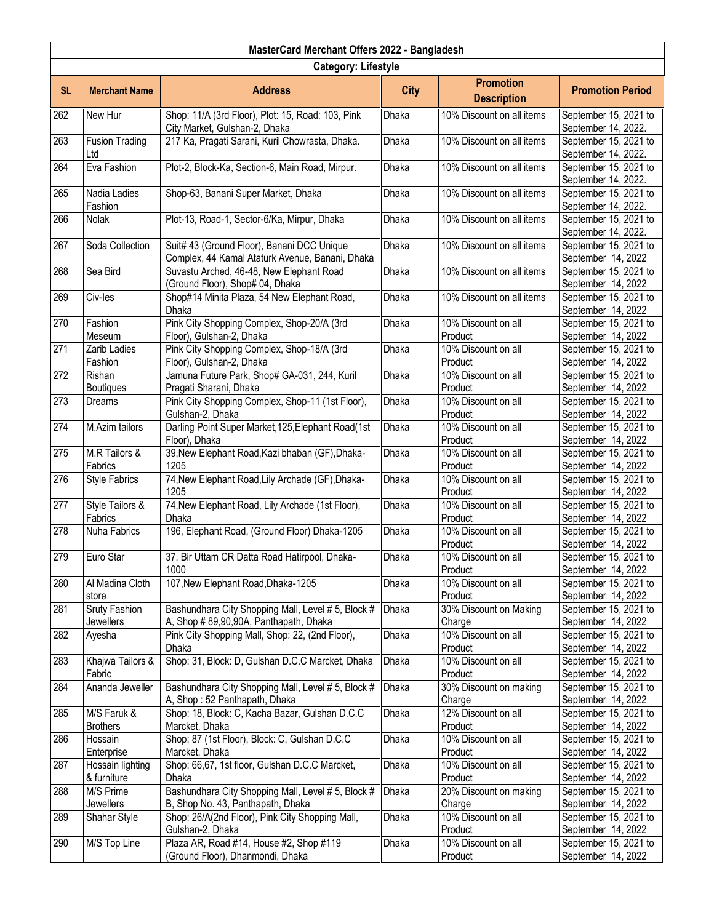| MasterCard Merchant Offers 2022 - Bangladesh |                                   |                                                                                               |              |                                        |                                              |  |  |
|----------------------------------------------|-----------------------------------|-----------------------------------------------------------------------------------------------|--------------|----------------------------------------|----------------------------------------------|--|--|
|                                              | <b>Category: Lifestyle</b>        |                                                                                               |              |                                        |                                              |  |  |
| <b>SL</b>                                    | <b>Merchant Name</b>              | <b>Address</b>                                                                                | <b>City</b>  | <b>Promotion</b><br><b>Description</b> | <b>Promotion Period</b>                      |  |  |
| 262                                          | New Hur                           | Shop: 11/A (3rd Floor), Plot: 15, Road: 103, Pink<br>City Market, Gulshan-2, Dhaka            | Dhaka        | 10% Discount on all items              | September 15, 2021 to<br>September 14, 2022. |  |  |
| 263                                          | <b>Fusion Trading</b><br>Ltd      | 217 Ka, Pragati Sarani, Kuril Chowrasta, Dhaka.                                               | <b>Dhaka</b> | 10% Discount on all items              | September 15, 2021 to<br>September 14, 2022. |  |  |
| 264                                          | Eva Fashion                       | Plot-2, Block-Ka, Section-6, Main Road, Mirpur.                                               | Dhaka        | 10% Discount on all items              | September 15, 2021 to<br>September 14, 2022. |  |  |
| 265                                          | Nadia Ladies<br>Fashion           | Shop-63, Banani Super Market, Dhaka                                                           | Dhaka        | 10% Discount on all items              | September 15, 2021 to<br>September 14, 2022. |  |  |
| 266                                          | Nolak                             | Plot-13, Road-1, Sector-6/Ka, Mirpur, Dhaka                                                   | Dhaka        | 10% Discount on all items              | September 15, 2021 to<br>September 14, 2022. |  |  |
| 267                                          | Soda Collection                   | Suit# 43 (Ground Floor), Banani DCC Unique<br>Complex, 44 Kamal Ataturk Avenue, Banani, Dhaka | Dhaka        | 10% Discount on all items              | September 15, 2021 to<br>September 14, 2022  |  |  |
| 268                                          | Sea Bird                          | Suvastu Arched, 46-48, New Elephant Road<br>(Ground Floor), Shop# 04, Dhaka                   | Dhaka        | 10% Discount on all items              | September 15, 2021 to<br>September 14, 2022  |  |  |
| 269                                          | Civ-les                           | Shop#14 Minita Plaza, 54 New Elephant Road,<br>Dhaka                                          | Dhaka        | 10% Discount on all items              | September 15, 2021 to<br>September 14, 2022  |  |  |
| 270                                          | Fashion<br>Meseum                 | Pink City Shopping Complex, Shop-20/A (3rd<br>Floor), Gulshan-2, Dhaka                        | Dhaka        | 10% Discount on all<br>Product         | September 15, 2021 to<br>September 14, 2022  |  |  |
| 271                                          | Zarib Ladies<br>Fashion           | Pink City Shopping Complex, Shop-18/A (3rd<br>Floor), Gulshan-2, Dhaka                        | <b>Dhaka</b> | 10% Discount on all<br>Product         | September 15, 2021 to<br>September 14, 2022  |  |  |
| 272                                          | Rishan<br><b>Boutiques</b>        | Jamuna Future Park, Shop# GA-031, 244, Kuril<br>Pragati Sharani, Dhaka                        | Dhaka        | 10% Discount on all<br>Product         | September 15, 2021 to<br>September 14, 2022  |  |  |
| 273                                          | Dreams                            | Pink City Shopping Complex, Shop-11 (1st Floor),<br>Gulshan-2, Dhaka                          | Dhaka        | 10% Discount on all<br>Product         | September 15, 2021 to<br>September 14, 2022  |  |  |
| 274                                          | M.Azim tailors                    | Darling Point Super Market, 125, Elephant Road(1st<br>Floor), Dhaka                           | Dhaka        | 10% Discount on all<br>Product         | September 15, 2021 to<br>September 14, 2022  |  |  |
| 275                                          | M.R Tailors &<br>Fabrics          | 39, New Elephant Road, Kazi bhaban (GF), Dhaka-<br>1205                                       | Dhaka        | 10% Discount on all<br>Product         | September 15, 2021 to<br>September 14, 2022  |  |  |
| 276                                          | <b>Style Fabrics</b>              | 74, New Elephant Road, Lily Archade (GF), Dhaka-<br>1205                                      | Dhaka        | 10% Discount on all<br>Product         | September 15, 2021 to<br>September 14, 2022  |  |  |
| 277                                          | Style Tailors &<br>Fabrics        | 74, New Elephant Road, Lily Archade (1st Floor),<br>Dhaka                                     | Dhaka        | 10% Discount on all<br>Product         | September 15, 2021 to<br>September 14, 2022  |  |  |
| 278                                          | Nuha Fabrics                      | 196, Elephant Road, (Ground Floor) Dhaka-1205                                                 | Dhaka        | 10% Discount on all<br>Product         | September 15, 2021 to<br>September 14, 2022  |  |  |
| 279                                          | Euro Star                         | 37, Bir Uttam CR Datta Road Hatirpool, Dhaka-<br>1000                                         | Dhaka        | 10% Discount on all<br>Product         | September 15, 2021 to<br>September 14, 2022  |  |  |
| 280                                          | Al Madina Cloth<br>store          | 107, New Elephant Road, Dhaka-1205                                                            | Dhaka        | 10% Discount on all<br>Product         | September 15, 2021 to<br>September 14, 2022  |  |  |
| 281                                          | Sruty Fashion<br><b>Jewellers</b> | Bashundhara City Shopping Mall, Level # 5, Block #<br>A, Shop # 89,90,90A, Panthapath, Dhaka  | Dhaka        | 30% Discount on Making<br>Charge       | September 15, 2021 to<br>September 14, 2022  |  |  |
| 282                                          | Ayesha                            | Pink City Shopping Mall, Shop: 22, (2nd Floor),<br><b>Dhaka</b>                               | <b>Dhaka</b> | 10% Discount on all<br>Product         | September 15, 2021 to<br>September 14, 2022  |  |  |
| 283                                          | Khajwa Tailors &<br>Fabric        | Shop: 31, Block: D, Gulshan D.C.C Marcket, Dhaka                                              | Dhaka        | 10% Discount on all<br>Product         | September 15, 2021 to<br>September 14, 2022  |  |  |
| 284                                          | Ananda Jeweller                   | Bashundhara City Shopping Mall, Level # 5, Block #<br>A, Shop: 52 Panthapath, Dhaka           | Dhaka        | 30% Discount on making<br>Charge       | September 15, 2021 to<br>September 14, 2022  |  |  |
| 285                                          | M/S Faruk &<br><b>Brothers</b>    | Shop: 18, Block: C, Kacha Bazar, Gulshan D.C.C<br>Marcket, Dhaka                              | Dhaka        | 12% Discount on all<br>Product         | September 15, 2021 to<br>September 14, 2022  |  |  |
| 286                                          | Hossain<br>Enterprise             | Shop: 87 (1st Floor), Block: C, Gulshan D.C.C<br>Marcket, Dhaka                               | Dhaka        | 10% Discount on all<br>Product         | September 15, 2021 to<br>September 14, 2022  |  |  |
| 287                                          | Hossain lighting<br>& furniture   | Shop: 66,67, 1st floor, Gulshan D.C.C Marcket,<br>Dhaka                                       | Dhaka        | 10% Discount on all<br>Product         | September 15, 2021 to<br>September 14, 2022  |  |  |
| 288                                          | M/S Prime<br>Jewellers            | Bashundhara City Shopping Mall, Level # 5, Block #<br>B, Shop No. 43, Panthapath, Dhaka       | Dhaka        | 20% Discount on making<br>Charge       | September 15, 2021 to<br>September 14, 2022  |  |  |
| 289                                          | Shahar Style                      | Shop: 26/A(2nd Floor), Pink City Shopping Mall,<br>Gulshan-2, Dhaka                           | Dhaka        | 10% Discount on all<br>Product         | September 15, 2021 to<br>September 14, 2022  |  |  |
| 290                                          | M/S Top Line                      | Plaza AR, Road #14, House #2, Shop #119<br>(Ground Floor), Dhanmondi, Dhaka                   | Dhaka        | 10% Discount on all<br>Product         | September 15, 2021 to<br>September 14, 2022  |  |  |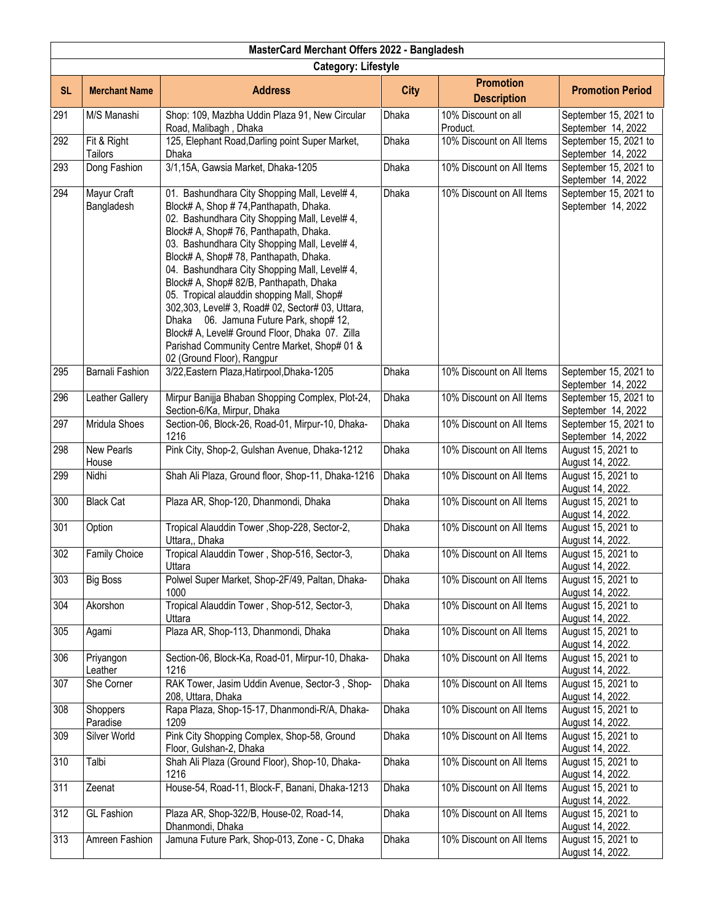|           | MasterCard Merchant Offers 2022 - Bangladesh |                                                                                                                                                                                                                                                                                                                                                                                                                                                                                                                                                                                                                                                        |              |                                        |                                             |  |  |
|-----------|----------------------------------------------|--------------------------------------------------------------------------------------------------------------------------------------------------------------------------------------------------------------------------------------------------------------------------------------------------------------------------------------------------------------------------------------------------------------------------------------------------------------------------------------------------------------------------------------------------------------------------------------------------------------------------------------------------------|--------------|----------------------------------------|---------------------------------------------|--|--|
|           | <b>Category: Lifestyle</b>                   |                                                                                                                                                                                                                                                                                                                                                                                                                                                                                                                                                                                                                                                        |              |                                        |                                             |  |  |
| <b>SL</b> | <b>Merchant Name</b>                         | <b>Address</b>                                                                                                                                                                                                                                                                                                                                                                                                                                                                                                                                                                                                                                         | <b>City</b>  | <b>Promotion</b><br><b>Description</b> | <b>Promotion Period</b>                     |  |  |
| 291       | M/S Manashi                                  | Shop: 109, Mazbha Uddin Plaza 91, New Circular<br>Road, Malibagh, Dhaka                                                                                                                                                                                                                                                                                                                                                                                                                                                                                                                                                                                | Dhaka        | 10% Discount on all<br>Product.        | September 15, 2021 to<br>September 14, 2022 |  |  |
| 292       | Fit & Right<br>Tailors                       | 125, Elephant Road, Darling point Super Market,<br>Dhaka                                                                                                                                                                                                                                                                                                                                                                                                                                                                                                                                                                                               | Dhaka        | 10% Discount on All Items              | September 15, 2021 to<br>September 14, 2022 |  |  |
| 293       | Dong Fashion                                 | 3/1,15A, Gawsia Market, Dhaka-1205                                                                                                                                                                                                                                                                                                                                                                                                                                                                                                                                                                                                                     | Dhaka        | 10% Discount on All Items              | September 15, 2021 to<br>September 14, 2022 |  |  |
| 294       | Mayur Craft<br>Bangladesh                    | 01. Bashundhara City Shopping Mall, Level# 4,<br>Block# A, Shop #74, Panthapath, Dhaka.<br>02. Bashundhara City Shopping Mall, Level# 4,<br>Block# A, Shop# 76, Panthapath, Dhaka.<br>03. Bashundhara City Shopping Mall, Level# 4,<br>Block# A, Shop# 78, Panthapath, Dhaka.<br>04. Bashundhara City Shopping Mall, Level# 4,<br>Block# A, Shop# 82/B, Panthapath, Dhaka<br>05. Tropical alauddin shopping Mall, Shop#<br>302,303, Level# 3, Road# 02, Sector# 03, Uttara,<br>Dhaka 06. Jamuna Future Park, shop# 12,<br>Block# A, Level# Ground Floor, Dhaka 07. Zilla<br>Parishad Community Centre Market, Shop# 01 &<br>02 (Ground Floor), Rangpur | <b>Dhaka</b> | 10% Discount on All Items              | September 15, 2021 to<br>September 14, 2022 |  |  |
| 295       | Barnali Fashion                              | 3/22, Eastern Plaza, Hatirpool, Dhaka-1205                                                                                                                                                                                                                                                                                                                                                                                                                                                                                                                                                                                                             | Dhaka        | 10% Discount on All Items              | September 15, 2021 to<br>September 14, 2022 |  |  |
| 296       | Leather Gallery                              | Mirpur Banijja Bhaban Shopping Complex, Plot-24,<br>Section-6/Ka, Mirpur, Dhaka                                                                                                                                                                                                                                                                                                                                                                                                                                                                                                                                                                        | Dhaka        | 10% Discount on All Items              | September 15, 2021 to<br>September 14, 2022 |  |  |
| 297       | Mridula Shoes                                | Section-06, Block-26, Road-01, Mirpur-10, Dhaka-<br>1216                                                                                                                                                                                                                                                                                                                                                                                                                                                                                                                                                                                               | Dhaka        | 10% Discount on All Items              | September 15, 2021 to<br>September 14, 2022 |  |  |
| 298       | <b>New Pearls</b><br>House                   | Pink City, Shop-2, Gulshan Avenue, Dhaka-1212                                                                                                                                                                                                                                                                                                                                                                                                                                                                                                                                                                                                          | Dhaka        | 10% Discount on All Items              | August 15, 2021 to<br>August 14, 2022.      |  |  |
| 299       | Nidhi                                        | Shah Ali Plaza, Ground floor, Shop-11, Dhaka-1216                                                                                                                                                                                                                                                                                                                                                                                                                                                                                                                                                                                                      | Dhaka        | 10% Discount on All Items              | August 15, 2021 to<br>August 14, 2022.      |  |  |
| 300       | <b>Black Cat</b>                             | Plaza AR, Shop-120, Dhanmondi, Dhaka                                                                                                                                                                                                                                                                                                                                                                                                                                                                                                                                                                                                                   | Dhaka        | 10% Discount on All Items              | August 15, 2021 to<br>August 14, 2022.      |  |  |
| 301       | Option                                       | Tropical Alauddin Tower, Shop-228, Sector-2,<br>Uttara,, Dhaka                                                                                                                                                                                                                                                                                                                                                                                                                                                                                                                                                                                         | Dhaka        | 10% Discount on All Items              | August 15, 2021 to<br>August 14, 2022.      |  |  |
| 302       | <b>Family Choice</b>                         | Tropical Alauddin Tower, Shop-516, Sector-3,<br>Uttara                                                                                                                                                                                                                                                                                                                                                                                                                                                                                                                                                                                                 | Dhaka        | 10% Discount on All Items              | August 15, 2021 to<br>August 14, 2022.      |  |  |
| 303       | <b>Big Boss</b>                              | Polwel Super Market, Shop-2F/49, Paltan, Dhaka-<br>1000                                                                                                                                                                                                                                                                                                                                                                                                                                                                                                                                                                                                | Dhaka        | 10% Discount on All Items              | August 15, 2021 to<br>August 14, 2022.      |  |  |
| 304       | Akorshon                                     | Tropical Alauddin Tower, Shop-512, Sector-3,<br>Uttara                                                                                                                                                                                                                                                                                                                                                                                                                                                                                                                                                                                                 | Dhaka        | 10% Discount on All Items              | August 15, 2021 to<br>August 14, 2022.      |  |  |
| 305       | Agami                                        | Plaza AR, Shop-113, Dhanmondi, Dhaka                                                                                                                                                                                                                                                                                                                                                                                                                                                                                                                                                                                                                   | Dhaka        | 10% Discount on All Items              | August 15, 2021 to<br>August 14, 2022.      |  |  |
| 306       | Priyangon<br>Leather                         | Section-06, Block-Ka, Road-01, Mirpur-10, Dhaka-<br>1216                                                                                                                                                                                                                                                                                                                                                                                                                                                                                                                                                                                               | Dhaka        | 10% Discount on All Items              | August 15, 2021 to<br>August 14, 2022.      |  |  |
| 307       | She Corner                                   | RAK Tower, Jasim Uddin Avenue, Sector-3, Shop-<br>208, Uttara, Dhaka                                                                                                                                                                                                                                                                                                                                                                                                                                                                                                                                                                                   | Dhaka        | 10% Discount on All Items              | August 15, 2021 to<br>August 14, 2022.      |  |  |
| 308       | Shoppers<br>Paradise                         | Rapa Plaza, Shop-15-17, Dhanmondi-R/A, Dhaka-<br>1209                                                                                                                                                                                                                                                                                                                                                                                                                                                                                                                                                                                                  | Dhaka        | 10% Discount on All Items              | August 15, 2021 to<br>August 14, 2022.      |  |  |
| 309       | Silver World                                 | Pink City Shopping Complex, Shop-58, Ground<br>Floor, Gulshan-2, Dhaka                                                                                                                                                                                                                                                                                                                                                                                                                                                                                                                                                                                 | Dhaka        | 10% Discount on All Items              | August 15, 2021 to<br>August 14, 2022.      |  |  |
| 310       | Talbi                                        | Shah Ali Plaza (Ground Floor), Shop-10, Dhaka-<br>1216                                                                                                                                                                                                                                                                                                                                                                                                                                                                                                                                                                                                 | <b>Dhaka</b> | 10% Discount on All Items              | August 15, 2021 to<br>August 14, 2022.      |  |  |
| 311       | Zeenat                                       | House-54, Road-11, Block-F, Banani, Dhaka-1213                                                                                                                                                                                                                                                                                                                                                                                                                                                                                                                                                                                                         | Dhaka        | 10% Discount on All Items              | August 15, 2021 to<br>August 14, 2022.      |  |  |
| 312       | <b>GL Fashion</b>                            | Plaza AR, Shop-322/B, House-02, Road-14,<br>Dhanmondi, Dhaka                                                                                                                                                                                                                                                                                                                                                                                                                                                                                                                                                                                           | Dhaka        | 10% Discount on All Items              | August 15, 2021 to<br>August 14, 2022.      |  |  |
| 313       | Amreen Fashion                               | Jamuna Future Park, Shop-013, Zone - C, Dhaka                                                                                                                                                                                                                                                                                                                                                                                                                                                                                                                                                                                                          | <b>Dhaka</b> | 10% Discount on All Items              | August 15, 2021 to<br>August 14, 2022.      |  |  |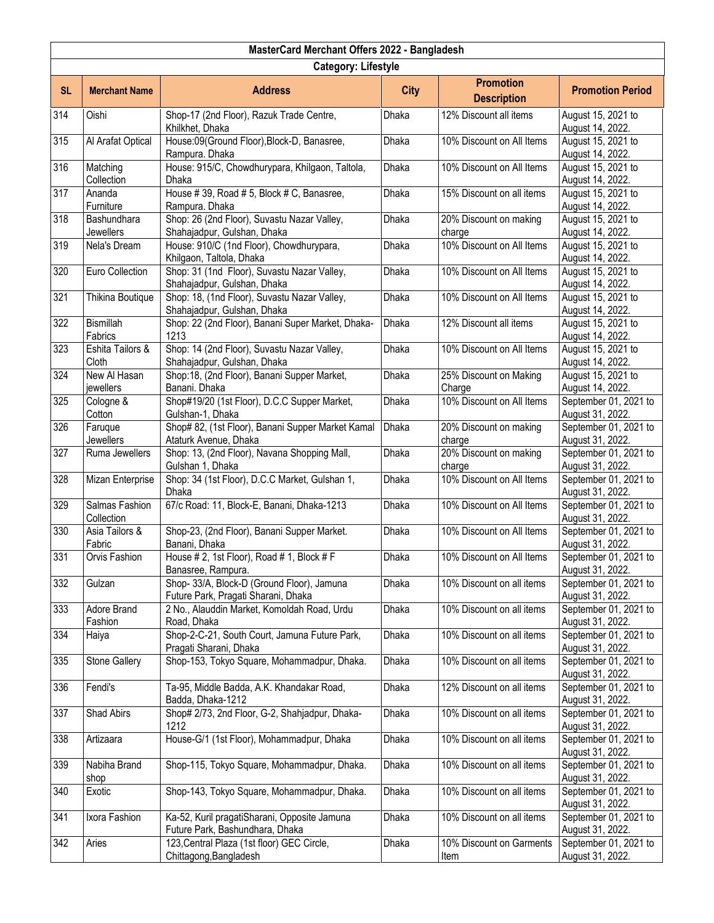|           | MasterCard Merchant Offers 2022 - Bangladesh |                                                                                   |              |                                        |                                           |  |  |
|-----------|----------------------------------------------|-----------------------------------------------------------------------------------|--------------|----------------------------------------|-------------------------------------------|--|--|
|           | <b>Category: Lifestyle</b>                   |                                                                                   |              |                                        |                                           |  |  |
| <b>SL</b> | <b>Merchant Name</b>                         | <b>Address</b>                                                                    | <b>City</b>  | <b>Promotion</b><br><b>Description</b> | <b>Promotion Period</b>                   |  |  |
| 314       | Oishi                                        | Shop-17 (2nd Floor), Razuk Trade Centre,<br>Khilkhet, Dhaka                       | Dhaka        | 12% Discount all items                 | August 15, 2021 to<br>August 14, 2022.    |  |  |
| 315       | Al Arafat Optical                            | House:09(Ground Floor), Block-D, Banasree,<br>Rampura. Dhaka                      | Dhaka        | 10% Discount on All Items              | August 15, 2021 to<br>August 14, 2022.    |  |  |
| 316       | Matching<br>Collection                       | House: 915/C, Chowdhurypara, Khilgaon, Taltola,<br>Dhaka                          | Dhaka        | 10% Discount on All Items              | August 15, 2021 to<br>August 14, 2022.    |  |  |
| 317       | Ananda<br>Furniture                          | House #39, Road #5, Block #C, Banasree,<br>Rampura. Dhaka                         | Dhaka        | 15% Discount on all items              | August 15, 2021 to<br>August 14, 2022.    |  |  |
| 318       | Bashundhara<br><b>Jewellers</b>              | Shop: 26 (2nd Floor), Suvastu Nazar Valley,<br>Shahajadpur, Gulshan, Dhaka        | Dhaka        | 20% Discount on making<br>charge       | August 15, 2021 to<br>August 14, 2022.    |  |  |
| 319       | Nela's Dream                                 | House: 910/C (1nd Floor), Chowdhurypara,<br>Khilgaon, Taltola, Dhaka              | Dhaka        | 10% Discount on All Items              | August 15, 2021 to<br>August 14, 2022.    |  |  |
| 320       | Euro Collection                              | Shop: 31 (1nd Floor), Suvastu Nazar Valley,<br>Shahajadpur, Gulshan, Dhaka        | Dhaka        | 10% Discount on All Items              | August 15, 2021 to<br>August 14, 2022.    |  |  |
| 321       | Thikina Boutique                             | Shop: 18, (1nd Floor), Suvastu Nazar Valley,<br>Shahajadpur, Gulshan, Dhaka       | Dhaka        | 10% Discount on All Items              | August 15, 2021 to<br>August 14, 2022.    |  |  |
| 322       | Bismillah<br>Fabrics                         | Shop: 22 (2nd Floor), Banani Super Market, Dhaka-<br>1213                         | Dhaka        | 12% Discount all items                 | August 15, 2021 to<br>August 14, 2022.    |  |  |
| 323       | Eshita Tailors &<br>Cloth                    | Shop: 14 (2nd Floor), Suvastu Nazar Valley,<br>Shahajadpur, Gulshan, Dhaka        | <b>Dhaka</b> | 10% Discount on All Items              | August 15, 2021 to<br>August 14, 2022.    |  |  |
| 324       | New Al Hasan<br>jewellers                    | Shop:18, (2nd Floor), Banani Supper Market,<br>Banani. Dhaka                      | Dhaka        | 25% Discount on Making<br>Charge       | August 15, 2021 to<br>August 14, 2022.    |  |  |
| 325       | Cologne &<br>Cotton                          | Shop#19/20 (1st Floor), D.C.C Supper Market,<br>Gulshan-1, Dhaka                  | Dhaka        | 10% Discount on All Items              | September 01, 2021 to<br>August 31, 2022. |  |  |
| 326       | Faruque<br><b>Jewellers</b>                  | Shop# 82, (1st Floor), Banani Supper Market Kamal<br>Ataturk Avenue, Dhaka        | Dhaka        | 20% Discount on making<br>charge       | September 01, 2021 to<br>August 31, 2022. |  |  |
| 327       | Ruma Jewellers                               | Shop: 13, (2nd Floor), Navana Shopping Mall,<br>Gulshan 1, Dhaka                  | Dhaka        | 20% Discount on making<br>charge       | September 01, 2021 to<br>August 31, 2022. |  |  |
| 328       | Mizan Enterprise                             | Shop: 34 (1st Floor), D.C.C Market, Gulshan 1,<br>Dhaka                           | Dhaka        | 10% Discount on All Items              | September 01, 2021 to<br>August 31, 2022. |  |  |
| 329       | Salmas Fashion<br>Collection                 | 67/c Road: 11, Block-E, Banani, Dhaka-1213                                        | Dhaka        | 10% Discount on All Items              | September 01, 2021 to<br>August 31, 2022. |  |  |
| 330       | Asia Tailors &<br>Fabric                     | Shop-23, (2nd Floor), Banani Supper Market.<br>Banani, Dhaka                      | Dhaka        | 10% Discount on All Items              | September 01, 2021 to<br>August 31, 2022. |  |  |
| 331       | Orvis Fashion                                | House # 2, 1st Floor), Road # 1, Block # F<br>Banasree, Rampura.                  | Dhaka        | 10% Discount on All Items              | September 01, 2021 to<br>August 31, 2022. |  |  |
| 332       | Gulzan                                       | Shop- 33/A, Block-D (Ground Floor), Jamuna<br>Future Park, Pragati Sharani, Dhaka | Dhaka        | 10% Discount on all items              | September 01, 2021 to<br>August 31, 2022. |  |  |
| 333       | Adore Brand<br>Fashion                       | 2 No., Alauddin Market, Komoldah Road, Urdu<br>Road, Dhaka                        | Dhaka        | 10% Discount on all items              | September 01, 2021 to<br>August 31, 2022. |  |  |
| 334       | Haiya                                        | Shop-2-C-21, South Court, Jamuna Future Park,<br>Pragati Sharani, Dhaka           | <b>Dhaka</b> | 10% Discount on all items              | September 01, 2021 to<br>August 31, 2022. |  |  |
| 335       | <b>Stone Gallery</b>                         | Shop-153, Tokyo Square, Mohammadpur, Dhaka.                                       | Dhaka        | 10% Discount on all items              | September 01, 2021 to<br>August 31, 2022. |  |  |
| 336       | Fendi's                                      | Ta-95, Middle Badda, A.K. Khandakar Road,<br>Badda, Dhaka-1212                    | Dhaka        | 12% Discount on all items              | September 01, 2021 to<br>August 31, 2022. |  |  |
| 337       | Shad Abirs                                   | Shop# 2/73, 2nd Floor, G-2, Shahjadpur, Dhaka-<br>1212                            | Dhaka        | 10% Discount on all items              | September 01, 2021 to<br>August 31, 2022. |  |  |
| 338       | Artizaara                                    | House-G/1 (1st Floor), Mohammadpur, Dhaka                                         | Dhaka        | 10% Discount on all items              | September 01, 2021 to<br>August 31, 2022. |  |  |
| 339       | Nabiha Brand<br>shop                         | Shop-115, Tokyo Square, Mohammadpur, Dhaka.                                       | Dhaka        | 10% Discount on all items              | September 01, 2021 to<br>August 31, 2022. |  |  |
| 340       | Exotic                                       | Shop-143, Tokyo Square, Mohammadpur, Dhaka.                                       | Dhaka        | 10% Discount on all items              | September 01, 2021 to<br>August 31, 2022. |  |  |
| 341       | Ixora Fashion                                | Ka-52, Kuril pragatiSharani, Opposite Jamuna<br>Future Park, Bashundhara, Dhaka   | Dhaka        | 10% Discount on all items              | September 01, 2021 to<br>August 31, 2022. |  |  |
| 342       | Aries                                        | 123, Central Plaza (1st floor) GEC Circle,<br>Chittagong, Bangladesh              | Dhaka        | 10% Discount on Garments<br>Item       | September 01, 2021 to<br>August 31, 2022. |  |  |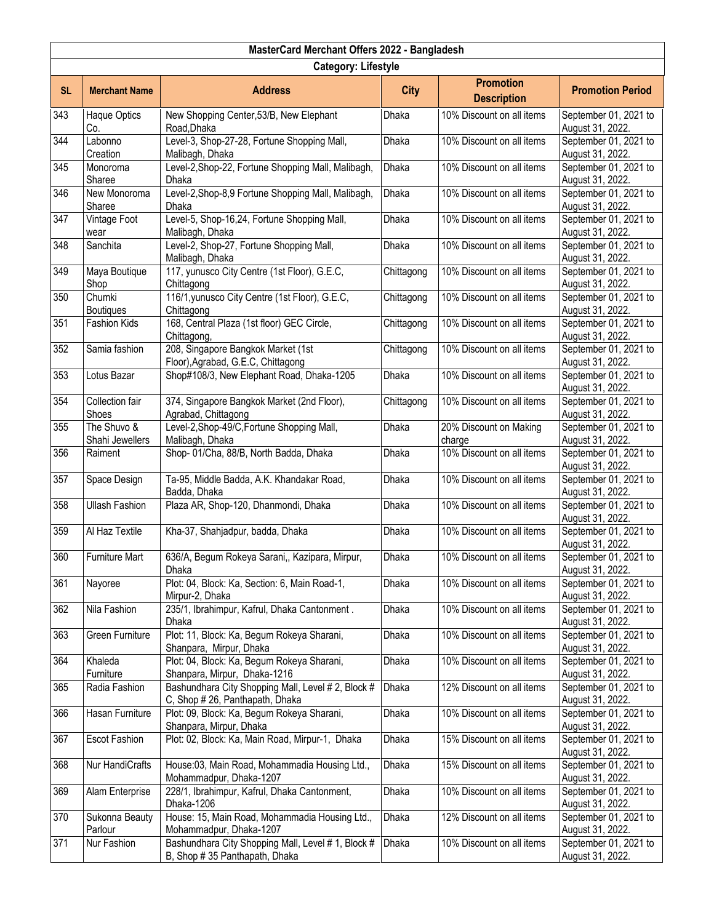|                  | MasterCard Merchant Offers 2022 - Bangladesh |                                                                                       |              |                                        |                                           |  |  |
|------------------|----------------------------------------------|---------------------------------------------------------------------------------------|--------------|----------------------------------------|-------------------------------------------|--|--|
|                  | <b>Category: Lifestyle</b>                   |                                                                                       |              |                                        |                                           |  |  |
| <b>SL</b>        | <b>Merchant Name</b>                         | <b>Address</b>                                                                        | <b>City</b>  | <b>Promotion</b><br><b>Description</b> | <b>Promotion Period</b>                   |  |  |
| 343              | Haque Optics<br>Co.                          | New Shopping Center, 53/B, New Elephant<br>Road, Dhaka                                | Dhaka        | 10% Discount on all items              | September 01, 2021 to<br>August 31, 2022. |  |  |
| 344              | Labonno<br>Creation                          | Level-3, Shop-27-28, Fortune Shopping Mall,<br>Malibagh, Dhaka                        | Dhaka        | 10% Discount on all items              | September 01, 2021 to<br>August 31, 2022. |  |  |
| 345              | Monoroma<br>Sharee                           | Level-2, Shop-22, Fortune Shopping Mall, Malibagh,<br>Dhaka                           | Dhaka        | 10% Discount on all items              | September 01, 2021 to<br>August 31, 2022. |  |  |
| 346              | New Monoroma<br>Sharee                       | Level-2, Shop-8,9 Fortune Shopping Mall, Malibagh,<br>Dhaka                           | <b>Dhaka</b> | 10% Discount on all items              | September 01, 2021 to<br>August 31, 2022. |  |  |
| 347              | Vintage Foot<br>wear                         | Level-5, Shop-16,24, Fortune Shopping Mall,<br>Malibagh, Dhaka                        | Dhaka        | 10% Discount on all items              | September 01, 2021 to<br>August 31, 2022. |  |  |
| 348              | Sanchita                                     | Level-2, Shop-27, Fortune Shopping Mall,<br>Malibagh, Dhaka                           | Dhaka        | 10% Discount on all items              | September 01, 2021 to<br>August 31, 2022. |  |  |
| 349              | Maya Boutique<br>Shop                        | 117, yunusco City Centre (1st Floor), G.E.C,<br>Chittagong                            | Chittagong   | 10% Discount on all items              | September 01, 2021 to<br>August 31, 2022. |  |  |
| 350              | Chumki<br><b>Boutiques</b>                   | 116/1, yunusco City Centre (1st Floor), G.E.C,<br>Chittagong                          | Chittagong   | 10% Discount on all items              | September 01, 2021 to<br>August 31, 2022. |  |  |
| 351              | Fashion Kids                                 | 168, Central Plaza (1st floor) GEC Circle,<br>Chittagong,                             | Chittagong   | 10% Discount on all items              | September 01, 2021 to<br>August 31, 2022. |  |  |
| $\overline{352}$ | Samia fashion                                | 208, Singapore Bangkok Market (1st<br>Floor), Agrabad, G.E.C, Chittagong              | Chittagong   | 10% Discount on all items              | September 01, 2021 to<br>August 31, 2022. |  |  |
| 353              | Lotus Bazar                                  | Shop#108/3, New Elephant Road, Dhaka-1205                                             | Dhaka        | 10% Discount on all items              | September 01, 2021 to<br>August 31, 2022. |  |  |
| 354              | Collection fair<br>Shoes                     | 374, Singapore Bangkok Market (2nd Floor),<br>Agrabad, Chittagong                     | Chittagong   | 10% Discount on all items              | September 01, 2021 to<br>August 31, 2022. |  |  |
| 355              | The Shuvo &<br>Shahi Jewellers               | Level-2, Shop-49/C, Fortune Shopping Mall,<br>Malibagh, Dhaka                         | Dhaka        | 20% Discount on Making<br>charge       | September 01, 2021 to<br>August 31, 2022. |  |  |
| 356              | Raiment                                      | Shop-01/Cha, 88/B, North Badda, Dhaka                                                 | Dhaka        | 10% Discount on all items              | September 01, 2021 to<br>August 31, 2022. |  |  |
| 357              | Space Design                                 | Ta-95, Middle Badda, A.K. Khandakar Road,<br>Badda, Dhaka                             | Dhaka        | 10% Discount on all items              | September 01, 2021 to<br>August 31, 2022. |  |  |
| 358              | <b>Ullash Fashion</b>                        | Plaza AR, Shop-120, Dhanmondi, Dhaka                                                  | <b>Dhaka</b> | 10% Discount on all items              | September 01, 2021 to<br>August 31, 2022. |  |  |
| 359              | Al Haz Textile                               | Kha-37, Shahjadpur, badda, Dhaka                                                      | Dhaka        | 10% Discount on all items              | September 01, 2021 to<br>August 31, 2022. |  |  |
| 360              | <b>Furniture Mart</b>                        | 636/A, Begum Rokeya Sarani,, Kazipara, Mirpur,<br>Dhaka                               | Dhaka        | 10% Discount on all items              | September 01, 2021 to<br>August 31, 2022. |  |  |
| 361              | Nayoree                                      | Plot: 04, Block: Ka, Section: 6, Main Road-1,<br>Mirpur-2, Dhaka                      | Dhaka        | 10% Discount on all items              | September 01, 2021 to<br>August 31, 2022. |  |  |
| 362              | Nila Fashion                                 | 235/1, Ibrahimpur, Kafrul, Dhaka Cantonment.<br>Dhaka                                 | Dhaka        | 10% Discount on all items              | September 01, 2021 to<br>August 31, 2022. |  |  |
| 363              | Green Furniture                              | Plot: 11, Block: Ka, Begum Rokeya Sharani,<br>Shanpara, Mirpur, Dhaka                 | <b>Dhaka</b> | 10% Discount on all items              | September 01, 2021 to<br>August 31, 2022. |  |  |
| 364              | Khaleda<br>Furniture                         | Plot: 04, Block: Ka, Begum Rokeya Sharani,<br>Shanpara, Mirpur, Dhaka-1216            | Dhaka        | 10% Discount on all items              | September 01, 2021 to<br>August 31, 2022. |  |  |
| 365              | Radia Fashion                                | Bashundhara City Shopping Mall, Level # 2, Block #<br>C, Shop # 26, Panthapath, Dhaka | Dhaka        | 12% Discount on all items              | September 01, 2021 to<br>August 31, 2022. |  |  |
| 366              | Hasan Furniture                              | Plot: 09, Block: Ka, Begum Rokeya Sharani,<br>Shanpara, Mirpur, Dhaka                 | Dhaka        | 10% Discount on all items              | September 01, 2021 to<br>August 31, 2022. |  |  |
| 367              | <b>Escot Fashion</b>                         | Plot: 02, Block: Ka, Main Road, Mirpur-1, Dhaka                                       | Dhaka        | 15% Discount on all items              | September 01, 2021 to<br>August 31, 2022. |  |  |
| 368              | Nur HandiCrafts                              | House:03, Main Road, Mohammadia Housing Ltd.,<br>Mohammadpur, Dhaka-1207              | Dhaka        | 15% Discount on all items              | September 01, 2021 to<br>August 31, 2022. |  |  |
| 369              | Alam Enterprise                              | 228/1, Ibrahimpur, Kafrul, Dhaka Cantonment,<br>Dhaka-1206                            | Dhaka        | 10% Discount on all items              | September 01, 2021 to<br>August 31, 2022. |  |  |
| 370              | Sukonna Beauty<br>Parlour                    | House: 15, Main Road, Mohammadia Housing Ltd.,<br>Mohammadpur, Dhaka-1207             | Dhaka        | 12% Discount on all items              | September 01, 2021 to<br>August 31, 2022. |  |  |
| 371              | Nur Fashion                                  | Bashundhara City Shopping Mall, Level # 1, Block #<br>B, Shop #35 Panthapath, Dhaka   | Dhaka        | 10% Discount on all items              | September 01, 2021 to<br>August 31, 2022. |  |  |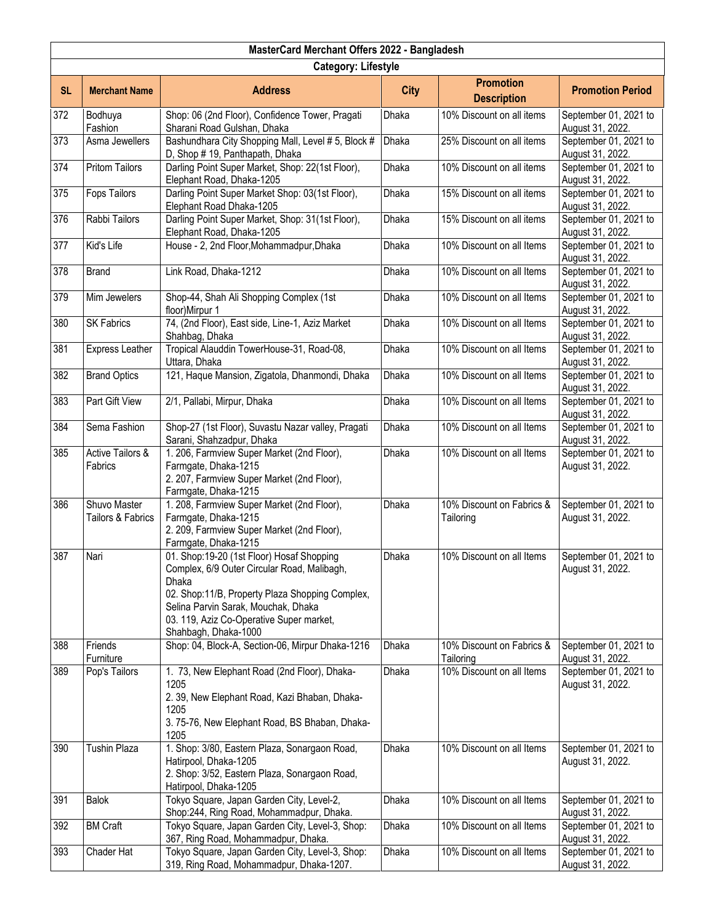|                  | MasterCard Merchant Offers 2022 - Bangladesh |                                                                                                                                                                                                                                                                 |              |                                        |                                           |  |  |
|------------------|----------------------------------------------|-----------------------------------------------------------------------------------------------------------------------------------------------------------------------------------------------------------------------------------------------------------------|--------------|----------------------------------------|-------------------------------------------|--|--|
|                  | <b>Category: Lifestyle</b>                   |                                                                                                                                                                                                                                                                 |              |                                        |                                           |  |  |
| <b>SL</b>        | <b>Merchant Name</b>                         | <b>Address</b>                                                                                                                                                                                                                                                  | <b>City</b>  | <b>Promotion</b><br><b>Description</b> | <b>Promotion Period</b>                   |  |  |
| 372              | Bodhuya<br>Fashion                           | Shop: 06 (2nd Floor), Confidence Tower, Pragati<br>Sharani Road Gulshan, Dhaka                                                                                                                                                                                  | <b>Dhaka</b> | 10% Discount on all items              | September 01, 2021 to<br>August 31, 2022. |  |  |
| $\overline{373}$ | Asma Jewellers                               | Bashundhara City Shopping Mall, Level # 5, Block #<br>D, Shop # 19, Panthapath, Dhaka                                                                                                                                                                           | Dhaka        | 25% Discount on all items              | September 01, 2021 to<br>August 31, 2022. |  |  |
| 374              | <b>Pritom Tailors</b>                        | Darling Point Super Market, Shop: 22(1st Floor),<br>Elephant Road, Dhaka-1205                                                                                                                                                                                   | Dhaka        | 10% Discount on all items              | September 01, 2021 to<br>August 31, 2022. |  |  |
| 375              | <b>Fops Tailors</b>                          | Darling Point Super Market Shop: 03(1st Floor),<br>Elephant Road Dhaka-1205                                                                                                                                                                                     | <b>Dhaka</b> | 15% Discount on all items              | September 01, 2021 to<br>August 31, 2022. |  |  |
| 376              | Rabbi Tailors                                | Darling Point Super Market, Shop: 31(1st Floor),<br>Elephant Road, Dhaka-1205                                                                                                                                                                                   | Dhaka        | 15% Discount on all items              | September 01, 2021 to<br>August 31, 2022. |  |  |
| 377              | Kid's Life                                   | House - 2, 2nd Floor, Mohammadpur, Dhaka                                                                                                                                                                                                                        | Dhaka        | 10% Discount on all Items              | September 01, 2021 to<br>August 31, 2022. |  |  |
| 378              | <b>Brand</b>                                 | Link Road, Dhaka-1212                                                                                                                                                                                                                                           | Dhaka        | 10% Discount on all Items              | September 01, 2021 to<br>August 31, 2022. |  |  |
| 379              | Mim Jewelers                                 | Shop-44, Shah Ali Shopping Complex (1st<br>floor)Mirpur 1                                                                                                                                                                                                       | Dhaka        | 10% Discount on all Items              | September 01, 2021 to<br>August 31, 2022. |  |  |
| 380              | SK Fabrics                                   | 74, (2nd Floor), East side, Line-1, Aziz Market<br>Shahbag, Dhaka                                                                                                                                                                                               | Dhaka        | 10% Discount on all Items              | September 01, 2021 to<br>August 31, 2022. |  |  |
| 381              | Express Leather                              | Tropical Alauddin TowerHouse-31, Road-08,<br>Uttara, Dhaka                                                                                                                                                                                                      | Dhaka        | 10% Discount on all Items              | September 01, 2021 to<br>August 31, 2022. |  |  |
| 382              | <b>Brand Optics</b>                          | 121, Haque Mansion, Zigatola, Dhanmondi, Dhaka                                                                                                                                                                                                                  | Dhaka        | 10% Discount on all Items              | September 01, 2021 to<br>August 31, 2022. |  |  |
| 383              | Part Gift View                               | 2/1, Pallabi, Mirpur, Dhaka                                                                                                                                                                                                                                     | Dhaka        | 10% Discount on all Items              | September 01, 2021 to<br>August 31, 2022. |  |  |
| 384              | Sema Fashion                                 | Shop-27 (1st Floor), Suvastu Nazar valley, Pragati<br>Sarani, Shahzadpur, Dhaka                                                                                                                                                                                 | Dhaka        | 10% Discount on all Items              | September 01, 2021 to<br>August 31, 2022. |  |  |
| 385              | Active Tailors &<br>Fabrics                  | 1. 206, Farmview Super Market (2nd Floor),<br>Farmgate, Dhaka-1215<br>2. 207, Farmview Super Market (2nd Floor),<br>Farmgate, Dhaka-1215                                                                                                                        | Dhaka        | 10% Discount on all Items              | September 01, 2021 to<br>August 31, 2022. |  |  |
| 386              | Shuvo Master<br>Tailors & Fabrics            | 1. 208, Farmview Super Market (2nd Floor),<br>Farmgate, Dhaka-1215<br>2. 209, Farmview Super Market (2nd Floor),<br>Farmgate, Dhaka-1215                                                                                                                        | Dhaka        | 10% Discount on Fabrics &<br>Tailoring | September 01, 2021 to<br>August 31, 2022. |  |  |
| 387              | Nari                                         | 01. Shop:19-20 (1st Floor) Hosaf Shopping<br>Complex, 6/9 Outer Circular Road, Malibagh,<br>Dhaka<br>02. Shop:11/B, Property Plaza Shopping Complex,<br>Selina Parvin Sarak, Mouchak, Dhaka<br>03. 119, Aziz Co-Operative Super market,<br>Shahbagh, Dhaka-1000 | Dhaka        | 10% Discount on all Items              | September 01, 2021 to<br>August 31, 2022. |  |  |
| 388              | Friends<br>Furniture                         | Shop: 04, Block-A, Section-06, Mirpur Dhaka-1216                                                                                                                                                                                                                | Dhaka        | 10% Discount on Fabrics &<br>Tailoring | September 01, 2021 to<br>August 31, 2022. |  |  |
| 389              | Pop's Tailors                                | 1. 73, New Elephant Road (2nd Floor), Dhaka-<br>1205<br>2. 39, New Elephant Road, Kazi Bhaban, Dhaka-<br>1205<br>3. 75-76, New Elephant Road, BS Bhaban, Dhaka-<br>1205                                                                                         | Dhaka        | 10% Discount on all Items              | September 01, 2021 to<br>August 31, 2022. |  |  |
| 390              | <b>Tushin Plaza</b>                          | 1. Shop: 3/80, Eastern Plaza, Sonargaon Road,<br>Hatirpool, Dhaka-1205<br>2. Shop: 3/52, Eastern Plaza, Sonargaon Road,<br>Hatirpool, Dhaka-1205                                                                                                                | Dhaka        | 10% Discount on all Items              | September 01, 2021 to<br>August 31, 2022. |  |  |
| 391              | <b>Balok</b>                                 | Tokyo Square, Japan Garden City, Level-2,<br>Shop:244, Ring Road, Mohammadpur, Dhaka.                                                                                                                                                                           | Dhaka        | 10% Discount on all Items              | September 01, 2021 to<br>August 31, 2022. |  |  |
| 392              | <b>BM Craft</b>                              | Tokyo Square, Japan Garden City, Level-3, Shop:<br>367, Ring Road, Mohammadpur, Dhaka.                                                                                                                                                                          | Dhaka        | 10% Discount on all Items              | September 01, 2021 to<br>August 31, 2022. |  |  |
| 393              | Chader Hat                                   | Tokyo Square, Japan Garden City, Level-3, Shop:<br>319, Ring Road, Mohammadpur, Dhaka-1207.                                                                                                                                                                     | Dhaka        | 10% Discount on all Items              | September 01, 2021 to<br>August 31, 2022. |  |  |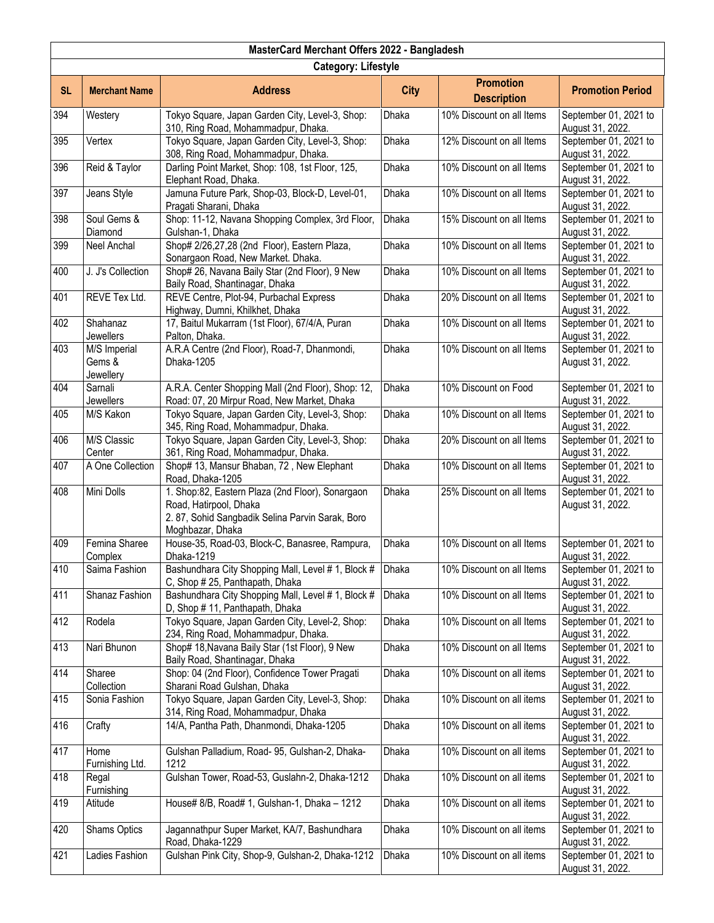| MasterCard Merchant Offers 2022 - Bangladesh |                                     |                                                                                                                                                   |             |                                        |                                           |  |
|----------------------------------------------|-------------------------------------|---------------------------------------------------------------------------------------------------------------------------------------------------|-------------|----------------------------------------|-------------------------------------------|--|
|                                              | <b>Category: Lifestyle</b>          |                                                                                                                                                   |             |                                        |                                           |  |
| <b>SL</b>                                    | <b>Merchant Name</b>                | <b>Address</b>                                                                                                                                    | <b>City</b> | <b>Promotion</b><br><b>Description</b> | <b>Promotion Period</b>                   |  |
| 394                                          | Westery                             | Tokyo Square, Japan Garden City, Level-3, Shop:<br>310, Ring Road, Mohammadpur, Dhaka.                                                            | Dhaka       | 10% Discount on all Items              | September 01, 2021 to<br>August 31, 2022. |  |
| 395                                          | Vertex                              | Tokyo Square, Japan Garden City, Level-3, Shop:<br>308, Ring Road, Mohammadpur, Dhaka.                                                            | Dhaka       | 12% Discount on all Items              | September 01, 2021 to<br>August 31, 2022. |  |
| 396                                          | Reid & Taylor                       | Darling Point Market, Shop: 108, 1st Floor, 125,<br>Elephant Road, Dhaka.                                                                         | Dhaka       | 10% Discount on all Items              | September 01, 2021 to<br>August 31, 2022. |  |
| 397                                          | Jeans Style                         | Jamuna Future Park, Shop-03, Block-D, Level-01,<br>Pragati Sharani, Dhaka                                                                         | Dhaka       | 10% Discount on all Items              | September 01, 2021 to<br>August 31, 2022. |  |
| 398                                          | Soul Gems &<br>Diamond              | Shop: 11-12, Navana Shopping Complex, 3rd Floor,<br>Gulshan-1, Dhaka                                                                              | Dhaka       | 15% Discount on all Items              | September 01, 2021 to<br>August 31, 2022. |  |
| 399                                          | Neel Anchal                         | Shop# 2/26,27,28 (2nd Floor), Eastern Plaza,<br>Sonargaon Road, New Market. Dhaka.                                                                | Dhaka       | 10% Discount on all Items              | September 01, 2021 to<br>August 31, 2022. |  |
| 400                                          | J. J's Collection                   | Shop# 26, Navana Baily Star (2nd Floor), 9 New<br>Baily Road, Shantinagar, Dhaka                                                                  | Dhaka       | 10% Discount on all Items              | September 01, 2021 to<br>August 31, 2022. |  |
| 401                                          | REVE Tex Ltd.                       | REVE Centre, Plot-94, Purbachal Express<br>Highway, Dumni, Khilkhet, Dhaka                                                                        | Dhaka       | 20% Discount on all Items              | September 01, 2021 to<br>August 31, 2022. |  |
| 402                                          | Shahanaz<br><b>Jewellers</b>        | 17, Baitul Mukarram (1st Floor), 67/4/A, Puran<br>Palton, Dhaka.                                                                                  | Dhaka       | 10% Discount on all Items              | September 01, 2021 to<br>August 31, 2022. |  |
| 403                                          | M/S Imperial<br>Gems &<br>Jewellery | A.R.A Centre (2nd Floor), Road-7, Dhanmondi,<br>Dhaka-1205                                                                                        | Dhaka       | 10% Discount on all Items              | September 01, 2021 to<br>August 31, 2022. |  |
| 404                                          | Sarnali<br>Jewellers                | A.R.A. Center Shopping Mall (2nd Floor), Shop: 12,<br>Road: 07, 20 Mirpur Road, New Market, Dhaka                                                 | Dhaka       | 10% Discount on Food                   | September 01, 2021 to<br>August 31, 2022. |  |
| 405                                          | M/S Kakon                           | Tokyo Square, Japan Garden City, Level-3, Shop:<br>345, Ring Road, Mohammadpur, Dhaka.                                                            | Dhaka       | 10% Discount on all Items              | September 01, 2021 to<br>August 31, 2022. |  |
| 406                                          | M/S Classic<br>Center               | Tokyo Square, Japan Garden City, Level-3, Shop:<br>361, Ring Road, Mohammadpur, Dhaka.                                                            | Dhaka       | 20% Discount on all Items              | September 01, 2021 to<br>August 31, 2022. |  |
| 407                                          | A One Collection                    | Shop# 13, Mansur Bhaban, 72, New Elephant<br>Road, Dhaka-1205                                                                                     | Dhaka       | 10% Discount on all Items              | September 01, 2021 to<br>August 31, 2022. |  |
| 408                                          | Mini Dolls                          | 1. Shop:82, Eastern Plaza (2nd Floor), Sonargaon<br>Road, Hatirpool, Dhaka<br>2.87, Sohid Sangbadik Selina Parvin Sarak, Boro<br>Moghbazar, Dhaka | Dhaka       | 25% Discount on all Items              | September 01, 2021 to<br>August 31, 2022. |  |
| 409                                          | Femina Sharee<br>Complex            | House-35, Road-03, Block-C, Banasree, Rampura,<br>Dhaka-1219                                                                                      | Dhaka       | 10% Discount on all Items              | September 01, 2021 to<br>August 31, 2022. |  |
| 410                                          | Saima Fashion                       | Bashundhara City Shopping Mall, Level # 1, Block #<br>C, Shop #25, Panthapath, Dhaka                                                              | Dhaka       | 10% Discount on all Items              | September 01, 2021 to<br>August 31, 2022. |  |
| 411                                          | Shanaz Fashion                      | Bashundhara City Shopping Mall, Level # 1, Block #<br>D, Shop # 11, Panthapath, Dhaka                                                             | Dhaka       | 10% Discount on all Items              | September 01, 2021 to<br>August 31, 2022. |  |
| 412                                          | Rodela                              | Tokyo Square, Japan Garden City, Level-2, Shop:<br>234, Ring Road, Mohammadpur, Dhaka.                                                            | Dhaka       | 10% Discount on all Items              | September 01, 2021 to<br>August 31, 2022. |  |
| 413                                          | Nari Bhunon                         | Shop# 18, Navana Baily Star (1st Floor), 9 New<br>Baily Road, Shantinagar, Dhaka                                                                  | Dhaka       | 10% Discount on all Items              | September 01, 2021 to<br>August 31, 2022. |  |
| 414                                          | Sharee<br>Collection                | Shop: 04 (2nd Floor), Confidence Tower Pragati<br>Sharani Road Gulshan, Dhaka                                                                     | Dhaka       | 10% Discount on all items              | September 01, 2021 to<br>August 31, 2022. |  |
| 415                                          | Sonia Fashion                       | Tokyo Square, Japan Garden City, Level-3, Shop:<br>314, Ring Road, Mohammadpur, Dhaka                                                             | Dhaka       | 10% Discount on all items              | September 01, 2021 to<br>August 31, 2022. |  |
| 416                                          | Crafty                              | 14/A, Pantha Path, Dhanmondi, Dhaka-1205                                                                                                          | Dhaka       | 10% Discount on all items              | September 01, 2021 to<br>August 31, 2022. |  |
| 417                                          | Home<br>Furnishing Ltd.             | Gulshan Palladium, Road- 95, Gulshan-2, Dhaka-<br>1212                                                                                            | Dhaka       | 10% Discount on all items              | September 01, 2021 to<br>August 31, 2022. |  |
| 418                                          | Regal<br>Furnishing                 | Gulshan Tower, Road-53, Guslahn-2, Dhaka-1212                                                                                                     | Dhaka       | 10% Discount on all items              | September 01, 2021 to<br>August 31, 2022. |  |
| 419                                          | Atitude                             | House# 8/B, Road# 1, Gulshan-1, Dhaka - 1212                                                                                                      | Dhaka       | 10% Discount on all items              | September 01, 2021 to<br>August 31, 2022. |  |
| 420                                          | Shams Optics                        | Jagannathpur Super Market, KA/7, Bashundhara<br>Road, Dhaka-1229                                                                                  | Dhaka       | 10% Discount on all items              | September 01, 2021 to<br>August 31, 2022. |  |
| 421                                          | Ladies Fashion                      | Gulshan Pink City, Shop-9, Gulshan-2, Dhaka-1212                                                                                                  | Dhaka       | 10% Discount on all items              | September 01, 2021 to<br>August 31, 2022. |  |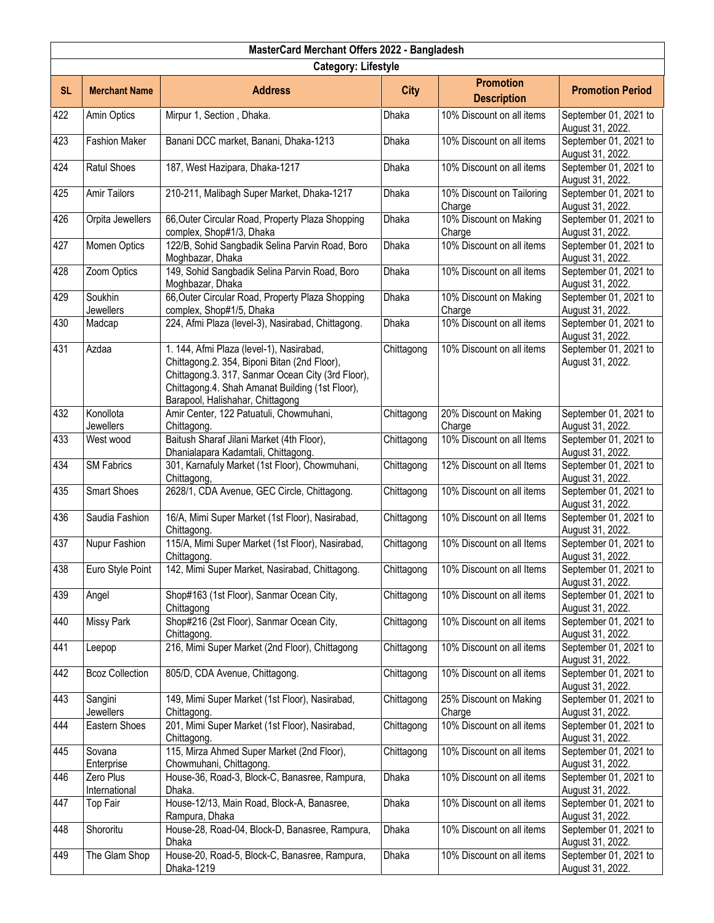|           | MasterCard Merchant Offers 2022 - Bangladesh |                                                                                                                                                                                                                                      |              |                                        |                                           |  |  |
|-----------|----------------------------------------------|--------------------------------------------------------------------------------------------------------------------------------------------------------------------------------------------------------------------------------------|--------------|----------------------------------------|-------------------------------------------|--|--|
|           | <b>Category: Lifestyle</b>                   |                                                                                                                                                                                                                                      |              |                                        |                                           |  |  |
| <b>SL</b> | <b>Merchant Name</b>                         | <b>Address</b>                                                                                                                                                                                                                       | <b>City</b>  | <b>Promotion</b><br><b>Description</b> | <b>Promotion Period</b>                   |  |  |
| 422       | Amin Optics                                  | Mirpur 1, Section, Dhaka.                                                                                                                                                                                                            | Dhaka        | 10% Discount on all items              | September 01, 2021 to<br>August 31, 2022. |  |  |
| 423       | <b>Fashion Maker</b>                         | Banani DCC market, Banani, Dhaka-1213                                                                                                                                                                                                | Dhaka        | 10% Discount on all items              | September 01, 2021 to<br>August 31, 2022. |  |  |
| 424       | <b>Ratul Shoes</b>                           | 187, West Hazipara, Dhaka-1217                                                                                                                                                                                                       | Dhaka        | 10% Discount on all items              | September 01, 2021 to<br>August 31, 2022. |  |  |
| 425       | <b>Amir Tailors</b>                          | 210-211, Malibagh Super Market, Dhaka-1217                                                                                                                                                                                           | Dhaka        | 10% Discount on Tailoring<br>Charge    | September 01, 2021 to<br>August 31, 2022. |  |  |
| 426       | Orpita Jewellers                             | 66, Outer Circular Road, Property Plaza Shopping<br>complex, Shop#1/3, Dhaka                                                                                                                                                         | Dhaka        | 10% Discount on Making<br>Charge       | September 01, 2021 to<br>August 31, 2022. |  |  |
| 427       | Momen Optics                                 | 122/B, Sohid Sangbadik Selina Parvin Road, Boro<br>Moghbazar, Dhaka                                                                                                                                                                  | Dhaka        | 10% Discount on all items              | September 01, 2021 to<br>August 31, 2022. |  |  |
| 428       | Zoom Optics                                  | 149, Sohid Sangbadik Selina Parvin Road, Boro<br>Moghbazar, Dhaka                                                                                                                                                                    | Dhaka        | 10% Discount on all items              | September 01, 2021 to<br>August 31, 2022. |  |  |
| 429       | Soukhin<br>Jewellers                         | 66, Outer Circular Road, Property Plaza Shopping<br>complex, Shop#1/5, Dhaka                                                                                                                                                         | Dhaka        | 10% Discount on Making<br>Charge       | September 01, 2021 to<br>August 31, 2022. |  |  |
| 430       | Madcap                                       | 224, Afmi Plaza (level-3), Nasirabad, Chittagong.                                                                                                                                                                                    | <b>Dhaka</b> | 10% Discount on all items              | September 01, 2021 to<br>August 31, 2022. |  |  |
| 431       | Azdaa                                        | 1. 144, Afmi Plaza (level-1), Nasirabad,<br>Chittagong.2. 354, Biponi Bitan (2nd Floor),<br>Chittagong.3. 317, Sanmar Ocean City (3rd Floor),<br>Chittagong.4. Shah Amanat Building (1st Floor),<br>Barapool, Halishahar, Chittagong | Chittagong   | 10% Discount on all items              | September 01, 2021 to<br>August 31, 2022. |  |  |
| 432       | Konollota<br><b>Jewellers</b>                | Amir Center, 122 Patuatuli, Chowmuhani,<br>Chittagong.                                                                                                                                                                               | Chittagong   | 20% Discount on Making<br>Charge       | September 01, 2021 to<br>August 31, 2022. |  |  |
| 433       | West wood                                    | Baitush Sharaf Jilani Market (4th Floor),<br>Dhanialapara Kadamtali, Chittagong.                                                                                                                                                     | Chittagong   | 10% Discount on all Items              | September 01, 2021 to<br>August 31, 2022. |  |  |
| 434       | <b>SM Fabrics</b>                            | 301, Karnafuly Market (1st Floor), Chowmuhani,<br>Chittagong,                                                                                                                                                                        | Chittagong   | 12% Discount on all Items              | September 01, 2021 to<br>August 31, 2022. |  |  |
| 435       | <b>Smart Shoes</b>                           | 2628/1, CDA Avenue, GEC Circle, Chittagong.                                                                                                                                                                                          | Chittagong   | 10% Discount on all items              | September 01, 2021 to<br>August 31, 2022. |  |  |
| 436       | Saudia Fashion                               | 16/A, Mimi Super Market (1st Floor), Nasirabad,<br>Chittagong.                                                                                                                                                                       | Chittagong   | 10% Discount on all Items              | September 01, 2021 to<br>August 31, 2022. |  |  |
| 437       | Nupur Fashion                                | 115/A, Mimi Super Market (1st Floor), Nasirabad,<br>Chittagong.                                                                                                                                                                      | Chittagong   | 10% Discount on all Items              | September 01, 2021 to<br>August 31, 2022. |  |  |
| 438       | Euro Style Point                             | 142, Mimi Super Market, Nasirabad, Chittagong.                                                                                                                                                                                       | Chittagong   | 10% Discount on all Items              | September 01, 2021 to<br>August 31, 2022. |  |  |
| 439       | Angel                                        | Shop#163 (1st Floor), Sanmar Ocean City,<br>Chittagong                                                                                                                                                                               | Chittagong   | 10% Discount on all items              | September 01, 2021 to<br>August 31, 2022. |  |  |
| 440       | <b>Missy Park</b>                            | Shop#216 (2st Floor), Sanmar Ocean City,<br>Chittagong.                                                                                                                                                                              | Chittagong   | 10% Discount on all items              | September 01, 2021 to<br>August 31, 2022. |  |  |
| 441       | Leepop                                       | 216, Mimi Super Market (2nd Floor), Chittagong                                                                                                                                                                                       | Chittagong   | 10% Discount on all items              | September 01, 2021 to<br>August 31, 2022. |  |  |
| 442       | <b>Bcoz Collection</b>                       | 805/D, CDA Avenue, Chittagong.                                                                                                                                                                                                       | Chittagong   | 10% Discount on all items              | September 01, 2021 to<br>August 31, 2022. |  |  |
| 443       | Sangini<br>Jewellers                         | 149, Mimi Super Market (1st Floor), Nasirabad,<br>Chittagong.                                                                                                                                                                        | Chittagong   | 25% Discount on Making<br>Charge       | September 01, 2021 to<br>August 31, 2022. |  |  |
| 444       | Eastern Shoes                                | 201, Mimi Super Market (1st Floor), Nasirabad,<br>Chittagong.                                                                                                                                                                        | Chittagong   | 10% Discount on all items              | September 01, 2021 to<br>August 31, 2022. |  |  |
| 445       | Sovana<br>Enterprise                         | 115, Mirza Ahmed Super Market (2nd Floor),<br>Chowmuhani, Chittagong.                                                                                                                                                                | Chittagong   | 10% Discount on all items              | September 01, 2021 to<br>August 31, 2022. |  |  |
| 446       | Zero Plus<br>International                   | House-36, Road-3, Block-C, Banasree, Rampura,<br>Dhaka.                                                                                                                                                                              | Dhaka        | 10% Discount on all items              | September 01, 2021 to<br>August 31, 2022. |  |  |
| 447       | Top Fair                                     | House-12/13, Main Road, Block-A, Banasree,<br>Rampura, Dhaka                                                                                                                                                                         | Dhaka        | 10% Discount on all items              | September 01, 2021 to<br>August 31, 2022. |  |  |
| 448       | Shororitu                                    | House-28, Road-04, Block-D, Banasree, Rampura,<br>Dhaka                                                                                                                                                                              | Dhaka        | 10% Discount on all items              | September 01, 2021 to<br>August 31, 2022. |  |  |
| 449       | The Glam Shop                                | House-20, Road-5, Block-C, Banasree, Rampura,<br>Dhaka-1219                                                                                                                                                                          | Dhaka        | 10% Discount on all items              | September 01, 2021 to<br>August 31, 2022. |  |  |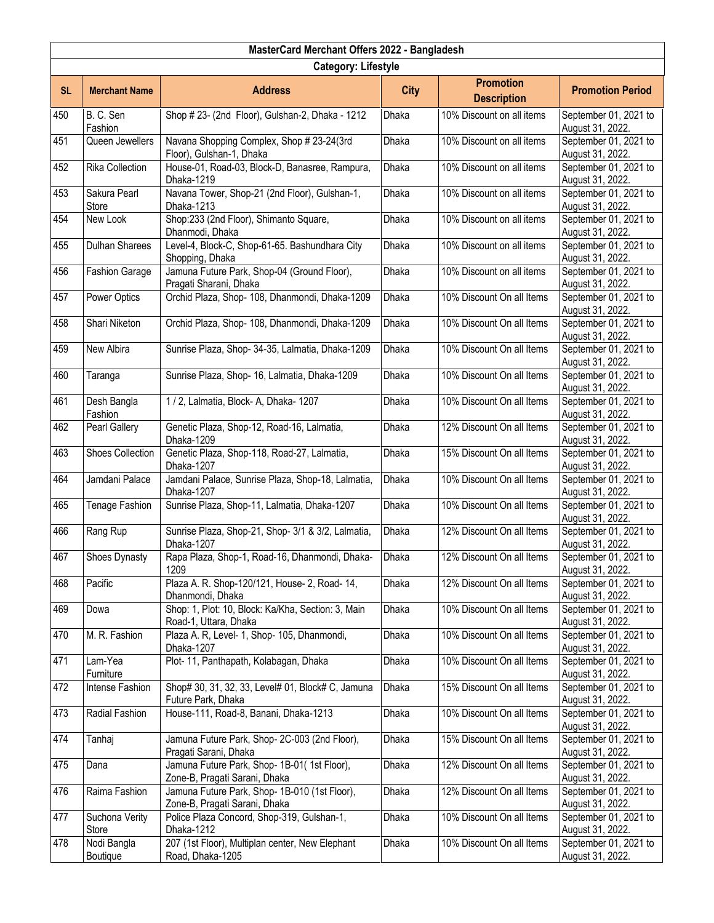|           | MasterCard Merchant Offers 2022 - Bangladesh |                                                                                |              |                                        |                                           |  |  |
|-----------|----------------------------------------------|--------------------------------------------------------------------------------|--------------|----------------------------------------|-------------------------------------------|--|--|
|           | <b>Category: Lifestyle</b>                   |                                                                                |              |                                        |                                           |  |  |
| <b>SL</b> | <b>Merchant Name</b>                         | <b>Address</b>                                                                 | <b>City</b>  | <b>Promotion</b><br><b>Description</b> | <b>Promotion Period</b>                   |  |  |
| 450       | B.C. Sen<br>Fashion                          | Shop # 23- (2nd Floor), Gulshan-2, Dhaka - 1212                                | Dhaka        | 10% Discount on all items              | September 01, 2021 to<br>August 31, 2022. |  |  |
| 451       | Queen Jewellers                              | Navana Shopping Complex, Shop # 23-24(3rd<br>Floor), Gulshan-1, Dhaka          | Dhaka        | 10% Discount on all items              | September 01, 2021 to<br>August 31, 2022. |  |  |
| 452       | <b>Rika Collection</b>                       | House-01, Road-03, Block-D, Banasree, Rampura,<br>Dhaka-1219                   | Dhaka        | 10% Discount on all items              | September 01, 2021 to<br>August 31, 2022. |  |  |
| 453       | Sakura Pearl<br>Store                        | Navana Tower, Shop-21 (2nd Floor), Gulshan-1,<br>Dhaka-1213                    | <b>Dhaka</b> | 10% Discount on all items              | September 01, 2021 to<br>August 31, 2022. |  |  |
| 454       | New Look                                     | Shop:233 (2nd Floor), Shimanto Square,<br>Dhanmodi, Dhaka                      | Dhaka        | 10% Discount on all items              | September 01, 2021 to<br>August 31, 2022. |  |  |
| 455       | Dulhan Sharees                               | Level-4, Block-C, Shop-61-65. Bashundhara City<br>Shopping, Dhaka              | Dhaka        | 10% Discount on all items              | September 01, 2021 to<br>August 31, 2022. |  |  |
| 456       | Fashion Garage                               | Jamuna Future Park, Shop-04 (Ground Floor),<br>Pragati Sharani, Dhaka          | <b>Dhaka</b> | 10% Discount on all items              | September 01, 2021 to<br>August 31, 2022. |  |  |
| 457       | Power Optics                                 | Orchid Plaza, Shop- 108, Dhanmondi, Dhaka-1209                                 | <b>Dhaka</b> | 10% Discount On all Items              | September 01, 2021 to<br>August 31, 2022. |  |  |
| 458       | Shari Niketon                                | Orchid Plaza, Shop- 108, Dhanmondi, Dhaka-1209                                 | Dhaka        | 10% Discount On all Items              | September 01, 2021 to<br>August 31, 2022. |  |  |
| 459       | New Albira                                   | Sunrise Plaza, Shop- 34-35, Lalmatia, Dhaka-1209                               | Dhaka        | 10% Discount On all Items              | September 01, 2021 to<br>August 31, 2022. |  |  |
| 460       | Taranga                                      | Sunrise Plaza, Shop- 16, Lalmatia, Dhaka-1209                                  | Dhaka        | 10% Discount On all Items              | September 01, 2021 to<br>August 31, 2022. |  |  |
| 461       | Desh Bangla<br>Fashion                       | 1/2, Lalmatia, Block-A, Dhaka-1207                                             | Dhaka        | 10% Discount On all Items              | September 01, 2021 to<br>August 31, 2022. |  |  |
| 462       | Pearl Gallery                                | Genetic Plaza, Shop-12, Road-16, Lalmatia,<br>Dhaka-1209                       | Dhaka        | 12% Discount On all Items              | September 01, 2021 to<br>August 31, 2022. |  |  |
| 463       | <b>Shoes Collection</b>                      | Genetic Plaza, Shop-118, Road-27, Lalmatia,<br>Dhaka-1207                      | Dhaka        | 15% Discount On all Items              | September 01, 2021 to<br>August 31, 2022. |  |  |
| 464       | Jamdani Palace                               | Jamdani Palace, Sunrise Plaza, Shop-18, Lalmatia,<br>Dhaka-1207                | <b>Dhaka</b> | 10% Discount On all Items              | September 01, 2021 to<br>August 31, 2022. |  |  |
| 465       | Tenage Fashion                               | Sunrise Plaza, Shop-11, Lalmatia, Dhaka-1207                                   | <b>Dhaka</b> | 10% Discount On all Items              | September 01, 2021 to<br>August 31, 2022. |  |  |
| 466       | Rang Rup                                     | Sunrise Plaza, Shop-21, Shop-3/1 & 3/2, Lalmatia,<br>Dhaka-1207                | Dhaka        | 12% Discount On all Items              | September 01, 2021 to<br>August 31, 2022. |  |  |
| 467       | Shoes Dynasty                                | Rapa Plaza, Shop-1, Road-16, Dhanmondi, Dhaka-<br>1209                         | Dhaka        | 12% Discount On all Items              | September 01, 2021 to<br>August 31, 2022. |  |  |
| 468       | Pacific                                      | Plaza A. R. Shop-120/121, House- 2, Road- 14,<br>Dhanmondi, Dhaka              | Dhaka        | 12% Discount On all Items              | September 01, 2021 to<br>August 31, 2022. |  |  |
| 469       | Dowa                                         | Shop: 1, Plot: 10, Block: Ka/Kha, Section: 3, Main<br>Road-1, Uttara, Dhaka    | Dhaka        | 10% Discount On all Items              | September 01, 2021 to<br>August 31, 2022. |  |  |
| 470       | M. R. Fashion                                | Plaza A. R, Level- 1, Shop- 105, Dhanmondi,<br>Dhaka-1207                      | <b>Dhaka</b> | 10% Discount On all Items              | September 01, 2021 to<br>August 31, 2022. |  |  |
| 471       | Lam-Yea<br>Furniture                         | Plot- 11, Panthapath, Kolabagan, Dhaka                                         | Dhaka        | 10% Discount On all Items              | September 01, 2021 to<br>August 31, 2022. |  |  |
| 472       | <b>Intense Fashion</b>                       | Shop# 30, 31, 32, 33, Level# 01, Block# C, Jamuna<br>Future Park, Dhaka        | Dhaka        | 15% Discount On all Items              | September 01, 2021 to<br>August 31, 2022. |  |  |
| 473       | Radial Fashion                               | House-111, Road-8, Banani, Dhaka-1213                                          | Dhaka        | 10% Discount On all Items              | September 01, 2021 to<br>August 31, 2022. |  |  |
| 474       | Tanhaj                                       | Jamuna Future Park, Shop-2C-003 (2nd Floor),<br>Pragati Sarani, Dhaka          | Dhaka        | 15% Discount On all Items              | September 01, 2021 to<br>August 31, 2022. |  |  |
| 475       | Dana                                         | Jamuna Future Park, Shop- 1B-01(1st Floor),<br>Zone-B, Pragati Sarani, Dhaka   | Dhaka        | 12% Discount On all Items              | September 01, 2021 to<br>August 31, 2022. |  |  |
| 476       | Raima Fashion                                | Jamuna Future Park, Shop- 1B-010 (1st Floor),<br>Zone-B, Pragati Sarani, Dhaka | Dhaka        | 12% Discount On all Items              | September 01, 2021 to<br>August 31, 2022. |  |  |
| 477       | Suchona Verity<br>Store                      | Police Plaza Concord, Shop-319, Gulshan-1,<br>Dhaka-1212                       | Dhaka        | 10% Discount On all Items              | September 01, 2021 to<br>August 31, 2022. |  |  |
| 478       | Nodi Bangla<br>Boutique                      | 207 (1st Floor), Multiplan center, New Elephant<br>Road, Dhaka-1205            | Dhaka        | 10% Discount On all Items              | September 01, 2021 to<br>August 31, 2022. |  |  |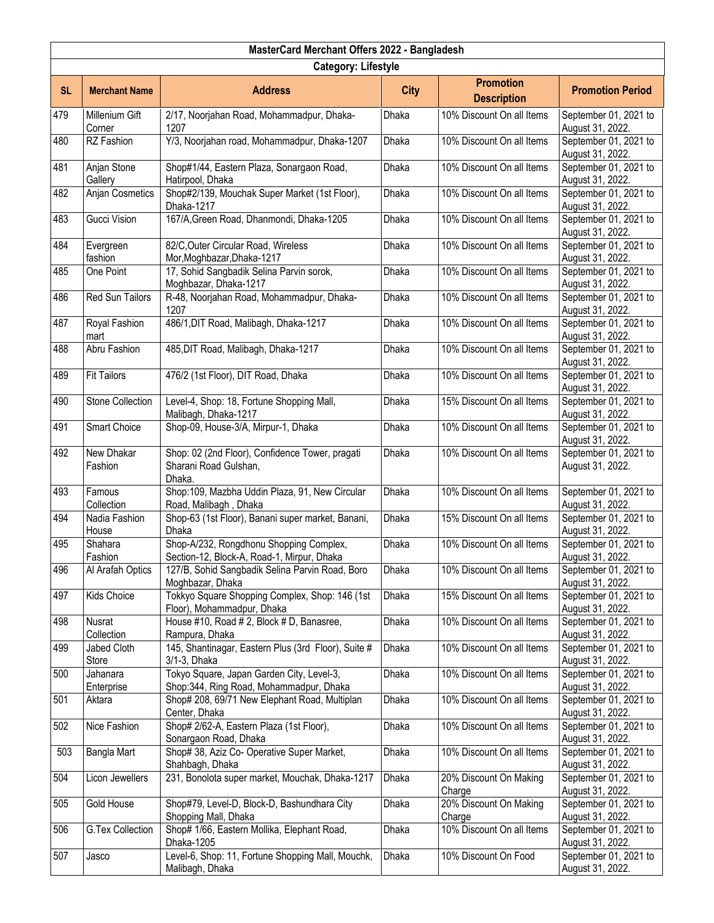| MasterCard Merchant Offers 2022 - Bangladesh |                            |                                                                                       |              |                                        |                                           |  |
|----------------------------------------------|----------------------------|---------------------------------------------------------------------------------------|--------------|----------------------------------------|-------------------------------------------|--|
|                                              | <b>Category: Lifestyle</b> |                                                                                       |              |                                        |                                           |  |
| <b>SL</b>                                    | <b>Merchant Name</b>       | <b>Address</b>                                                                        | <b>City</b>  | <b>Promotion</b><br><b>Description</b> | <b>Promotion Period</b>                   |  |
| 479                                          | Millenium Gift<br>Corner   | 2/17, Noorjahan Road, Mohammadpur, Dhaka-<br>1207                                     | Dhaka        | 10% Discount On all Items              | September 01, 2021 to<br>August 31, 2022. |  |
| 480                                          | RZ Fashion                 | Y/3, Noorjahan road, Mohammadpur, Dhaka-1207                                          | Dhaka        | 10% Discount On all Items              | September 01, 2021 to<br>August 31, 2022. |  |
| 481                                          | Anjan Stone<br>Gallery     | Shop#1/44, Eastern Plaza, Sonargaon Road,<br>Hatirpool, Dhaka                         | Dhaka        | 10% Discount On all Items              | September 01, 2021 to<br>August 31, 2022. |  |
| 482                                          | Anjan Cosmetics            | Shop#2/139, Mouchak Super Market (1st Floor),<br>Dhaka-1217                           | <b>Dhaka</b> | 10% Discount On all Items              | September 01, 2021 to<br>August 31, 2022. |  |
| 483                                          | Gucci Vision               | 167/A, Green Road, Dhanmondi, Dhaka-1205                                              | Dhaka        | 10% Discount On all Items              | September 01, 2021 to<br>August 31, 2022. |  |
| 484                                          | Evergreen<br>fashion       | 82/C, Outer Circular Road, Wireless<br>Mor, Moghbazar, Dhaka-1217                     | Dhaka        | 10% Discount On all Items              | September 01, 2021 to<br>August 31, 2022. |  |
| 485                                          | One Point                  | 17, Sohid Sangbadik Selina Parvin sorok,<br>Moghbazar, Dhaka-1217                     | Dhaka        | 10% Discount On all Items              | September 01, 2021 to<br>August 31, 2022. |  |
| 486                                          | Red Sun Tailors            | R-48, Noorjahan Road, Mohammadpur, Dhaka-<br>1207                                     | Dhaka        | 10% Discount On all Items              | September 01, 2021 to<br>August 31, 2022. |  |
| 487                                          | Royal Fashion<br>mart      | 486/1, DIT Road, Malibagh, Dhaka-1217                                                 | Dhaka        | 10% Discount On all Items              | September 01, 2021 to<br>August 31, 2022. |  |
| 488                                          | Abru Fashion               | 485, DIT Road, Malibagh, Dhaka-1217                                                   | Dhaka        | 10% Discount On all Items              | September 01, 2021 to<br>August 31, 2022. |  |
| 489                                          | <b>Fit Tailors</b>         | 476/2 (1st Floor), DIT Road, Dhaka                                                    | Dhaka        | 10% Discount On all Items              | September 01, 2021 to<br>August 31, 2022. |  |
| 490                                          | <b>Stone Collection</b>    | Level-4, Shop: 18, Fortune Shopping Mall,<br>Malibagh, Dhaka-1217                     | Dhaka        | 15% Discount On all Items              | September 01, 2021 to<br>August 31, 2022. |  |
| 491                                          | Smart Choice               | Shop-09, House-3/A, Mirpur-1, Dhaka                                                   | Dhaka        | 10% Discount On all Items              | September 01, 2021 to<br>August 31, 2022. |  |
| 492                                          | New Dhakar<br>Fashion      | Shop: 02 (2nd Floor), Confidence Tower, pragati<br>Sharani Road Gulshan,<br>Dhaka.    | Dhaka        | 10% Discount On all Items              | September 01, 2021 to<br>August 31, 2022. |  |
| 493                                          | Famous<br>Collection       | Shop:109, Mazbha Uddin Plaza, 91, New Circular<br>Road, Malibagh, Dhaka               | <b>Dhaka</b> | 10% Discount On all Items              | September 01, 2021 to<br>August 31, 2022. |  |
| 494                                          | Nadia Fashion<br>House     | Shop-63 (1st Floor), Banani super market, Banani,<br>Dhaka                            | Dhaka        | 15% Discount On all Items              | September 01, 2021 to<br>August 31, 2022. |  |
| 495                                          | Shahara<br>Fashion         | Shop-A/232, Rongdhonu Shopping Complex,<br>Section-12, Block-A, Road-1, Mirpur, Dhaka | <b>Dhaka</b> | 10% Discount On all Items              | September 01, 2021 to<br>August 31, 2022. |  |
| 496                                          | Al Arafah Optics           | 127/B, Sohid Sangbadik Selina Parvin Road, Boro<br>Moghbazar, Dhaka                   | Dhaka        | 10% Discount On all Items              | September 01, 2021 to<br>August 31, 2022. |  |
| 497                                          | Kids Choice                | Tokkyo Square Shopping Complex, Shop: 146 (1st<br>Floor), Mohammadpur, Dhaka          | Dhaka        | 15% Discount On all Items              | September 01, 2021 to<br>August 31, 2022. |  |
| 498                                          | Nusrat<br>Collection       | House #10, Road # 2, Block # D, Banasree,<br>Rampura, Dhaka                           | Dhaka        | 10% Discount On all Items              | September 01, 2021 to<br>August 31, 2022. |  |
| 499                                          | Jabed Cloth<br>Store       | 145, Shantinagar, Eastern Plus (3rd Floor), Suite #<br>3/1-3, Dhaka                   | Dhaka        | 10% Discount On all Items              | September 01, 2021 to<br>August 31, 2022. |  |
| 500                                          | Jahanara<br>Enterprise     | Tokyo Square, Japan Garden City, Level-3,<br>Shop:344, Ring Road, Mohammadpur, Dhaka  | Dhaka        | 10% Discount On all Items              | September 01, 2021 to<br>August 31, 2022. |  |
| 501                                          | Aktara                     | Shop# 208, 69/71 New Elephant Road, Multiplan<br>Center, Dhaka                        | Dhaka        | 10% Discount On all Items              | September 01, 2021 to<br>August 31, 2022. |  |
| 502                                          | Nice Fashion               | Shop# 2/62-A, Eastern Plaza (1st Floor),<br>Sonargaon Road, Dhaka                     | Dhaka        | 10% Discount On all Items              | September 01, 2021 to<br>August 31, 2022. |  |
| 503                                          | Bangla Mart                | Shop# 38, Aziz Co- Operative Super Market,<br>Shahbagh, Dhaka                         | Dhaka        | 10% Discount On all Items              | September 01, 2021 to<br>August 31, 2022. |  |
| 504                                          | Licon Jewellers            | 231, Bonolota super market, Mouchak, Dhaka-1217                                       | Dhaka        | 20% Discount On Making<br>Charge       | September 01, 2021 to<br>August 31, 2022. |  |
| 505                                          | Gold House                 | Shop#79, Level-D, Block-D, Bashundhara City<br>Shopping Mall, Dhaka                   | Dhaka        | 20% Discount On Making<br>Charge       | September 01, 2021 to<br>August 31, 2022. |  |
| 506                                          | <b>G.Tex Collection</b>    | Shop# 1/66, Eastern Mollika, Elephant Road,<br>Dhaka-1205                             | Dhaka        | 10% Discount On all Items              | September 01, 2021 to<br>August 31, 2022. |  |
| 507                                          | Jasco                      | Level-6, Shop: 11, Fortune Shopping Mall, Mouchk,<br>Malibagh, Dhaka                  | Dhaka        | 10% Discount On Food                   | September 01, 2021 to<br>August 31, 2022. |  |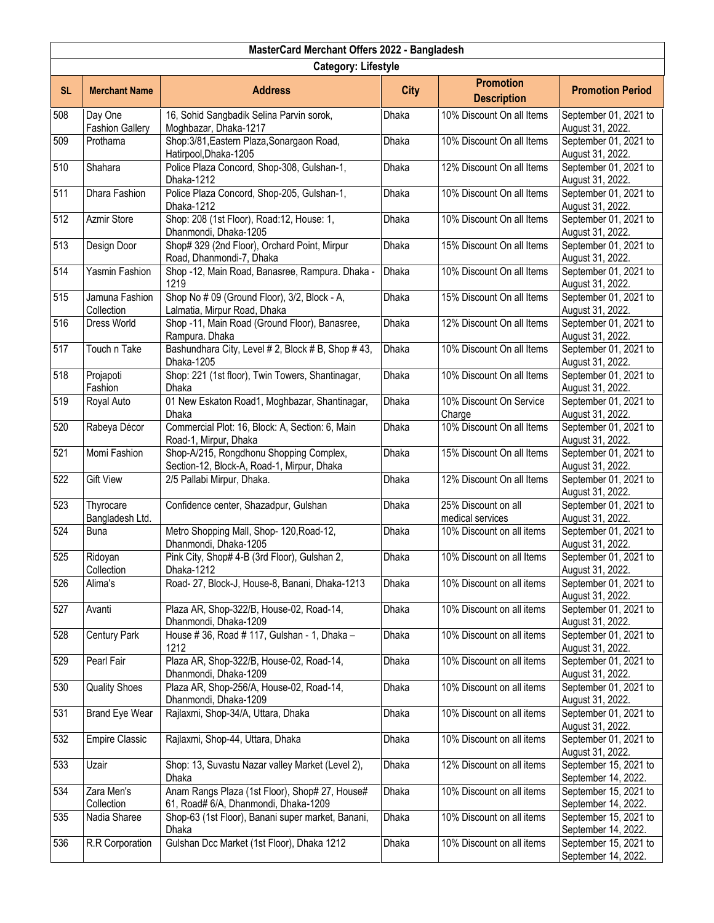| MasterCard Merchant Offers 2022 - Bangladesh |                                   |                                                                                        |              |                                         |                                              |  |
|----------------------------------------------|-----------------------------------|----------------------------------------------------------------------------------------|--------------|-----------------------------------------|----------------------------------------------|--|
|                                              | <b>Category: Lifestyle</b>        |                                                                                        |              |                                         |                                              |  |
| <b>SL</b>                                    | <b>Merchant Name</b>              | <b>Address</b>                                                                         | <b>City</b>  | <b>Promotion</b><br><b>Description</b>  | <b>Promotion Period</b>                      |  |
| 508                                          | Day One<br><b>Fashion Gallery</b> | 16, Sohid Sangbadik Selina Parvin sorok,<br>Moghbazar, Dhaka-1217                      | Dhaka        | 10% Discount On all Items               | September 01, 2021 to<br>August 31, 2022.    |  |
| 509                                          | Prothama                          | Shop: 3/81, Eastern Plaza, Sonargaon Road,<br>Hatirpool, Dhaka-1205                    | Dhaka        | 10% Discount On all Items               | September 01, 2021 to<br>August 31, 2022.    |  |
| 510                                          | Shahara                           | Police Plaza Concord, Shop-308, Gulshan-1,<br>Dhaka-1212                               | Dhaka        | 12% Discount On all Items               | September 01, 2021 to<br>August 31, 2022.    |  |
| 511                                          | Dhara Fashion                     | Police Plaza Concord, Shop-205, Gulshan-1,<br>Dhaka-1212                               | <b>Dhaka</b> | 10% Discount On all Items               | September 01, 2021 to<br>August 31, 2022.    |  |
| 512                                          | Azmir Store                       | Shop: 208 (1st Floor), Road:12, House: 1,<br>Dhanmondi, Dhaka-1205                     | Dhaka        | 10% Discount On all Items               | September 01, 2021 to<br>August 31, 2022.    |  |
| 513                                          | Design Door                       | Shop# 329 (2nd Floor), Orchard Point, Mirpur<br>Road, Dhanmondi-7, Dhaka               | Dhaka        | 15% Discount On all Items               | September 01, 2021 to<br>August 31, 2022.    |  |
| 514                                          | Yasmin Fashion                    | Shop -12, Main Road, Banasree, Rampura. Dhaka -<br>1219                                | <b>Dhaka</b> | 10% Discount On all Items               | September 01, 2021 to<br>August 31, 2022.    |  |
| 515                                          | Jamuna Fashion<br>Collection      | Shop No # 09 (Ground Floor), 3/2, Block - A,<br>Lalmatia, Mirpur Road, Dhaka           | Dhaka        | 15% Discount On all Items               | September 01, 2021 to<br>August 31, 2022.    |  |
| 516                                          | Dress World                       | Shop -11, Main Road (Ground Floor), Banasree,<br>Rampura. Dhaka                        | Dhaka        | 12% Discount On all Items               | September 01, 2021 to<br>August 31, 2022.    |  |
| 517                                          | Touch n Take                      | Bashundhara City, Level # 2, Block # B, Shop # 43,<br>Dhaka-1205                       | Dhaka        | 10% Discount On all Items               | September 01, 2021 to<br>August 31, 2022.    |  |
| 518                                          | Projapoti<br>Fashion              | Shop: 221 (1st floor), Twin Towers, Shantinagar,<br>Dhaka                              | Dhaka        | 10% Discount On all Items               | September 01, 2021 to<br>August 31, 2022.    |  |
| 519                                          | Royal Auto                        | 01 New Eskaton Road1, Moghbazar, Shantinagar,<br>Dhaka                                 | Dhaka        | 10% Discount On Service<br>Charge       | September 01, 2021 to<br>August 31, 2022.    |  |
| 520                                          | Rabeya Décor                      | Commercial Plot: 16, Block: A, Section: 6, Main<br>Road-1, Mirpur, Dhaka               | Dhaka        | 10% Discount On all Items               | September 01, 2021 to<br>August 31, 2022.    |  |
| 521                                          | Momi Fashion                      | Shop-A/215, Rongdhonu Shopping Complex,<br>Section-12, Block-A, Road-1, Mirpur, Dhaka  | Dhaka        | 15% Discount On all Items               | September 01, 2021 to<br>August 31, 2022.    |  |
| 522                                          | <b>Gift View</b>                  | 2/5 Pallabi Mirpur, Dhaka.                                                             | Dhaka        | 12% Discount On all Items               | September 01, 2021 to<br>August 31, 2022.    |  |
| 523                                          | Thyrocare<br>Bangladesh Ltd.      | Confidence center, Shazadpur, Gulshan                                                  | Dhaka        | 25% Discount on all<br>medical services | September 01, 2021 to<br>August 31, 2022.    |  |
| 524                                          | <b>Buna</b>                       | Metro Shopping Mall, Shop- 120, Road-12,<br>Dhanmondi, Dhaka-1205                      | Dhaka        | 10% Discount on all items               | September 01, 2021 to<br>August 31, 2022.    |  |
| 525                                          | Ridoyan<br>Collection             | Pink City, Shop# 4-B (3rd Floor), Gulshan 2,<br>Dhaka-1212                             | Dhaka        | 10% Discount on all Items               | September 01, 2021 to<br>August 31, 2022.    |  |
| 526                                          | Alima's                           | Road- 27, Block-J, House-8, Banani, Dhaka-1213                                         | <b>Dhaka</b> | 10% Discount on all items               | September 01, 2021 to<br>August 31, 2022.    |  |
| 527                                          | Avanti                            | Plaza AR, Shop-322/B, House-02, Road-14,<br>Dhanmondi, Dhaka-1209                      | Dhaka        | 10% Discount on all items               | September 01, 2021 to<br>August 31, 2022.    |  |
| 528                                          | <b>Century Park</b>               | House # 36, Road # 117, Gulshan - 1, Dhaka -<br>1212                                   | <b>Dhaka</b> | 10% Discount on all items               | September 01, 2021 to<br>August 31, 2022.    |  |
| 529                                          | Pearl Fair                        | Plaza AR, Shop-322/B, House-02, Road-14,<br>Dhanmondi, Dhaka-1209                      | Dhaka        | 10% Discount on all items               | September 01, 2021 to<br>August 31, 2022.    |  |
| 530                                          | <b>Quality Shoes</b>              | Plaza AR, Shop-256/A, House-02, Road-14,<br>Dhanmondi, Dhaka-1209                      | Dhaka        | 10% Discount on all items               | September 01, 2021 to<br>August 31, 2022.    |  |
| 531                                          | <b>Brand Eye Wear</b>             | Rajlaxmi, Shop-34/A, Uttara, Dhaka                                                     | Dhaka        | 10% Discount on all items               | September 01, 2021 to<br>August 31, 2022.    |  |
| 532                                          | <b>Empire Classic</b>             | Rajlaxmi, Shop-44, Uttara, Dhaka                                                       | Dhaka        | 10% Discount on all items               | September 01, 2021 to<br>August 31, 2022.    |  |
| 533                                          | Uzair                             | Shop: 13, Suvastu Nazar valley Market (Level 2),<br>Dhaka                              | Dhaka        | 12% Discount on all items               | September 15, 2021 to<br>September 14, 2022. |  |
| 534                                          | Zara Men's<br>Collection          | Anam Rangs Plaza (1st Floor), Shop# 27, House#<br>61, Road# 6/A, Dhanmondi, Dhaka-1209 | Dhaka        | 10% Discount on all items               | September 15, 2021 to<br>September 14, 2022. |  |
| 535                                          | Nadia Sharee                      | Shop-63 (1st Floor), Banani super market, Banani,<br>Dhaka                             | Dhaka        | 10% Discount on all items               | September 15, 2021 to<br>September 14, 2022. |  |
| 536                                          | R.R Corporation                   | Gulshan Dcc Market (1st Floor), Dhaka 1212                                             | Dhaka        | 10% Discount on all items               | September 15, 2021 to<br>September 14, 2022. |  |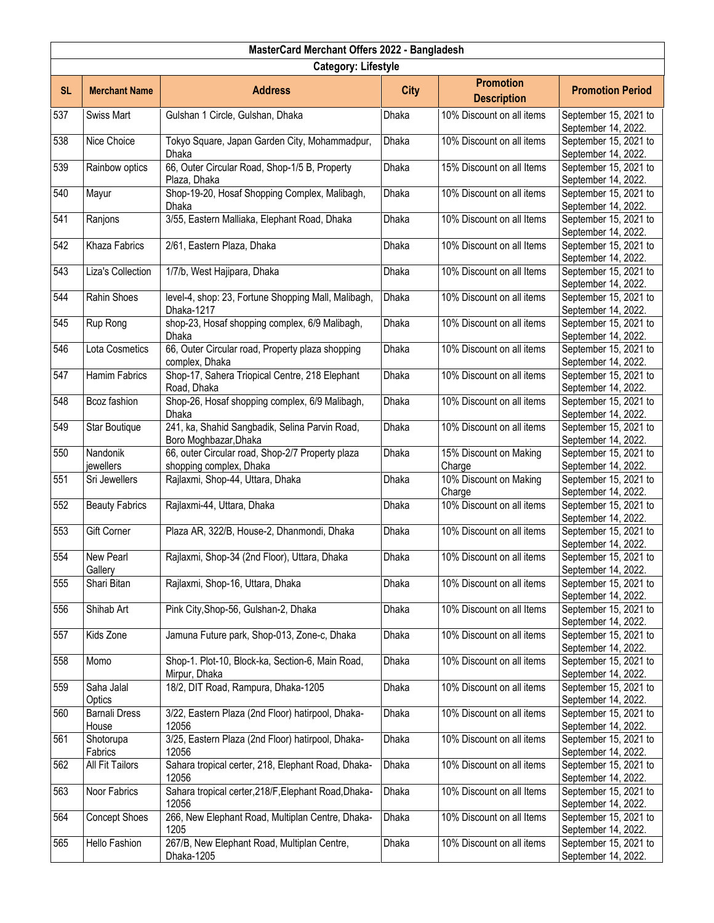|           | MasterCard Merchant Offers 2022 - Bangladesh |                                                                             |              |                                        |                                              |  |  |  |
|-----------|----------------------------------------------|-----------------------------------------------------------------------------|--------------|----------------------------------------|----------------------------------------------|--|--|--|
|           | <b>Category: Lifestyle</b>                   |                                                                             |              |                                        |                                              |  |  |  |
| <b>SL</b> | <b>Merchant Name</b>                         | <b>Address</b>                                                              | <b>City</b>  | <b>Promotion</b><br><b>Description</b> | <b>Promotion Period</b>                      |  |  |  |
| 537       | <b>Swiss Mart</b>                            | Gulshan 1 Circle, Gulshan, Dhaka                                            | Dhaka        | 10% Discount on all items              | September 15, 2021 to<br>September 14, 2022. |  |  |  |
| 538       | Nice Choice                                  | Tokyo Square, Japan Garden City, Mohammadpur,<br>Dhaka                      | Dhaka        | 10% Discount on all items              | September 15, 2021 to<br>September 14, 2022. |  |  |  |
| 539       | Rainbow optics                               | 66, Outer Circular Road, Shop-1/5 B, Property<br>Plaza, Dhaka               | Dhaka        | 15% Discount on all Items              | September 15, 2021 to<br>September 14, 2022. |  |  |  |
| 540       | Mayur                                        | Shop-19-20, Hosaf Shopping Complex, Malibagh,<br>Dhaka                      | <b>Dhaka</b> | 10% Discount on all items              | September 15, 2021 to<br>September 14, 2022. |  |  |  |
| 541       | Ranjons                                      | 3/55, Eastern Malliaka, Elephant Road, Dhaka                                | Dhaka        | 10% Discount on all Items              | September 15, 2021 to<br>September 14, 2022. |  |  |  |
| 542       | Khaza Fabrics                                | 2/61, Eastern Plaza, Dhaka                                                  | Dhaka        | 10% Discount on all Items              | September 15, 2021 to<br>September 14, 2022. |  |  |  |
| 543       | Liza's Collection                            | 1/7/b, West Hajipara, Dhaka                                                 | Dhaka        | 10% Discount on all Items              | September 15, 2021 to<br>September 14, 2022. |  |  |  |
| 544       | Rahin Shoes                                  | level-4, shop: 23, Fortune Shopping Mall, Malibagh,<br>Dhaka-1217           | Dhaka        | 10% Discount on all items              | September 15, 2021 to<br>September 14, 2022. |  |  |  |
| 545       | Rup Rong                                     | shop-23, Hosaf shopping complex, 6/9 Malibagh,<br>Dhaka                     | Dhaka        | 10% Discount on all items              | September 15, 2021 to<br>September 14, 2022. |  |  |  |
| 546       | Lota Cosmetics                               | 66, Outer Circular road, Property plaza shopping<br>complex, Dhaka          | <b>Dhaka</b> | 10% Discount on all items              | September 15, 2021 to<br>September 14, 2022. |  |  |  |
| 547       | Hamim Fabrics                                | Shop-17, Sahera Triopical Centre, 218 Elephant<br>Road, Dhaka               | Dhaka        | 10% Discount on all items              | September 15, 2021 to<br>September 14, 2022. |  |  |  |
| 548       | Bcoz fashion                                 | Shop-26, Hosaf shopping complex, 6/9 Malibagh,<br><b>Dhaka</b>              | Dhaka        | 10% Discount on all items              | September 15, 2021 to<br>September 14, 2022. |  |  |  |
| 549       | Star Boutique                                | 241, ka, Shahid Sangbadik, Selina Parvin Road,<br>Boro Moghbazar, Dhaka     | Dhaka        | 10% Discount on all items              | September 15, 2021 to<br>September 14, 2022. |  |  |  |
| 550       | Nandonik<br>jewellers                        | 66, outer Circular road, Shop-2/7 Property plaza<br>shopping complex, Dhaka | Dhaka        | 15% Discount on Making<br>Charge       | September 15, 2021 to<br>September 14, 2022. |  |  |  |
| 551       | Sri Jewellers                                | Rajlaxmi, Shop-44, Uttara, Dhaka                                            | <b>Dhaka</b> | 10% Discount on Making<br>Charge       | September 15, 2021 to<br>September 14, 2022. |  |  |  |
| 552       | <b>Beauty Fabrics</b>                        | Rajlaxmi-44, Uttara, Dhaka                                                  | Dhaka        | 10% Discount on all items              | September 15, 2021 to<br>September 14, 2022. |  |  |  |
| 553       | Gift Corner                                  | Plaza AR, 322/B, House-2, Dhanmondi, Dhaka                                  | Dhaka        | 10% Discount on all items              | September 15, 2021 to<br>September 14, 2022. |  |  |  |
| 554       | New Pearl<br>Gallery                         | Rajlaxmi, Shop-34 (2nd Floor), Uttara, Dhaka                                | Dhaka        | 10% Discount on all items              | September 15, 2021 to<br>September 14, 2022. |  |  |  |
| 555       | Shari Bitan                                  | Rajlaxmi, Shop-16, Uttara, Dhaka                                            | Dhaka        | 10% Discount on all items              | September 15, 2021 to<br>September 14, 2022. |  |  |  |
| 556       | Shihab Art                                   | Pink City, Shop-56, Gulshan-2, Dhaka                                        | Dhaka        | 10% Discount on all Items              | September 15, 2021 to<br>September 14, 2022. |  |  |  |
| 557       | Kids Zone                                    | Jamuna Future park, Shop-013, Zone-c, Dhaka                                 | <b>Dhaka</b> | 10% Discount on all items              | September 15, 2021 to<br>September 14, 2022. |  |  |  |
| 558       | Momo                                         | Shop-1. Plot-10, Block-ka, Section-6, Main Road,<br>Mirpur, Dhaka           | Dhaka        | 10% Discount on all items              | September 15, 2021 to<br>September 14, 2022. |  |  |  |
| 559       | Saha Jalal<br>Optics                         | 18/2, DIT Road, Rampura, Dhaka-1205                                         | Dhaka        | 10% Discount on all items              | September 15, 2021 to<br>September 14, 2022. |  |  |  |
| 560       | <b>Barnali Dress</b><br>House                | 3/22, Eastern Plaza (2nd Floor) hatirpool, Dhaka-<br>12056                  | Dhaka        | 10% Discount on all items              | September 15, 2021 to<br>September 14, 2022. |  |  |  |
| 561       | Shotorupa<br>Fabrics                         | 3/25, Eastern Plaza (2nd Floor) hatirpool, Dhaka-<br>12056                  | Dhaka        | 10% Discount on all items              | September 15, 2021 to<br>September 14, 2022. |  |  |  |
| 562       | All Fit Tailors                              | Sahara tropical certer, 218, Elephant Road, Dhaka-<br>12056                 | Dhaka        | 10% Discount on all items              | September 15, 2021 to<br>September 14, 2022. |  |  |  |
| 563       | Noor Fabrics                                 | Sahara tropical certer, 218/F, Elephant Road, Dhaka-<br>12056               | Dhaka        | 10% Discount on all Items              | September 15, 2021 to<br>September 14, 2022. |  |  |  |
| 564       | <b>Concept Shoes</b>                         | 266, New Elephant Road, Multiplan Centre, Dhaka-<br>1205                    | Dhaka        | 10% Discount on all Items              | September 15, 2021 to<br>September 14, 2022. |  |  |  |
| 565       | Hello Fashion                                | 267/B, New Elephant Road, Multiplan Centre,<br>Dhaka-1205                   | Dhaka        | 10% Discount on all items              | September 15, 2021 to<br>September 14, 2022. |  |  |  |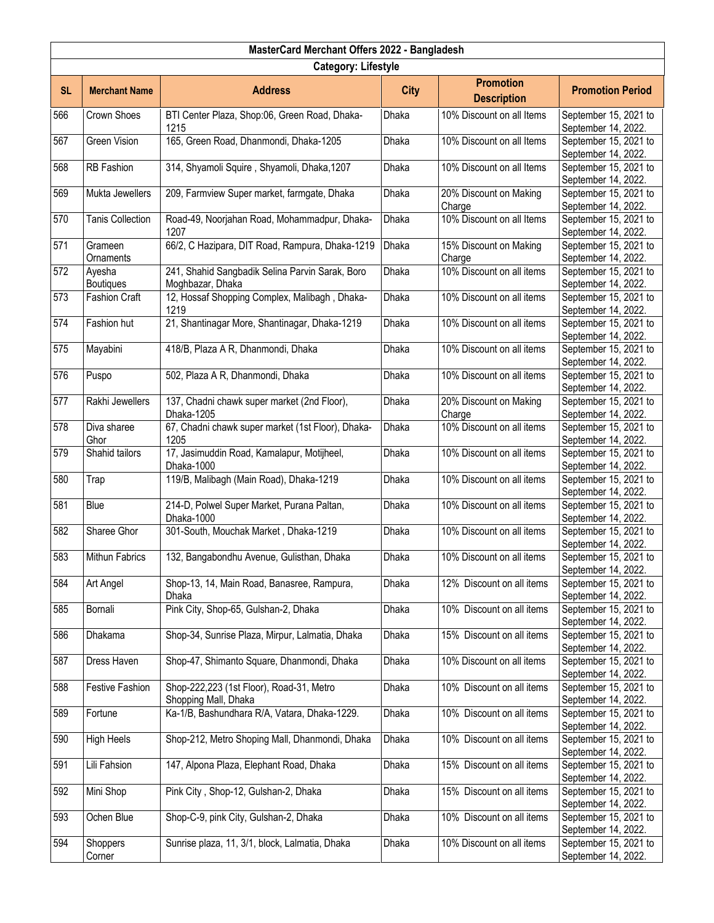|           | MasterCard Merchant Offers 2022 - Bangladesh |                                                                     |              |                                        |                                              |  |  |  |
|-----------|----------------------------------------------|---------------------------------------------------------------------|--------------|----------------------------------------|----------------------------------------------|--|--|--|
|           | <b>Category: Lifestyle</b>                   |                                                                     |              |                                        |                                              |  |  |  |
| <b>SL</b> | <b>Merchant Name</b>                         | <b>Address</b>                                                      | <b>City</b>  | <b>Promotion</b><br><b>Description</b> | <b>Promotion Period</b>                      |  |  |  |
| 566       | Crown Shoes                                  | BTI Center Plaza, Shop:06, Green Road, Dhaka-<br>1215               | Dhaka        | 10% Discount on all Items              | September 15, 2021 to<br>September 14, 2022. |  |  |  |
| 567       | <b>Green Vision</b>                          | 165, Green Road, Dhanmondi, Dhaka-1205                              | Dhaka        | 10% Discount on all Items              | September 15, 2021 to<br>September 14, 2022. |  |  |  |
| 568       | RB Fashion                                   | 314, Shyamoli Squire, Shyamoli, Dhaka, 1207                         | Dhaka        | 10% Discount on all Items              | September 15, 2021 to<br>September 14, 2022. |  |  |  |
| 569       | Mukta Jewellers                              | 209, Farmview Super market, farmgate, Dhaka                         | Dhaka        | 20% Discount on Making<br>Charge       | September 15, 2021 to<br>September 14, 2022. |  |  |  |
| 570       | <b>Tanis Collection</b>                      | Road-49, Noorjahan Road, Mohammadpur, Dhaka-<br>1207                | Dhaka        | 10% Discount on all Items              | September 15, 2021 to<br>September 14, 2022. |  |  |  |
| 571       | Grameen<br>Ornaments                         | 66/2, C Hazipara, DIT Road, Rampura, Dhaka-1219                     | Dhaka        | 15% Discount on Making<br>Charge       | September 15, 2021 to<br>September 14, 2022. |  |  |  |
| 572       | Ayesha<br><b>Boutiques</b>                   | 241, Shahid Sangbadik Selina Parvin Sarak, Boro<br>Moghbazar, Dhaka | Dhaka        | 10% Discount on all items              | September 15, 2021 to<br>September 14, 2022. |  |  |  |
| 573       | <b>Fashion Craft</b>                         | 12, Hossaf Shopping Complex, Malibagh, Dhaka-<br>1219               | Dhaka        | 10% Discount on all items              | September 15, 2021 to<br>September 14, 2022. |  |  |  |
| 574       | Fashion hut                                  | 21, Shantinagar More, Shantinagar, Dhaka-1219                       | Dhaka        | 10% Discount on all items              | September 15, 2021 to<br>September 14, 2022. |  |  |  |
| 575       | Mayabini                                     | 418/B, Plaza A R, Dhanmondi, Dhaka                                  | Dhaka        | 10% Discount on all items              | September 15, 2021 to<br>September 14, 2022. |  |  |  |
| 576       | Puspo                                        | 502, Plaza A R, Dhanmondi, Dhaka                                    | Dhaka        | 10% Discount on all items              | September 15, 2021 to<br>September 14, 2022. |  |  |  |
| 577       | Rakhi Jewellers                              | 137, Chadni chawk super market (2nd Floor),<br>Dhaka-1205           | Dhaka        | 20% Discount on Making<br>Charge       | September 15, 2021 to<br>September 14, 2022. |  |  |  |
| 578       | Diva sharee<br>Ghor                          | 67, Chadni chawk super market (1st Floor), Dhaka-<br>1205           | Dhaka        | 10% Discount on all items              | September 15, 2021 to<br>September 14, 2022. |  |  |  |
| 579       | Shahid tailors                               | 17, Jasimuddin Road, Kamalapur, Motijheel,<br>Dhaka-1000            | Dhaka        | 10% Discount on all items              | September 15, 2021 to<br>September 14, 2022. |  |  |  |
| 580       | Trap                                         | 119/B, Malibagh (Main Road), Dhaka-1219                             | Dhaka        | 10% Discount on all items              | September 15, 2021 to<br>September 14, 2022. |  |  |  |
| 581       | Blue                                         | 214-D, Polwel Super Market, Purana Paltan,<br>Dhaka-1000            | Dhaka        | 10% Discount on all items              | September 15, 2021 to<br>September 14, 2022. |  |  |  |
| 582       | Sharee Ghor                                  | 301-South, Mouchak Market, Dhaka-1219                               | Dhaka        | 10% Discount on all items              | September 15, 2021 to<br>September 14, 2022. |  |  |  |
| 583       | Mithun Fabrics                               | 132, Bangabondhu Avenue, Gulisthan, Dhaka                           | Dhaka        | 10% Discount on all items              | September 15, 2021 to<br>September 14, 2022. |  |  |  |
| 584       | Art Angel                                    | Shop-13, 14, Main Road, Banasree, Rampura,<br>Dhaka                 | Dhaka        | 12% Discount on all items              | September 15, 2021 to<br>September 14, 2022. |  |  |  |
| 585       | Bornali                                      | Pink City, Shop-65, Gulshan-2, Dhaka                                | Dhaka        | 10% Discount on all items              | September 15, 2021 to<br>September 14, 2022. |  |  |  |
| 586       | Dhakama                                      | Shop-34, Sunrise Plaza, Mirpur, Lalmatia, Dhaka                     | <b>Dhaka</b> | 15% Discount on all items              | September 15, 2021 to<br>September 14, 2022. |  |  |  |
| 587       | Dress Haven                                  | Shop-47, Shimanto Square, Dhanmondi, Dhaka                          | Dhaka        | 10% Discount on all items              | September 15, 2021 to<br>September 14, 2022. |  |  |  |
| 588       | <b>Festive Fashion</b>                       | Shop-222,223 (1st Floor), Road-31, Metro<br>Shopping Mall, Dhaka    | Dhaka        | 10% Discount on all items              | September 15, 2021 to<br>September 14, 2022. |  |  |  |
| 589       | Fortune                                      | Ka-1/B, Bashundhara R/A, Vatara, Dhaka-1229.                        | Dhaka        | 10% Discount on all items              | September 15, 2021 to<br>September 14, 2022. |  |  |  |
| 590       | <b>High Heels</b>                            | Shop-212, Metro Shoping Mall, Dhanmondi, Dhaka                      | Dhaka        | 10% Discount on all items              | September 15, 2021 to<br>September 14, 2022. |  |  |  |
| 591       | Lili Fahsion                                 | 147, Alpona Plaza, Elephant Road, Dhaka                             | Dhaka        | 15% Discount on all items              | September 15, 2021 to<br>September 14, 2022. |  |  |  |
| 592       | Mini Shop                                    | Pink City, Shop-12, Gulshan-2, Dhaka                                | Dhaka        | 15% Discount on all items              | September 15, 2021 to<br>September 14, 2022. |  |  |  |
| 593       | Ochen Blue                                   | Shop-C-9, pink City, Gulshan-2, Dhaka                               | Dhaka        | 10% Discount on all items              | September 15, 2021 to<br>September 14, 2022. |  |  |  |
| 594       | Shoppers<br>Corner                           | Sunrise plaza, 11, 3/1, block, Lalmatia, Dhaka                      | Dhaka        | 10% Discount on all items              | September 15, 2021 to<br>September 14, 2022. |  |  |  |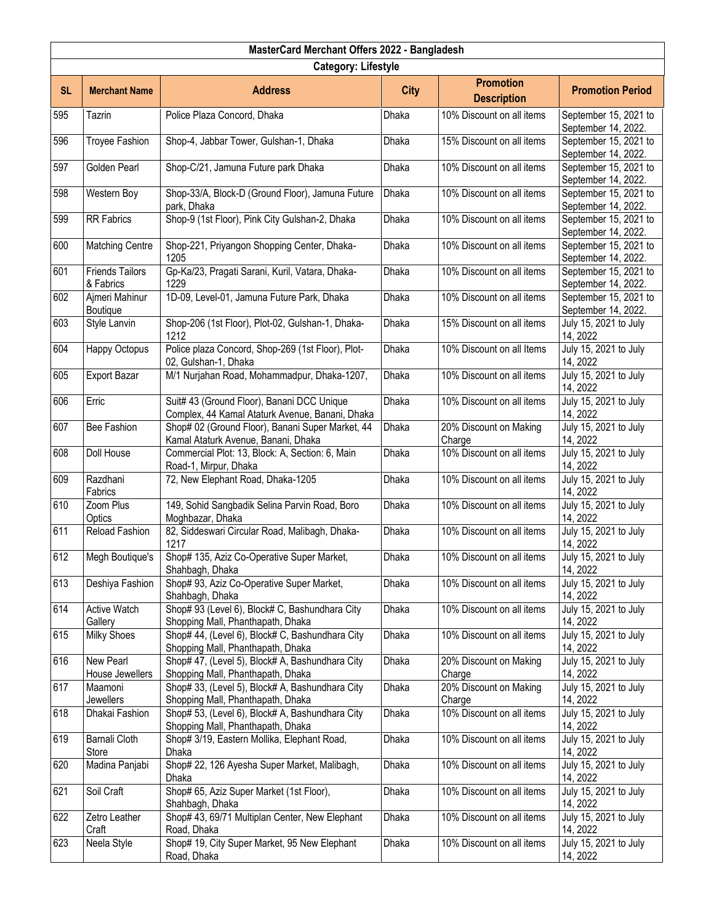|                  | MasterCard Merchant Offers 2022 - Bangladesh |                                                                                               |              |                                        |                                              |  |  |
|------------------|----------------------------------------------|-----------------------------------------------------------------------------------------------|--------------|----------------------------------------|----------------------------------------------|--|--|
|                  | <b>Category: Lifestyle</b>                   |                                                                                               |              |                                        |                                              |  |  |
| <b>SL</b>        | <b>Merchant Name</b>                         | <b>Address</b>                                                                                | <b>City</b>  | <b>Promotion</b><br><b>Description</b> | <b>Promotion Period</b>                      |  |  |
| 595              | Tazrin                                       | Police Plaza Concord, Dhaka                                                                   | Dhaka        | 10% Discount on all items              | September 15, 2021 to<br>September 14, 2022. |  |  |
| 596              | Troyee Fashion                               | Shop-4, Jabbar Tower, Gulshan-1, Dhaka                                                        | Dhaka        | 15% Discount on all items              | September 15, 2021 to<br>September 14, 2022. |  |  |
| 597              | Golden Pearl                                 | Shop-C/21, Jamuna Future park Dhaka                                                           | Dhaka        | 10% Discount on all items              | September 15, 2021 to<br>September 14, 2022. |  |  |
| 598              | Western Boy                                  | Shop-33/A, Block-D (Ground Floor), Jamuna Future<br>park, Dhaka                               | <b>Dhaka</b> | 10% Discount on all items              | September 15, 2021 to<br>September 14, 2022. |  |  |
| 599              | <b>RR</b> Fabrics                            | Shop-9 (1st Floor), Pink City Gulshan-2, Dhaka                                                | Dhaka        | 10% Discount on all items              | September 15, 2021 to<br>September 14, 2022. |  |  |
| 600              | <b>Matching Centre</b>                       | Shop-221, Priyangon Shopping Center, Dhaka-<br>1205                                           | Dhaka        | 10% Discount on all items              | September 15, 2021 to<br>September 14, 2022. |  |  |
| 601              | <b>Friends Tailors</b><br>& Fabrics          | Gp-Ka/23, Pragati Sarani, Kuril, Vatara, Dhaka-<br>1229                                       | Dhaka        | 10% Discount on all items              | September 15, 2021 to<br>September 14, 2022. |  |  |
| 602              | Ajmeri Mahinur<br>Boutique                   | 1D-09, Level-01, Jamuna Future Park, Dhaka                                                    | Dhaka        | 10% Discount on all items              | September 15, 2021 to<br>September 14, 2022. |  |  |
| 603              | Style Lanvin                                 | Shop-206 (1st Floor), Plot-02, Gulshan-1, Dhaka-<br>1212                                      | Dhaka        | 15% Discount on all items              | July 15, 2021 to July<br>14, 2022            |  |  |
| 604              | Happy Octopus                                | Police plaza Concord, Shop-269 (1st Floor), Plot-<br>02, Gulshan-1, Dhaka                     | <b>Dhaka</b> | 10% Discount on all Items              | July 15, 2021 to July<br>14, 2022            |  |  |
| 605              | <b>Export Bazar</b>                          | M/1 Nurjahan Road, Mohammadpur, Dhaka-1207,                                                   | Dhaka        | 10% Discount on all items              | July 15, 2021 to July<br>14, 2022            |  |  |
| 606              | Erric                                        | Suit# 43 (Ground Floor), Banani DCC Unique<br>Complex, 44 Kamal Ataturk Avenue, Banani, Dhaka | Dhaka        | 10% Discount on all items              | July 15, 2021 to July<br>14, 2022            |  |  |
| 607              | Bee Fashion                                  | Shop# 02 (Ground Floor), Banani Super Market, 44<br>Kamal Ataturk Avenue, Banani, Dhaka       | Dhaka        | 20% Discount on Making<br>Charge       | July 15, 2021 to July<br>14, 2022            |  |  |
| 608              | Doll House                                   | Commercial Plot: 13, Block: A, Section: 6, Main<br>Road-1, Mirpur, Dhaka                      | Dhaka        | 10% Discount on all items              | July 15, 2021 to July<br>14, 2022            |  |  |
| 609              | Razdhani<br>Fabrics                          | 72, New Elephant Road, Dhaka-1205                                                             | Dhaka        | 10% Discount on all items              | July 15, 2021 to July<br>14, 2022            |  |  |
| 610              | Zoom Plus<br>Optics                          | 149, Sohid Sangbadik Selina Parvin Road, Boro<br>Moghbazar, Dhaka                             | Dhaka        | 10% Discount on all items              | July 15, 2021 to July<br>14, 2022            |  |  |
| $\overline{611}$ | Reload Fashion                               | 82, Siddeswari Circular Road, Malibagh, Dhaka-<br>1217                                        | Dhaka        | 10% Discount on all items              | July 15, 2021 to July<br>14, 2022            |  |  |
| 612              | Megh Boutique's                              | Shop# 135, Aziz Co-Operative Super Market,<br>Shahbagh, Dhaka                                 | Dhaka        | 10% Discount on all items              | July 15, 2021 to July<br>14, 2022            |  |  |
| 613              | Deshiya Fashion                              | Shop# 93, Aziz Co-Operative Super Market,<br>Shahbagh, Dhaka                                  | Dhaka        | 10% Discount on all items              | July 15, 2021 to July<br>14, 2022            |  |  |
| 614              | <b>Active Watch</b><br>Gallery               | Shop# 93 (Level 6), Block# C, Bashundhara City<br>Shopping Mall, Phanthapath, Dhaka           | Dhaka        | 10% Discount on all items              | July 15, 2021 to July<br>14, 2022            |  |  |
| 615              | <b>Milky Shoes</b>                           | Shop# 44, (Level 6), Block# C, Bashundhara City<br>Shopping Mall, Phanthapath, Dhaka          | <b>Dhaka</b> | 10% Discount on all items              | July 15, 2021 to July<br>14, 2022            |  |  |
| 616              | New Pearl<br>House Jewellers                 | Shop# 47, (Level 5), Block# A, Bashundhara City<br>Shopping Mall, Phanthapath, Dhaka          | Dhaka        | 20% Discount on Making<br>Charge       | July 15, 2021 to July<br>14, 2022            |  |  |
| 617              | Maamoni<br>Jewellers                         | Shop# 33, (Level 5), Block# A, Bashundhara City<br>Shopping Mall, Phanthapath, Dhaka          | Dhaka        | 20% Discount on Making<br>Charge       | July 15, 2021 to July<br>14, 2022            |  |  |
| 618              | Dhakai Fashion                               | Shop# 53, (Level 6), Block# A, Bashundhara City<br>Shopping Mall, Phanthapath, Dhaka          | <b>Dhaka</b> | 10% Discount on all items              | July 15, 2021 to July<br>14, 2022            |  |  |
| 619              | Barnali Cloth<br>Store                       | Shop# 3/19, Eastern Mollika, Elephant Road,<br>Dhaka                                          | Dhaka        | 10% Discount on all items              | July 15, 2021 to July<br>14, 2022            |  |  |
| 620              | Madina Panjabi                               | Shop# 22, 126 Ayesha Super Market, Malibagh,<br>Dhaka                                         | Dhaka        | 10% Discount on all items              | July 15, 2021 to July<br>14, 2022            |  |  |
| 621              | Soil Craft                                   | Shop# 65, Aziz Super Market (1st Floor),<br>Shahbagh, Dhaka                                   | Dhaka        | 10% Discount on all items              | July 15, 2021 to July<br>14, 2022            |  |  |
| 622              | Zetro Leather<br>Craft                       | Shop# 43, 69/71 Multiplan Center, New Elephant<br>Road, Dhaka                                 | Dhaka        | 10% Discount on all items              | July 15, 2021 to July<br>14, 2022            |  |  |
| 623              | Neela Style                                  | Shop# 19, City Super Market, 95 New Elephant<br>Road, Dhaka                                   | <b>Dhaka</b> | 10% Discount on all items              | July 15, 2021 to July<br>14, 2022            |  |  |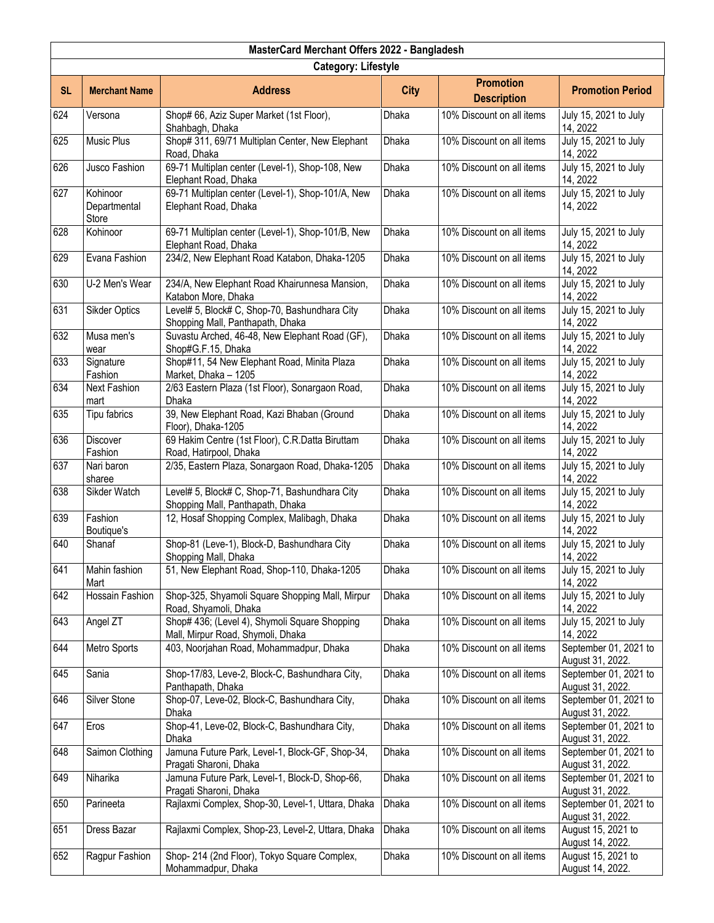| MasterCard Merchant Offers 2022 - Bangladesh |                                   |                                                                                    |              |                                        |                                           |  |  |
|----------------------------------------------|-----------------------------------|------------------------------------------------------------------------------------|--------------|----------------------------------------|-------------------------------------------|--|--|
|                                              | <b>Category: Lifestyle</b>        |                                                                                    |              |                                        |                                           |  |  |
| <b>SL</b>                                    | <b>Merchant Name</b>              | <b>Address</b>                                                                     | <b>City</b>  | <b>Promotion</b><br><b>Description</b> | <b>Promotion Period</b>                   |  |  |
| 624                                          | Versona                           | Shop# 66, Aziz Super Market (1st Floor),<br>Shahbagh, Dhaka                        | Dhaka        | 10% Discount on all items              | July 15, 2021 to July<br>14, 2022         |  |  |
| 625                                          | <b>Music Plus</b>                 | Shop# 311, 69/71 Multiplan Center, New Elephant<br>Road, Dhaka                     | Dhaka        | 10% Discount on all items              | July 15, 2021 to July<br>14, 2022         |  |  |
| 626                                          | Jusco Fashion                     | 69-71 Multiplan center (Level-1), Shop-108, New<br>Elephant Road, Dhaka            | Dhaka        | 10% Discount on all items              | July 15, 2021 to July<br>14, 2022         |  |  |
| 627                                          | Kohinoor<br>Departmental<br>Store | 69-71 Multiplan center (Level-1), Shop-101/A, New<br>Elephant Road, Dhaka          | Dhaka        | 10% Discount on all items              | July 15, 2021 to July<br>14, 2022         |  |  |
| 628                                          | Kohinoor                          | 69-71 Multiplan center (Level-1), Shop-101/B, New<br>Elephant Road, Dhaka          | Dhaka        | 10% Discount on all items              | July 15, 2021 to July<br>14, 2022         |  |  |
| 629                                          | Evana Fashion                     | 234/2, New Elephant Road Katabon, Dhaka-1205                                       | Dhaka        | 10% Discount on all items              | July 15, 2021 to July<br>14, 2022         |  |  |
| 630                                          | U-2 Men's Wear                    | 234/A, New Elephant Road Khairunnesa Mansion,<br>Katabon More, Dhaka               | Dhaka        | 10% Discount on all items              | July 15, 2021 to July<br>14, 2022         |  |  |
| 631                                          | <b>Sikder Optics</b>              | Level# 5, Block# C, Shop-70, Bashundhara City<br>Shopping Mall, Panthapath, Dhaka  | <b>Dhaka</b> | 10% Discount on all items              | July 15, 2021 to July<br>14, 2022         |  |  |
| 632                                          | Musa men's<br>wear                | Suvastu Arched, 46-48, New Elephant Road (GF),<br>Shop#G.F.15, Dhaka               | Dhaka        | 10% Discount on all items              | July 15, 2021 to July<br>14, 2022         |  |  |
| 633                                          | Signature<br>Fashion              | Shop#11, 54 New Elephant Road, Minita Plaza<br>Market, Dhaka - 1205                | <b>Dhaka</b> | 10% Discount on all items              | July 15, 2021 to July<br>14, 2022         |  |  |
| 634                                          | <b>Next Fashion</b><br>mart       | 2/63 Eastern Plaza (1st Floor), Sonargaon Road,<br><b>Dhaka</b>                    | Dhaka        | 10% Discount on all items              | July 15, 2021 to July<br>14, 2022         |  |  |
| 635                                          | Tipu fabrics                      | 39, New Elephant Road, Kazi Bhaban (Ground<br>Floor), Dhaka-1205                   | Dhaka        | 10% Discount on all items              | July 15, 2021 to July<br>14, 2022         |  |  |
| 636                                          | Discover<br>Fashion               | 69 Hakim Centre (1st Floor), C.R.Datta Biruttam<br>Road, Hatirpool, Dhaka          | Dhaka        | 10% Discount on all items              | July 15, 2021 to July<br>14, 2022         |  |  |
| 637                                          | Nari baron<br>sharee              | 2/35, Eastern Plaza, Sonargaon Road, Dhaka-1205                                    | Dhaka        | 10% Discount on all items              | July 15, 2021 to July<br>14, 2022         |  |  |
| 638                                          | Sikder Watch                      | Level# 5, Block# C, Shop-71, Bashundhara City<br>Shopping Mall, Panthapath, Dhaka  | Dhaka        | 10% Discount on all items              | July 15, 2021 to July<br>14, 2022         |  |  |
| 639                                          | Fashion<br>Boutique's             | 12, Hosaf Shopping Complex, Malibagh, Dhaka                                        | Dhaka        | 10% Discount on all items              | July 15, 2021 to July<br>14, 2022         |  |  |
| 640                                          | Shanaf                            | Shop-81 (Leve-1), Block-D, Bashundhara City<br>Shopping Mall, Dhaka                | Dhaka        | 10% Discount on all items              | July 15, 2021 to July<br>14, 2022         |  |  |
| 641                                          | Mahin fashion<br>Mart             | 51, New Elephant Road, Shop-110, Dhaka-1205                                        | Dhaka        | 10% Discount on all items              | July 15, 2021 to July<br>14, 2022         |  |  |
| 642                                          | Hossain Fashion                   | Shop-325, Shyamoli Square Shopping Mall, Mirpur<br>Road, Shyamoli, Dhaka           | Dhaka        | 10% Discount on all items              | July 15, 2021 to July<br>14, 2022         |  |  |
| 643                                          | Angel ZT                          | Shop# 436; (Level 4), Shymoli Square Shopping<br>Mall, Mirpur Road, Shymoli, Dhaka | Dhaka        | 10% Discount on all items              | July 15, 2021 to July<br>14, 2022         |  |  |
| 644                                          | Metro Sports                      | 403, Noorjahan Road, Mohammadpur, Dhaka                                            | Dhaka        | 10% Discount on all items              | September 01, 2021 to<br>August 31, 2022. |  |  |
| 645                                          | Sania                             | Shop-17/83, Leve-2, Block-C, Bashundhara City,<br>Panthapath, Dhaka                | Dhaka        | 10% Discount on all items              | September 01, 2021 to<br>August 31, 2022. |  |  |
| 646                                          | Silver Stone                      | Shop-07, Leve-02, Block-C, Bashundhara City,<br>Dhaka                              | Dhaka        | 10% Discount on all items              | September 01, 2021 to<br>August 31, 2022. |  |  |
| 647                                          | Eros                              | Shop-41, Leve-02, Block-C, Bashundhara City,<br>Dhaka                              | Dhaka        | 10% Discount on all items              | September 01, 2021 to<br>August 31, 2022. |  |  |
| 648                                          | Saimon Clothing                   | Jamuna Future Park, Level-1, Block-GF, Shop-34,<br>Pragati Sharoni, Dhaka          | Dhaka        | 10% Discount on all items              | September 01, 2021 to<br>August 31, 2022. |  |  |
| 649                                          | Niharika                          | Jamuna Future Park, Level-1, Block-D, Shop-66,<br>Pragati Sharoni, Dhaka           | Dhaka        | 10% Discount on all items              | September 01, 2021 to<br>August 31, 2022. |  |  |
| 650                                          | Parineeta                         | Rajlaxmi Complex, Shop-30, Level-1, Uttara, Dhaka                                  | Dhaka        | 10% Discount on all items              | September 01, 2021 to<br>August 31, 2022. |  |  |
| 651                                          | Dress Bazar                       | Rajlaxmi Complex, Shop-23, Level-2, Uttara, Dhaka                                  | Dhaka        | 10% Discount on all items              | August 15, 2021 to<br>August 14, 2022.    |  |  |
| 652                                          | Ragpur Fashion                    | Shop- 214 (2nd Floor), Tokyo Square Complex,<br>Mohammadpur, Dhaka                 | Dhaka        | 10% Discount on all items              | August 15, 2021 to<br>August 14, 2022.    |  |  |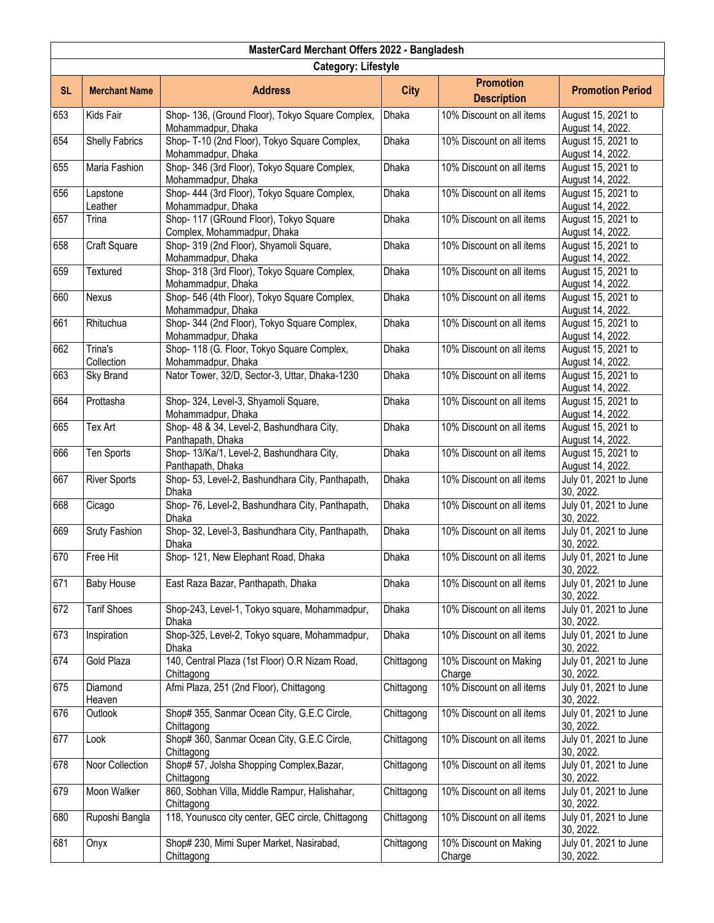|           | MasterCard Merchant Offers 2022 - Bangladesh |                                                                        |              |                                        |                                        |  |  |
|-----------|----------------------------------------------|------------------------------------------------------------------------|--------------|----------------------------------------|----------------------------------------|--|--|
|           | <b>Category: Lifestyle</b>                   |                                                                        |              |                                        |                                        |  |  |
| <b>SL</b> | <b>Merchant Name</b>                         | <b>Address</b>                                                         | <b>City</b>  | <b>Promotion</b><br><b>Description</b> | <b>Promotion Period</b>                |  |  |
| 653       | Kids Fair                                    | Shop- 136, (Ground Floor), Tokyo Square Complex,<br>Mohammadpur, Dhaka | Dhaka        | 10% Discount on all items              | August 15, 2021 to<br>August 14, 2022. |  |  |
| 654       | <b>Shelly Fabrics</b>                        | Shop- T-10 (2nd Floor), Tokyo Square Complex,<br>Mohammadpur, Dhaka    | Dhaka        | 10% Discount on all items              | August 15, 2021 to<br>August 14, 2022. |  |  |
| 655       | Maria Fashion                                | Shop- 346 (3rd Floor), Tokyo Square Complex,<br>Mohammadpur, Dhaka     | Dhaka        | 10% Discount on all items              | August 15, 2021 to<br>August 14, 2022. |  |  |
| 656       | Lapstone<br>Leather                          | Shop- 444 (3rd Floor), Tokyo Square Complex,<br>Mohammadpur, Dhaka     | <b>Dhaka</b> | 10% Discount on all items              | August 15, 2021 to<br>August 14, 2022. |  |  |
| 657       | Trina                                        | Shop- 117 (GRound Floor), Tokyo Square<br>Complex, Mohammadpur, Dhaka  | Dhaka        | 10% Discount on all items              | August 15, 2021 to<br>August 14, 2022. |  |  |
| 658       | Craft Square                                 | Shop- 319 (2nd Floor), Shyamoli Square,<br>Mohammadpur, Dhaka          | Dhaka        | 10% Discount on all items              | August 15, 2021 to<br>August 14, 2022. |  |  |
| 659       | <b>Textured</b>                              | Shop- 318 (3rd Floor), Tokyo Square Complex,<br>Mohammadpur, Dhaka     | <b>Dhaka</b> | 10% Discount on all items              | August 15, 2021 to<br>August 14, 2022. |  |  |
| 660       | Nexus                                        | Shop- 546 (4th Floor), Tokyo Square Complex,<br>Mohammadpur, Dhaka     | <b>Dhaka</b> | 10% Discount on all items              | August 15, 2021 to<br>August 14, 2022. |  |  |
| 661       | Rhituchua                                    | Shop- 344 (2nd Floor), Tokyo Square Complex,<br>Mohammadpur, Dhaka     | Dhaka        | 10% Discount on all items              | August 15, 2021 to<br>August 14, 2022. |  |  |
| 662       | Trina's<br>Collection                        | Shop- 118 (G. Floor, Tokyo Square Complex,<br>Mohammadpur, Dhaka       | Dhaka        | 10% Discount on all items              | August 15, 2021 to<br>August 14, 2022. |  |  |
| 663       | Sky Brand                                    | Nator Tower, 32/D, Sector-3, Uttar, Dhaka-1230                         | Dhaka        | 10% Discount on all items              | August 15, 2021 to<br>August 14, 2022. |  |  |
| 664       | Prottasha                                    | Shop- 324, Level-3, Shyamoli Square,<br>Mohammadpur, Dhaka             | Dhaka        | 10% Discount on all items              | August 15, 2021 to<br>August 14, 2022. |  |  |
| 665       | Tex Art                                      | Shop- 48 & 34, Level-2, Bashundhara City,<br>Panthapath, Dhaka         | Dhaka        | 10% Discount on all items              | August 15, 2021 to<br>August 14, 2022. |  |  |
| 666       | Ten Sports                                   | Shop- 13/Ka/1, Level-2, Bashundhara City,<br>Panthapath, Dhaka         | Dhaka        | 10% Discount on all items              | August 15, 2021 to<br>August 14, 2022. |  |  |
| 667       | <b>River Sports</b>                          | Shop- 53, Level-2, Bashundhara City, Panthapath,<br>Dhaka              | <b>Dhaka</b> | 10% Discount on all items              | July 01, 2021 to June<br>30, 2022.     |  |  |
| 668       | Cicago                                       | Shop-76, Level-2, Bashundhara City, Panthapath,<br>Dhaka               | Dhaka        | 10% Discount on all items              | July 01, 2021 to June<br>30, 2022.     |  |  |
| 669       | Sruty Fashion                                | Shop- 32, Level-3, Bashundhara City, Panthapath,<br>Dhaka              | Dhaka        | 10% Discount on all items              | July 01, 2021 to June<br>30, 2022.     |  |  |
| 670       | Free Hit                                     | Shop- 121, New Elephant Road, Dhaka                                    | Dhaka        | 10% Discount on all items              | July 01, 2021 to June<br>30, 2022.     |  |  |
| 671       | <b>Baby House</b>                            | East Raza Bazar, Panthapath, Dhaka                                     | Dhaka        | 10% Discount on all items              | July 01, 2021 to June<br>30, 2022.     |  |  |
| 672       | <b>Tarif Shoes</b>                           | Shop-243, Level-1, Tokyo square, Mohammadpur,<br>Dhaka                 | Dhaka        | 10% Discount on all items              | July 01, 2021 to June<br>30, 2022.     |  |  |
| 673       | Inspiration                                  | Shop-325, Level-2, Tokyo square, Mohammadpur,<br>Dhaka                 | <b>Dhaka</b> | 10% Discount on all items              | July 01, 2021 to June<br>30, 2022.     |  |  |
| 674       | Gold Plaza                                   | 140, Central Plaza (1st Floor) O.R Nizam Road,<br>Chittagong           | Chittagong   | 10% Discount on Making<br>Charge       | July 01, 2021 to June<br>30, 2022.     |  |  |
| 675       | Diamond<br>Heaven                            | Afmi Plaza, 251 (2nd Floor), Chittagong                                | Chittagong   | 10% Discount on all items              | July 01, 2021 to June<br>30, 2022.     |  |  |
| 676       | Outlook                                      | Shop# 355, Sanmar Ocean City, G.E.C Circle,<br>Chittagong              | Chittagong   | 10% Discount on all items              | July 01, 2021 to June<br>30, 2022.     |  |  |
| 677       | Look                                         | Shop# 360, Sanmar Ocean City, G.E.C Circle,<br>Chittagong              | Chittagong   | 10% Discount on all items              | July 01, 2021 to June<br>30, 2022.     |  |  |
| 678       | Noor Collection                              | Shop# 57, Jolsha Shopping Complex, Bazar,<br>Chittagong                | Chittagong   | 10% Discount on all items              | July 01, 2021 to June<br>30, 2022.     |  |  |
| 679       | Moon Walker                                  | 860, Sobhan Villa, Middle Rampur, Halishahar,<br>Chittagong            | Chittagong   | 10% Discount on all items              | July 01, 2021 to June<br>30, 2022.     |  |  |
| 680       | Ruposhi Bangla                               | 118, Younusco city center, GEC circle, Chittagong                      | Chittagong   | 10% Discount on all items              | July 01, 2021 to June<br>30, 2022.     |  |  |
| 681       | Onyx                                         | Shop# 230, Mimi Super Market, Nasirabad,<br>Chittagong                 | Chittagong   | 10% Discount on Making<br>Charge       | July 01, 2021 to June<br>30, 2022.     |  |  |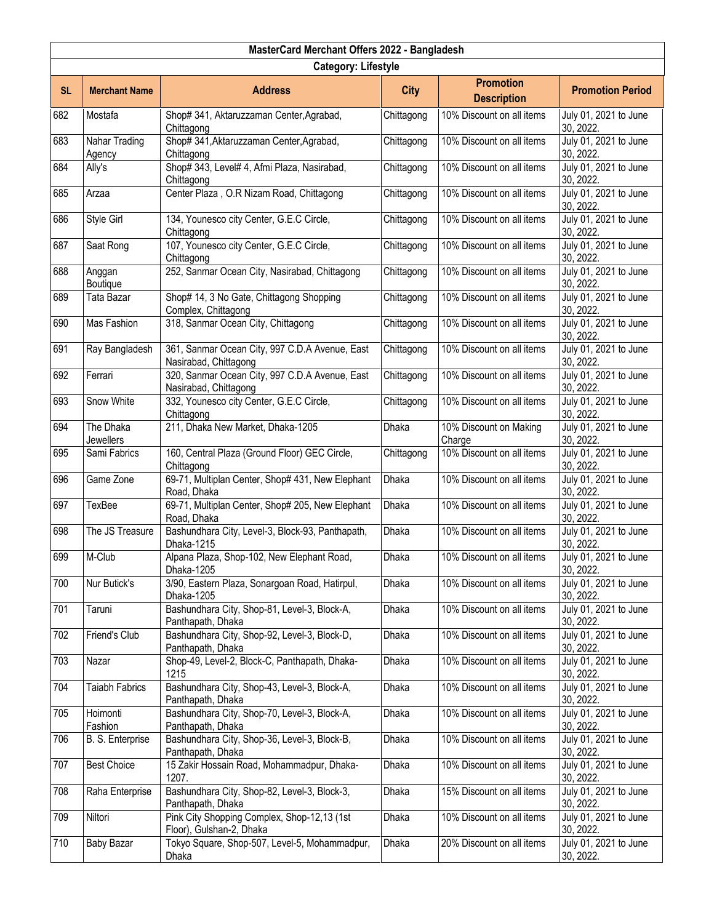|           | MasterCard Merchant Offers 2022 - Bangladesh |                                                                         |              |                                        |                                    |  |  |
|-----------|----------------------------------------------|-------------------------------------------------------------------------|--------------|----------------------------------------|------------------------------------|--|--|
|           | <b>Category: Lifestyle</b>                   |                                                                         |              |                                        |                                    |  |  |
| <b>SL</b> | <b>Merchant Name</b>                         | <b>Address</b>                                                          | <b>City</b>  | <b>Promotion</b><br><b>Description</b> | <b>Promotion Period</b>            |  |  |
| 682       | Mostafa                                      | Shop# 341, Aktaruzzaman Center, Agrabad,<br>Chittagong                  | Chittagong   | 10% Discount on all items              | July 01, 2021 to June<br>30, 2022. |  |  |
| 683       | Nahar Trading<br>Agency                      | Shop# 341, Aktaruzzaman Center, Agrabad,<br>Chittagong                  | Chittagong   | 10% Discount on all items              | July 01, 2021 to June<br>30, 2022. |  |  |
| 684       | Ally's                                       | Shop# 343, Level# 4, Afmi Plaza, Nasirabad,<br>Chittagong               | Chittagong   | 10% Discount on all items              | July 01, 2021 to June<br>30, 2022. |  |  |
| 685       | Arzaa                                        | Center Plaza, O.R Nizam Road, Chittagong                                | Chittagong   | 10% Discount on all items              | July 01, 2021 to June<br>30, 2022. |  |  |
| 686       | Style Girl                                   | 134, Younesco city Center, G.E.C Circle,<br>Chittagong                  | Chittagong   | 10% Discount on all items              | July 01, 2021 to June<br>30, 2022. |  |  |
| 687       | Saat Rong                                    | 107, Younesco city Center, G.E.C Circle,<br>Chittagong                  | Chittagong   | 10% Discount on all items              | July 01, 2021 to June<br>30, 2022. |  |  |
| 688       | Anggan<br>Boutique                           | 252, Sanmar Ocean City, Nasirabad, Chittagong                           | Chittagong   | 10% Discount on all items              | July 01, 2021 to June<br>30, 2022. |  |  |
| 689       | Tata Bazar                                   | Shop# 14, 3 No Gate, Chittagong Shopping<br>Complex, Chittagong         | Chittagong   | 10% Discount on all items              | July 01, 2021 to June<br>30, 2022. |  |  |
| 690       | Mas Fashion                                  | 318, Sanmar Ocean City, Chittagong                                      | Chittagong   | 10% Discount on all items              | July 01, 2021 to June<br>30, 2022. |  |  |
| 691       | Ray Bangladesh                               | 361, Sanmar Ocean City, 997 C.D.A Avenue, East<br>Nasirabad, Chittagong | Chittagong   | 10% Discount on all items              | July 01, 2021 to June<br>30, 2022. |  |  |
| 692       | Ferrari                                      | 320, Sanmar Ocean City, 997 C.D.A Avenue, East<br>Nasirabad, Chittagong | Chittagong   | 10% Discount on all items              | July 01, 2021 to June<br>30, 2022. |  |  |
| 693       | Snow White                                   | 332, Younesco city Center, G.E.C Circle,<br>Chittagong                  | Chittagong   | 10% Discount on all items              | July 01, 2021 to June<br>30, 2022. |  |  |
| 694       | The Dhaka<br><b>Jewellers</b>                | 211, Dhaka New Market, Dhaka-1205                                       | Dhaka        | 10% Discount on Making<br>Charge       | July 01, 2021 to June<br>30, 2022. |  |  |
| 695       | Sami Fabrics                                 | 160, Central Plaza (Ground Floor) GEC Circle,<br>Chittagong             | Chittagong   | 10% Discount on all items              | July 01, 2021 to June<br>30, 2022. |  |  |
| 696       | Game Zone                                    | 69-71, Multiplan Center, Shop# 431, New Elephant<br>Road, Dhaka         | <b>Dhaka</b> | 10% Discount on all items              | July 01, 2021 to June<br>30, 2022. |  |  |
| 697       | TexBee                                       | 69-71, Multiplan Center, Shop# 205, New Elephant<br>Road, Dhaka         | Dhaka        | 10% Discount on all items              | July 01, 2021 to June<br>30, 2022. |  |  |
| 698       | The JS Treasure                              | Bashundhara City, Level-3, Block-93, Panthapath,<br>Dhaka-1215          | Dhaka        | 10% Discount on all items              | July 01, 2021 to June<br>30, 2022. |  |  |
| 699       | M-Club                                       | Alpana Plaza, Shop-102, New Elephant Road,<br>Dhaka-1205                | Dhaka        | 10% Discount on all items              | July 01, 2021 to June<br>30, 2022. |  |  |
| 700       | Nur Butick's                                 | 3/90, Eastern Plaza, Sonargoan Road, Hatirpul,<br>Dhaka-1205            | Dhaka        | 10% Discount on all items              | July 01, 2021 to June<br>30, 2022. |  |  |
| 701       | Taruni                                       | Bashundhara City, Shop-81, Level-3, Block-A,<br>Panthapath, Dhaka       | Dhaka        | 10% Discount on all items              | July 01, 2021 to June<br>30, 2022. |  |  |
| 702       | Friend's Club                                | Bashundhara City, Shop-92, Level-3, Block-D,<br>Panthapath, Dhaka       | <b>Dhaka</b> | 10% Discount on all items              | July 01, 2021 to June<br>30, 2022. |  |  |
| 703       | Nazar                                        | Shop-49, Level-2, Block-C, Panthapath, Dhaka-<br>1215                   | Dhaka        | 10% Discount on all items              | July 01, 2021 to June<br>30, 2022. |  |  |
| 704       | <b>Taiabh Fabrics</b>                        | Bashundhara City, Shop-43, Level-3, Block-A,<br>Panthapath, Dhaka       | Dhaka        | 10% Discount on all items              | July 01, 2021 to June<br>30, 2022. |  |  |
| 705       | Hoimonti<br>Fashion                          | Bashundhara City, Shop-70, Level-3, Block-A,<br>Panthapath, Dhaka       | Dhaka        | 10% Discount on all items              | July 01, 2021 to June<br>30, 2022. |  |  |
| 706       | B. S. Enterprise                             | Bashundhara City, Shop-36, Level-3, Block-B,<br>Panthapath, Dhaka       | Dhaka        | 10% Discount on all items              | July 01, 2021 to June<br>30, 2022. |  |  |
| 707       | <b>Best Choice</b>                           | 15 Zakir Hossain Road, Mohammadpur, Dhaka-<br>1207.                     | Dhaka        | 10% Discount on all items              | July 01, 2021 to June<br>30, 2022. |  |  |
| 708       | Raha Enterprise                              | Bashundhara City, Shop-82, Level-3, Block-3,<br>Panthapath, Dhaka       | Dhaka        | 15% Discount on all items              | July 01, 2021 to June<br>30, 2022. |  |  |
| 709       | Niltori                                      | Pink City Shopping Complex, Shop-12,13 (1st<br>Floor), Gulshan-2, Dhaka | Dhaka        | 10% Discount on all items              | July 01, 2021 to June<br>30, 2022. |  |  |
| 710       | Baby Bazar                                   | Tokyo Square, Shop-507, Level-5, Mohammadpur,<br>Dhaka                  | Dhaka        | 20% Discount on all items              | July 01, 2021 to June<br>30, 2022. |  |  |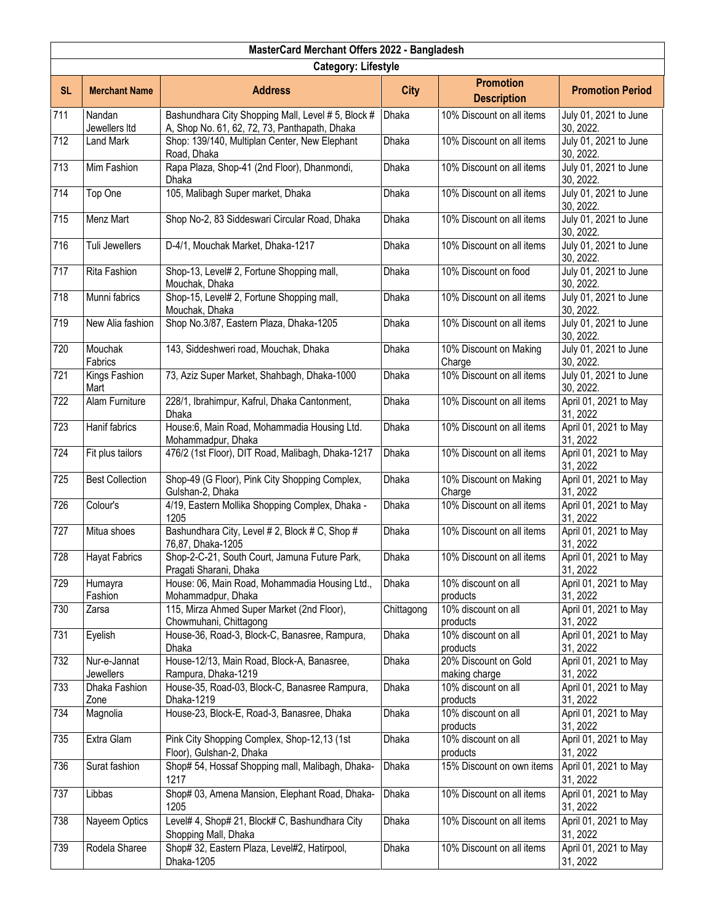|                  | MasterCard Merchant Offers 2022 - Bangladesh |                                                                                                     |              |                                        |                                    |  |  |
|------------------|----------------------------------------------|-----------------------------------------------------------------------------------------------------|--------------|----------------------------------------|------------------------------------|--|--|
|                  | <b>Category: Lifestyle</b>                   |                                                                                                     |              |                                        |                                    |  |  |
| <b>SL</b>        | <b>Merchant Name</b>                         | <b>Address</b>                                                                                      | <b>City</b>  | <b>Promotion</b><br><b>Description</b> | <b>Promotion Period</b>            |  |  |
| 711              | Nandan<br>Jewellers Itd                      | Bashundhara City Shopping Mall, Level # 5, Block #<br>A, Shop No. 61, 62, 72, 73, Panthapath, Dhaka | Dhaka        | 10% Discount on all items              | July 01, 2021 to June<br>30, 2022. |  |  |
| $\overline{712}$ | Land Mark                                    | Shop: 139/140, Multiplan Center, New Elephant<br>Road, Dhaka                                        | <b>Dhaka</b> | 10% Discount on all items              | July 01, 2021 to June<br>30, 2022. |  |  |
| 713              | Mim Fashion                                  | Rapa Plaza, Shop-41 (2nd Floor), Dhanmondi,<br>Dhaka                                                | Dhaka        | 10% Discount on all items              | July 01, 2021 to June<br>30, 2022. |  |  |
| 714              | Top One                                      | 105, Malibagh Super market, Dhaka                                                                   | Dhaka        | 10% Discount on all items              | July 01, 2021 to June<br>30, 2022. |  |  |
| 715              | Menz Mart                                    | Shop No-2, 83 Siddeswari Circular Road, Dhaka                                                       | Dhaka        | 10% Discount on all items              | July 01, 2021 to June<br>30, 2022. |  |  |
| 716              | Tuli Jewellers                               | D-4/1, Mouchak Market, Dhaka-1217                                                                   | Dhaka        | 10% Discount on all items              | July 01, 2021 to June<br>30, 2022. |  |  |
| 717              | Rita Fashion                                 | Shop-13, Level# 2, Fortune Shopping mall,<br>Mouchak, Dhaka                                         | Dhaka        | 10% Discount on food                   | July 01, 2021 to June<br>30, 2022. |  |  |
| 718              | Munni fabrics                                | Shop-15, Level# 2, Fortune Shopping mall,<br>Mouchak, Dhaka                                         | Dhaka        | 10% Discount on all items              | July 01, 2021 to June<br>30, 2022. |  |  |
| 719              | New Alia fashion                             | Shop No.3/87, Eastern Plaza, Dhaka-1205                                                             | Dhaka        | 10% Discount on all items              | July 01, 2021 to June<br>30, 2022. |  |  |
| 720              | Mouchak<br>Fabrics                           | 143, Siddeshweri road, Mouchak, Dhaka                                                               | Dhaka        | 10% Discount on Making<br>Charge       | July 01, 2021 to June<br>30, 2022. |  |  |
| 721              | Kings Fashion<br>Mart                        | 73, Aziz Super Market, Shahbagh, Dhaka-1000                                                         | Dhaka        | 10% Discount on all items              | July 01, 2021 to June<br>30, 2022. |  |  |
| 722              | Alam Furniture                               | 228/1, Ibrahimpur, Kafrul, Dhaka Cantonment,<br><b>Dhaka</b>                                        | Dhaka        | 10% Discount on all items              | April 01, 2021 to May<br>31, 2022  |  |  |
| 723              | Hanif fabrics                                | House:6, Main Road, Mohammadia Housing Ltd.<br>Mohammadpur, Dhaka                                   | Dhaka        | 10% Discount on all items              | April 01, 2021 to May<br>31, 2022  |  |  |
| 724              | Fit plus tailors                             | 476/2 (1st Floor), DIT Road, Malibagh, Dhaka-1217                                                   | <b>Dhaka</b> | 10% Discount on all items              | April 01, 2021 to May<br>31, 2022  |  |  |
| 725              | <b>Best Collection</b>                       | Shop-49 (G Floor), Pink City Shopping Complex,<br>Gulshan-2, Dhaka                                  | Dhaka        | 10% Discount on Making<br>Charge       | April 01, 2021 to May<br>31, 2022  |  |  |
| 726              | Colour's                                     | 4/19, Eastern Mollika Shopping Complex, Dhaka -<br>1205                                             | Dhaka        | 10% Discount on all items              | April 01, 2021 to May<br>31, 2022  |  |  |
| 727              | Mitua shoes                                  | Bashundhara City, Level # 2, Block # C, Shop #<br>76,87, Dhaka-1205                                 | Dhaka        | 10% Discount on all items              | April 01, 2021 to May<br>31, 2022  |  |  |
| 728              | <b>Hayat Fabrics</b>                         | Shop-2-C-21, South Court, Jamuna Future Park,<br>Pragati Sharani, Dhaka                             | Dhaka        | 10% Discount on all items              | April 01, 2021 to May<br>31, 2022  |  |  |
| 729              | Humayra<br>Fashion                           | House: 06, Main Road, Mohammadia Housing Ltd.,<br>Mohammadpur, Dhaka                                | Dhaka        | 10% discount on all<br>products        | April 01, 2021 to May<br>31, 2022  |  |  |
| 730              | Zarsa                                        | 115, Mirza Ahmed Super Market (2nd Floor),<br>Chowmuhani, Chittagong                                | Chittagong   | 10% discount on all<br>products        | April 01, 2021 to May<br>31, 2022  |  |  |
| 731              | Eyelish                                      | House-36, Road-3, Block-C, Banasree, Rampura,<br>Dhaka                                              | <b>Dhaka</b> | 10% discount on all<br>products        | April 01, 2021 to May<br>31, 2022  |  |  |
| 732              | Nur-e-Jannat<br>Jewellers                    | House-12/13, Main Road, Block-A, Banasree,<br>Rampura, Dhaka-1219                                   | Dhaka        | 20% Discount on Gold<br>making charge  | April 01, 2021 to May<br>31, 2022  |  |  |
| 733              | Dhaka Fashion                                | House-35, Road-03, Block-C, Banasree Rampura,                                                       | Dhaka        | 10% discount on all                    | April 01, 2021 to May              |  |  |
|                  | Zone                                         | Dhaka-1219                                                                                          |              | products                               | 31, 2022                           |  |  |
| 734              | Magnolia                                     | House-23, Block-E, Road-3, Banasree, Dhaka                                                          | Dhaka        | 10% discount on all<br>products        | April 01, 2021 to May<br>31, 2022  |  |  |
| 735              | Extra Glam                                   | Pink City Shopping Complex, Shop-12,13 (1st<br>Floor), Gulshan-2, Dhaka                             | Dhaka        | 10% discount on all<br>products        | April 01, 2021 to May<br>31, 2022  |  |  |
| 736              | Surat fashion                                | Shop# 54, Hossaf Shopping mall, Malibagh, Dhaka-<br>1217                                            | Dhaka        | 15% Discount on own items              | April 01, 2021 to May<br>31, 2022  |  |  |
| 737              | Libbas                                       | Shop# 03, Amena Mansion, Elephant Road, Dhaka-<br>1205                                              | Dhaka        | 10% Discount on all items              | April 01, 2021 to May<br>31, 2022  |  |  |
| 738              | Nayeem Optics                                | Level# 4, Shop# 21, Block# C, Bashundhara City<br>Shopping Mall, Dhaka                              | Dhaka        | 10% Discount on all items              | April 01, 2021 to May<br>31, 2022  |  |  |
| 739              | Rodela Sharee                                | Shop# 32, Eastern Plaza, Level#2, Hatirpool,<br>Dhaka-1205                                          | Dhaka        | 10% Discount on all items              | April 01, 2021 to May<br>31, 2022  |  |  |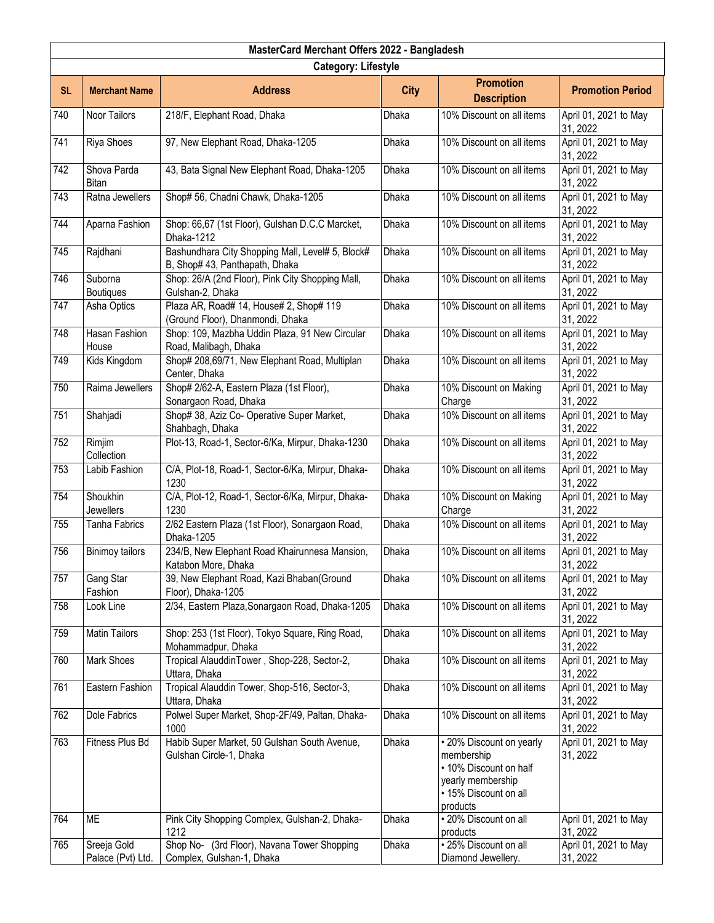|           | MasterCard Merchant Offers 2022 - Bangladesh |                                                                                    |              |                                                                                                                            |                                   |  |  |
|-----------|----------------------------------------------|------------------------------------------------------------------------------------|--------------|----------------------------------------------------------------------------------------------------------------------------|-----------------------------------|--|--|
|           | <b>Category: Lifestyle</b>                   |                                                                                    |              |                                                                                                                            |                                   |  |  |
| <b>SL</b> | <b>Merchant Name</b>                         | <b>Address</b>                                                                     | <b>City</b>  | <b>Promotion</b><br><b>Description</b>                                                                                     | <b>Promotion Period</b>           |  |  |
| 740       | Noor Tailors                                 | 218/F, Elephant Road, Dhaka                                                        | Dhaka        | 10% Discount on all items                                                                                                  | April 01, 2021 to May<br>31, 2022 |  |  |
| 741       | Riya Shoes                                   | 97, New Elephant Road, Dhaka-1205                                                  | Dhaka        | 10% Discount on all items                                                                                                  | April 01, 2021 to May<br>31, 2022 |  |  |
| 742       | Shova Parda<br><b>Bitan</b>                  | 43, Bata Signal New Elephant Road, Dhaka-1205                                      | Dhaka        | 10% Discount on all items                                                                                                  | April 01, 2021 to May<br>31, 2022 |  |  |
| 743       | Ratna Jewellers                              | Shop# 56, Chadni Chawk, Dhaka-1205                                                 | Dhaka        | 10% Discount on all items                                                                                                  | April 01, 2021 to May<br>31, 2022 |  |  |
| 744       | Aparna Fashion                               | Shop: 66,67 (1st Floor), Gulshan D.C.C Marcket,<br>Dhaka-1212                      | Dhaka        | 10% Discount on all items                                                                                                  | April 01, 2021 to May<br>31, 2022 |  |  |
| 745       | Rajdhani                                     | Bashundhara City Shopping Mall, Level# 5, Block#<br>B, Shop# 43, Panthapath, Dhaka | Dhaka        | 10% Discount on all items                                                                                                  | April 01, 2021 to May<br>31, 2022 |  |  |
| 746       | Suborna<br><b>Boutiques</b>                  | Shop: 26/A (2nd Floor), Pink City Shopping Mall,<br>Gulshan-2, Dhaka               | <b>Dhaka</b> | 10% Discount on all items                                                                                                  | April 01, 2021 to May<br>31, 2022 |  |  |
| 747       | Asha Optics                                  | Plaza AR, Road# 14, House# 2, Shop# 119<br>(Ground Floor), Dhanmondi, Dhaka        | Dhaka        | 10% Discount on all items                                                                                                  | April 01, 2021 to May<br>31, 2022 |  |  |
| 748       | <b>Hasan Fashion</b><br>House                | Shop: 109, Mazbha Uddin Plaza, 91 New Circular<br>Road, Malibagh, Dhaka            | Dhaka        | 10% Discount on all items                                                                                                  | April 01, 2021 to May<br>31, 2022 |  |  |
| 749       | Kids Kingdom                                 | Shop# 208,69/71, New Elephant Road, Multiplan<br>Center, Dhaka                     | <b>Dhaka</b> | 10% Discount on all items                                                                                                  | April 01, 2021 to May<br>31, 2022 |  |  |
| 750       | Raima Jewellers                              | Shop# 2/62-A, Eastern Plaza (1st Floor),<br>Sonargaon Road, Dhaka                  | Dhaka        | 10% Discount on Making<br>Charge                                                                                           | April 01, 2021 to May<br>31, 2022 |  |  |
| 751       | Shahjadi                                     | Shop# 38, Aziz Co- Operative Super Market,<br>Shahbagh, Dhaka                      | Dhaka        | 10% Discount on all items                                                                                                  | April 01, 2021 to May<br>31, 2022 |  |  |
| 752       | Rimjim<br>Collection                         | Plot-13, Road-1, Sector-6/Ka, Mirpur, Dhaka-1230                                   | Dhaka        | 10% Discount on all items                                                                                                  | April 01, 2021 to May<br>31, 2022 |  |  |
| 753       | Labib Fashion                                | C/A, Plot-18, Road-1, Sector-6/Ka, Mirpur, Dhaka-<br>1230                          | Dhaka        | 10% Discount on all items                                                                                                  | April 01, 2021 to May<br>31, 2022 |  |  |
| 754       | Shoukhin<br>Jewellers                        | C/A, Plot-12, Road-1, Sector-6/Ka, Mirpur, Dhaka-<br>1230                          | Dhaka        | 10% Discount on Making<br>Charge                                                                                           | April 01, 2021 to May<br>31, 2022 |  |  |
| 755       | <b>Tanha Fabrics</b>                         | 2/62 Eastern Plaza (1st Floor), Sonargaon Road,<br>Dhaka-1205                      | <b>Dhaka</b> | 10% Discount on all items                                                                                                  | April 01, 2021 to May<br>31, 2022 |  |  |
| 756       | <b>Binimoy tailors</b>                       | 234/B, New Elephant Road Khairunnesa Mansion,<br>Katabon More, Dhaka               | <b>Dhaka</b> | 10% Discount on all items                                                                                                  | April 01, 2021 to May<br>31, 2022 |  |  |
| 757       | Gang Star<br>Fashion                         | 39, New Elephant Road, Kazi Bhaban(Ground<br>Floor), Dhaka-1205                    | Dhaka        | 10% Discount on all items                                                                                                  | April 01, 2021 to May<br>31, 2022 |  |  |
| 758       | Look Line                                    | 2/34, Eastern Plaza, Sonargaon Road, Dhaka-1205                                    | Dhaka        | 10% Discount on all items                                                                                                  | April 01, 2021 to May<br>31, 2022 |  |  |
| 759       | <b>Matin Tailors</b>                         | Shop: 253 (1st Floor), Tokyo Square, Ring Road,<br>Mohammadpur, Dhaka              | <b>Dhaka</b> | 10% Discount on all items                                                                                                  | April 01, 2021 to May<br>31, 2022 |  |  |
| 760       | Mark Shoes                                   | Tropical AlauddinTower, Shop-228, Sector-2,<br>Uttara, Dhaka                       | Dhaka        | 10% Discount on all items                                                                                                  | April 01, 2021 to May<br>31, 2022 |  |  |
| 761       | Eastern Fashion                              | Tropical Alauddin Tower, Shop-516, Sector-3,<br>Uttara, Dhaka                      | <b>Dhaka</b> | 10% Discount on all items                                                                                                  | April 01, 2021 to May<br>31, 2022 |  |  |
| 762       | Dole Fabrics                                 | Polwel Super Market, Shop-2F/49, Paltan, Dhaka-<br>1000                            | Dhaka        | 10% Discount on all items                                                                                                  | April 01, 2021 to May<br>31, 2022 |  |  |
| 763       | Fitness Plus Bd                              | Habib Super Market, 50 Gulshan South Avenue,<br>Gulshan Circle-1, Dhaka            | Dhaka        | • 20% Discount on yearly<br>membership<br>• 10% Discount on half<br>yearly membership<br>• 15% Discount on all<br>products | April 01, 2021 to May<br>31, 2022 |  |  |
| 764       | <b>ME</b>                                    | Pink City Shopping Complex, Gulshan-2, Dhaka-<br>1212                              | Dhaka        | •20% Discount on all<br>products                                                                                           | April 01, 2021 to May<br>31, 2022 |  |  |
| 765       | Sreeja Gold<br>Palace (Pvt) Ltd.             | Shop No- (3rd Floor), Navana Tower Shopping<br>Complex, Gulshan-1, Dhaka           | <b>Dhaka</b> | · 25% Discount on all<br>Diamond Jewellery.                                                                                | April 01, 2021 to May<br>31, 2022 |  |  |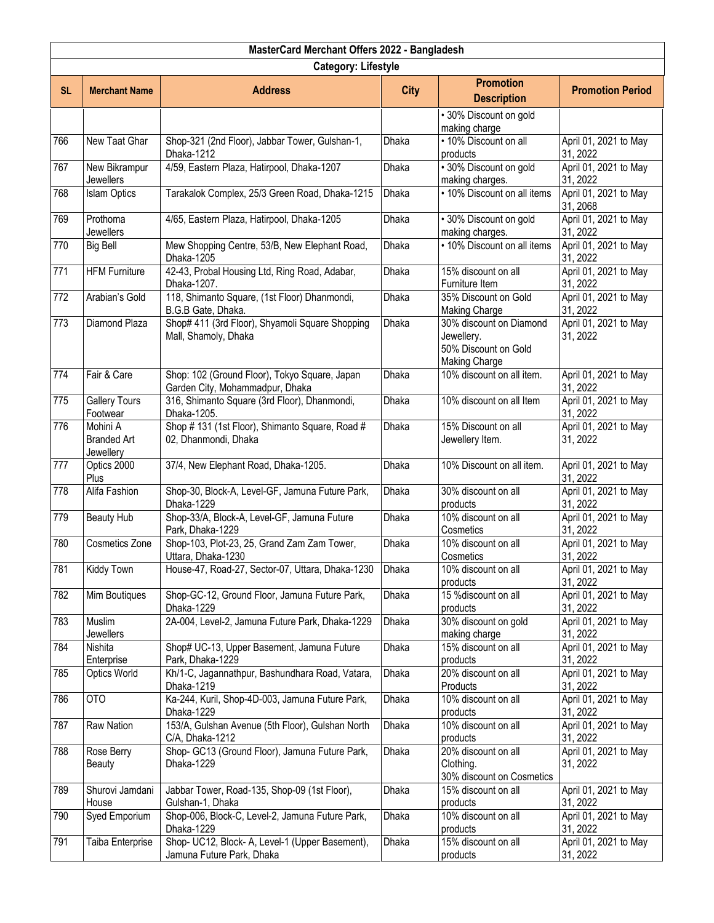|           | MasterCard Merchant Offers 2022 - Bangladesh |                                                                                  |              |                                                                                       |                                   |  |  |
|-----------|----------------------------------------------|----------------------------------------------------------------------------------|--------------|---------------------------------------------------------------------------------------|-----------------------------------|--|--|
|           | <b>Category: Lifestyle</b>                   |                                                                                  |              |                                                                                       |                                   |  |  |
| <b>SL</b> | <b>Merchant Name</b>                         | <b>Address</b>                                                                   | <b>City</b>  | <b>Promotion</b><br><b>Description</b>                                                | <b>Promotion Period</b>           |  |  |
|           |                                              |                                                                                  |              | • 30% Discount on gold<br>making charge                                               |                                   |  |  |
| 766       | New Taat Ghar                                | Shop-321 (2nd Floor), Jabbar Tower, Gulshan-1,<br>Dhaka-1212                     | Dhaka        | · 10% Discount on all<br>products                                                     | April 01, 2021 to May<br>31, 2022 |  |  |
| 767       | New Bikrampur<br>Jewellers                   | 4/59, Eastern Plaza, Hatirpool, Dhaka-1207                                       | Dhaka        | · 30% Discount on gold<br>making charges.                                             | April 01, 2021 to May<br>31, 2022 |  |  |
| 768       | <b>Islam Optics</b>                          | Tarakalok Complex, 25/3 Green Road, Dhaka-1215                                   | <b>Dhaka</b> | • 10% Discount on all items                                                           | April 01, 2021 to May<br>31, 2068 |  |  |
| 769       | Prothoma<br><b>Jewellers</b>                 | 4/65, Eastern Plaza, Hatirpool, Dhaka-1205                                       | Dhaka        | · 30% Discount on gold<br>making charges.                                             | April 01, 2021 to May<br>31, 2022 |  |  |
| 770       | <b>Big Bell</b>                              | Mew Shopping Centre, 53/B, New Elephant Road,<br>Dhaka-1205                      | Dhaka        | • 10% Discount on all items                                                           | April 01, 2021 to May<br>31, 2022 |  |  |
| 771       | <b>HFM Furniture</b>                         | 42-43, Probal Housing Ltd, Ring Road, Adabar,<br>Dhaka-1207.                     | Dhaka        | 15% discount on all<br>Furniture Item                                                 | April 01, 2021 to May<br>31, 2022 |  |  |
| 772       | Arabian's Gold                               | 118, Shimanto Square, (1st Floor) Dhanmondi,<br>B.G.B Gate, Dhaka.               | <b>Dhaka</b> | 35% Discount on Gold<br><b>Making Charge</b>                                          | April 01, 2021 to May<br>31, 2022 |  |  |
| 773       | Diamond Plaza                                | Shop# 411 (3rd Floor), Shyamoli Square Shopping<br>Mall, Shamoly, Dhaka          | <b>Dhaka</b> | 30% discount on Diamond<br>Jewellery.<br>50% Discount on Gold<br><b>Making Charge</b> | April 01, 2021 to May<br>31, 2022 |  |  |
| 774       | Fair & Care                                  | Shop: 102 (Ground Floor), Tokyo Square, Japan<br>Garden City, Mohammadpur, Dhaka | Dhaka        | 10% discount on all item.                                                             | April 01, 2021 to May<br>31, 2022 |  |  |
| 775       | <b>Gallery Tours</b><br>Footwear             | 316, Shimanto Square (3rd Floor), Dhanmondi,<br>Dhaka-1205.                      | Dhaka        | 10% discount on all Item                                                              | April 01, 2021 to May<br>31, 2022 |  |  |
| 776       | Mohini A<br><b>Branded Art</b><br>Jewellery  | Shop #131 (1st Floor), Shimanto Square, Road #<br>02, Dhanmondi, Dhaka           | <b>Dhaka</b> | 15% Discount on all<br>Jewellery Item.                                                | April 01, 2021 to May<br>31, 2022 |  |  |
| 777       | Optics 2000<br>Plus                          | 37/4, New Elephant Road, Dhaka-1205.                                             | <b>Dhaka</b> | 10% Discount on all item.                                                             | April 01, 2021 to May<br>31, 2022 |  |  |
| 778       | Alifa Fashion                                | Shop-30, Block-A, Level-GF, Jamuna Future Park,<br>Dhaka-1229                    | Dhaka        | 30% discount on all<br>products                                                       | April 01, 2021 to May<br>31, 2022 |  |  |
| 779       | <b>Beauty Hub</b>                            | Shop-33/A, Block-A, Level-GF, Jamuna Future<br>Park, Dhaka-1229                  | <b>Dhaka</b> | 10% discount on all<br>Cosmetics                                                      | April 01, 2021 to May<br>31, 2022 |  |  |
| 780       | Cosmetics Zone                               | Shop-103, Plot-23, 25, Grand Zam Zam Tower,<br>Uttara, Dhaka-1230                | Dhaka        | 10% discount on all<br>Cosmetics                                                      | April 01, 2021 to May<br>31, 2022 |  |  |
| 781       | Kiddy Town                                   | House-47, Road-27, Sector-07, Uttara, Dhaka-1230                                 | Dhaka        | 10% discount on all<br>products                                                       | April 01, 2021 to May<br>31, 2022 |  |  |
| 782       | Mim Boutiques                                | Shop-GC-12, Ground Floor, Jamuna Future Park,<br>Dhaka-1229                      | Dhaka        | 15 % discount on all<br>products                                                      | April 01, 2021 to May<br>31, 2022 |  |  |
| 783       | Muslim<br>Jewellers                          | 2A-004, Level-2, Jamuna Future Park, Dhaka-1229                                  | Dhaka        | 30% discount on gold<br>making charge                                                 | April 01, 2021 to May<br>31, 2022 |  |  |
| 784       | Nishita<br>Enterprise                        | Shop# UC-13, Upper Basement, Jamuna Future<br>Park, Dhaka-1229                   | Dhaka        | 15% discount on all<br>products                                                       | April 01, 2021 to May<br>31, 2022 |  |  |
| 785       | <b>Optics World</b>                          | Kh/1-C, Jagannathpur, Bashundhara Road, Vatara,<br>Dhaka-1219                    | Dhaka        | 20% discount on all<br>Products                                                       | April 01, 2021 to May<br>31, 2022 |  |  |
| 786       | <b>OTO</b>                                   | Ka-244, Kuril, Shop-4D-003, Jamuna Future Park,<br>Dhaka-1229                    | <b>Dhaka</b> | 10% discount on all<br>products                                                       | April 01, 2021 to May<br>31, 2022 |  |  |
| 787       | Raw Nation                                   | 153/A, Gulshan Avenue (5th Floor), Gulshan North<br>C/A, Dhaka-1212              | Dhaka        | 10% discount on all<br>products                                                       | April 01, 2021 to May<br>31, 2022 |  |  |
| 788       | Rose Berry<br><b>Beauty</b>                  | Shop- GC13 (Ground Floor), Jamuna Future Park,<br>Dhaka-1229                     | Dhaka        | 20% discount on all<br>Clothing.<br>30% discount on Cosmetics                         | April 01, 2021 to May<br>31, 2022 |  |  |
| 789       | Shurovi Jamdani<br>House                     | Jabbar Tower, Road-135, Shop-09 (1st Floor),<br>Gulshan-1, Dhaka                 | Dhaka        | 15% discount on all<br>products                                                       | April 01, 2021 to May<br>31, 2022 |  |  |
| 790       | Syed Emporium                                | Shop-006, Block-C, Level-2, Jamuna Future Park,<br>Dhaka-1229                    | Dhaka        | 10% discount on all<br>products                                                       | April 01, 2021 to May<br>31, 2022 |  |  |
| 791       | Taiba Enterprise                             | Shop- UC12, Block- A, Level-1 (Upper Basement),<br>Jamuna Future Park, Dhaka     | Dhaka        | 15% discount on all<br>products                                                       | April 01, 2021 to May<br>31, 2022 |  |  |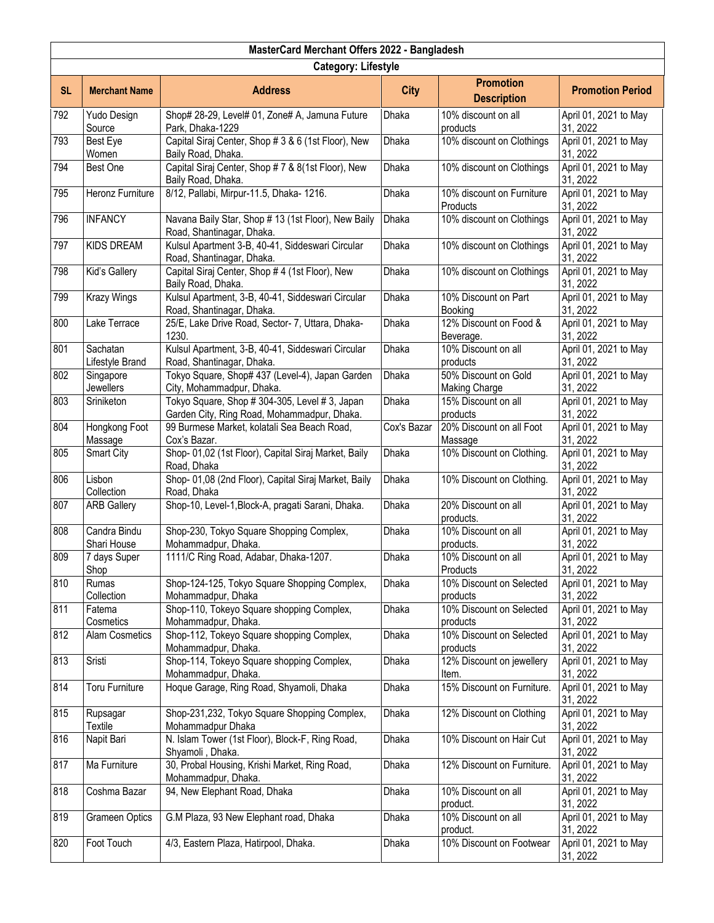|           | MasterCard Merchant Offers 2022 - Bangladesh |                                                                                               |              |                                              |                                   |  |  |
|-----------|----------------------------------------------|-----------------------------------------------------------------------------------------------|--------------|----------------------------------------------|-----------------------------------|--|--|
|           | <b>Category: Lifestyle</b>                   |                                                                                               |              |                                              |                                   |  |  |
| <b>SL</b> | <b>Merchant Name</b>                         | <b>Address</b>                                                                                | <b>City</b>  | <b>Promotion</b><br><b>Description</b>       | <b>Promotion Period</b>           |  |  |
| 792       | Yudo Design<br>Source                        | Shop# 28-29, Level# 01, Zone# A, Jamuna Future<br>Park, Dhaka-1229                            | <b>Dhaka</b> | 10% discount on all<br>products              | April 01, 2021 to May<br>31, 2022 |  |  |
| 793       | <b>Best Eye</b><br>Women                     | Capital Siraj Center, Shop # 3 & 6 (1st Floor), New<br>Baily Road, Dhaka.                     | Dhaka        | 10% discount on Clothings                    | April 01, 2021 to May<br>31, 2022 |  |  |
| 794       | Best One                                     | Capital Siraj Center, Shop # 7 & 8(1st Floor), New<br>Baily Road, Dhaka.                      | Dhaka        | 10% discount on Clothings                    | April 01, 2021 to May<br>31, 2022 |  |  |
| 795       | <b>Heronz Furniture</b>                      | 8/12, Pallabi, Mirpur-11.5, Dhaka- 1216.                                                      | <b>Dhaka</b> | 10% discount on Furniture<br>Products        | April 01, 2021 to May<br>31, 2022 |  |  |
| 796       | <b>INFANCY</b>                               | Navana Baily Star, Shop # 13 (1st Floor), New Baily<br>Road, Shantinagar, Dhaka.              | Dhaka        | 10% discount on Clothings                    | April 01, 2021 to May<br>31, 2022 |  |  |
| 797       | <b>KIDS DREAM</b>                            | Kulsul Apartment 3-B, 40-41, Siddeswari Circular<br>Road, Shantinagar, Dhaka.                 | Dhaka        | 10% discount on Clothings                    | April 01, 2021 to May<br>31, 2022 |  |  |
| 798       | Kid's Gallery                                | Capital Siraj Center, Shop # 4 (1st Floor), New<br>Baily Road, Dhaka.                         | Dhaka        | 10% discount on Clothings                    | April 01, 2021 to May<br>31, 2022 |  |  |
| 799       | <b>Krazy Wings</b>                           | Kulsul Apartment, 3-B, 40-41, Siddeswari Circular<br>Road, Shantinagar, Dhaka.                | <b>Dhaka</b> | 10% Discount on Part<br>Booking              | April 01, 2021 to May<br>31, 2022 |  |  |
| 800       | Lake Terrace                                 | 25/E, Lake Drive Road, Sector- 7, Uttara, Dhaka-<br>1230.                                     | Dhaka        | 12% Discount on Food &<br>Beverage.          | April 01, 2021 to May<br>31, 2022 |  |  |
| 801       | Sachatan<br>Lifestyle Brand                  | Kulsul Apartment, 3-B, 40-41, Siddeswari Circular<br>Road, Shantinagar, Dhaka.                | Dhaka        | 10% Discount on all<br>products              | April 01, 2021 to May<br>31, 2022 |  |  |
| 802       | Singapore<br><b>Jewellers</b>                | Tokyo Square, Shop# 437 (Level-4), Japan Garden<br>City, Mohammadpur, Dhaka.                  | Dhaka        | 50% Discount on Gold<br><b>Making Charge</b> | April 01, 2021 to May<br>31, 2022 |  |  |
| 803       | Sriniketon                                   | Tokyo Square, Shop # 304-305, Level # 3, Japan<br>Garden City, Ring Road, Mohammadpur, Dhaka. | Dhaka        | 15% Discount on all<br>products              | April 01, 2021 to May<br>31, 2022 |  |  |
| 804       | Hongkong Foot<br>Massage                     | 99 Burmese Market, kolatali Sea Beach Road,<br>Cox's Bazar.                                   | Cox's Bazar  | 20% Discount on all Foot<br>Massage          | April 01, 2021 to May<br>31, 2022 |  |  |
| 805       | Smart City                                   | Shop- 01,02 (1st Floor), Capital Siraj Market, Baily<br>Road, Dhaka                           | Dhaka        | 10% Discount on Clothing.                    | April 01, 2021 to May<br>31, 2022 |  |  |
| 806       | Lisbon<br>Collection                         | Shop- 01,08 (2nd Floor), Capital Siraj Market, Baily<br>Road, Dhaka                           | Dhaka        | 10% Discount on Clothing.                    | April 01, 2021 to May<br>31, 2022 |  |  |
| 807       | <b>ARB Gallery</b>                           | Shop-10, Level-1, Block-A, pragati Sarani, Dhaka.                                             | <b>Dhaka</b> | 20% Discount on all<br>products.             | April 01, 2021 to May<br>31, 2022 |  |  |
| 808       | Candra Bindu<br>Shari House                  | Shop-230, Tokyo Square Shopping Complex,<br>Mohammadpur, Dhaka.                               | Dhaka        | 10% Discount on all<br>products.             | April 01, 2021 to May<br>31, 2022 |  |  |
| 809       | 7 days Super<br>Shop                         | 1111/C Ring Road, Adabar, Dhaka-1207.                                                         | Dhaka        | 10% Discount on all<br>Products              | April 01, 2021 to May<br>31, 2022 |  |  |
| 810       | Rumas<br>Collection                          | Shop-124-125, Tokyo Square Shopping Complex,<br>Mohammadpur, Dhaka                            | Dhaka        | 10% Discount on Selected<br>products         | April 01, 2021 to May<br>31, 2022 |  |  |
| 811       | Fatema<br>Cosmetics                          | Shop-110, Tokeyo Square shopping Complex,<br>Mohammadpur, Dhaka.                              | Dhaka        | 10% Discount on Selected<br>products         | April 01, 2021 to May<br>31, 2022 |  |  |
| 812       | <b>Alam Cosmetics</b>                        | Shop-112, Tokeyo Square shopping Complex,<br>Mohammadpur, Dhaka.                              | <b>Dhaka</b> | 10% Discount on Selected<br>products         | April 01, 2021 to May<br>31, 2022 |  |  |
| 813       | Sristi                                       | Shop-114, Tokeyo Square shopping Complex,<br>Mohammadpur, Dhaka.                              | Dhaka        | 12% Discount on jewellery<br>Item.           | April 01, 2021 to May<br>31, 2022 |  |  |
| 814       | <b>Toru Furniture</b>                        | Hoque Garage, Ring Road, Shyamoli, Dhaka                                                      | Dhaka        | 15% Discount on Furniture.                   | April 01, 2021 to May<br>31, 2022 |  |  |
| 815       | Rupsagar<br>Textile                          | Shop-231,232, Tokyo Square Shopping Complex,<br>Mohammadpur Dhaka                             | Dhaka        | 12% Discount on Clothing                     | April 01, 2021 to May<br>31, 2022 |  |  |
| 816       | Napit Bari                                   | N. Islam Tower (1st Floor), Block-F, Ring Road,<br>Shyamoli, Dhaka.                           | Dhaka        | 10% Discount on Hair Cut                     | April 01, 2021 to May<br>31, 2022 |  |  |
| 817       | Ma Furniture                                 | 30, Probal Housing, Krishi Market, Ring Road,<br>Mohammadpur, Dhaka.                          | Dhaka        | 12% Discount on Furniture.                   | April 01, 2021 to May<br>31, 2022 |  |  |
| 818       | Coshma Bazar                                 | 94, New Elephant Road, Dhaka                                                                  | Dhaka        | 10% Discount on all<br>product.              | April 01, 2021 to May<br>31, 2022 |  |  |
| 819       | <b>Grameen Optics</b>                        | G.M Plaza, 93 New Elephant road, Dhaka                                                        | Dhaka        | 10% Discount on all<br>product.              | April 01, 2021 to May<br>31, 2022 |  |  |
| 820       | Foot Touch                                   | 4/3, Eastern Plaza, Hatirpool, Dhaka.                                                         | Dhaka        | 10% Discount on Footwear                     | April 01, 2021 to May<br>31, 2022 |  |  |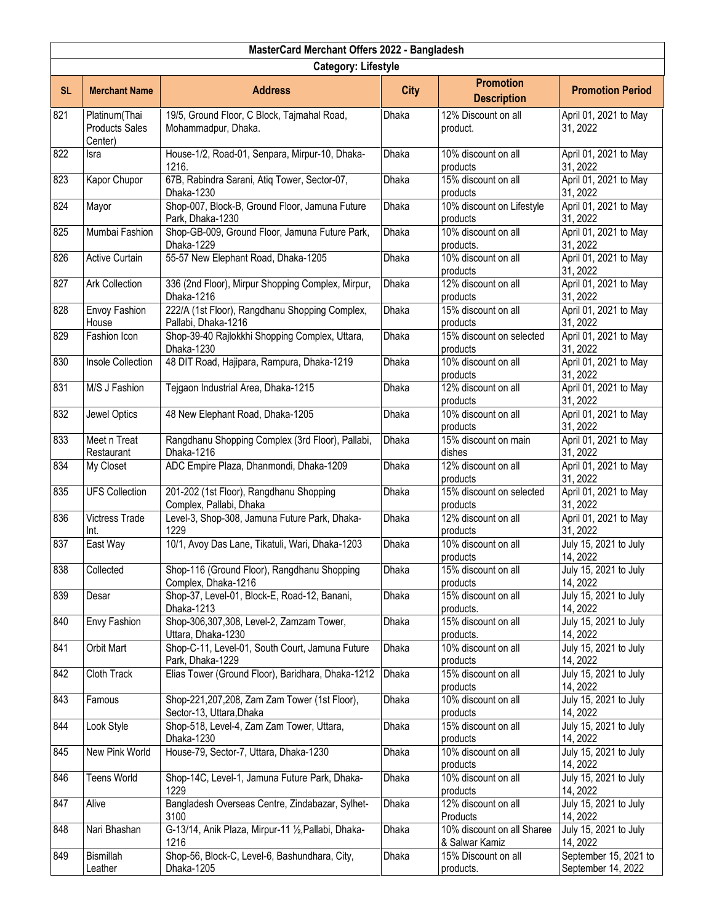|           | MasterCard Merchant Offers 2022 - Bangladesh      |                                                                          |              |                                              |                                             |  |  |
|-----------|---------------------------------------------------|--------------------------------------------------------------------------|--------------|----------------------------------------------|---------------------------------------------|--|--|
|           | <b>Category: Lifestyle</b>                        |                                                                          |              |                                              |                                             |  |  |
| <b>SL</b> | <b>Merchant Name</b>                              | <b>Address</b>                                                           | <b>City</b>  | <b>Promotion</b><br><b>Description</b>       | <b>Promotion Period</b>                     |  |  |
| 821       | Platinum(Thai<br><b>Products Sales</b><br>Center) | 19/5, Ground Floor, C Block, Tajmahal Road,<br>Mohammadpur, Dhaka.       | Dhaka        | 12% Discount on all<br>product.              | April 01, 2021 to May<br>31, 2022           |  |  |
| 822       | Isra                                              | House-1/2, Road-01, Senpara, Mirpur-10, Dhaka-<br>1216.                  | Dhaka        | 10% discount on all<br>products              | April 01, 2021 to May<br>31, 2022           |  |  |
| 823       | Kapor Chupor                                      | 67B, Rabindra Sarani, Atiq Tower, Sector-07,<br>Dhaka-1230               | <b>Dhaka</b> | 15% discount on all<br>products              | April 01, 2021 to May<br>31, 2022           |  |  |
| 824       | Mayor                                             | Shop-007, Block-B, Ground Floor, Jamuna Future<br>Park, Dhaka-1230       | Dhaka        | 10% discount on Lifestyle<br>products        | April 01, 2021 to May<br>31, 2022           |  |  |
| 825       | Mumbai Fashion                                    | Shop-GB-009, Ground Floor, Jamuna Future Park,<br>Dhaka-1229             | Dhaka        | 10% discount on all<br>products.             | April 01, 2021 to May<br>31, 2022           |  |  |
| 826       | <b>Active Curtain</b>                             | 55-57 New Elephant Road, Dhaka-1205                                      | <b>Dhaka</b> | 10% discount on all<br>products              | April 01, 2021 to May<br>31, 2022           |  |  |
| 827       | <b>Ark Collection</b>                             | 336 (2nd Floor), Mirpur Shopping Complex, Mirpur,<br>Dhaka-1216          | <b>Dhaka</b> | 12% discount on all<br>products              | April 01, 2021 to May<br>31, 2022           |  |  |
| 828       | Envoy Fashion<br>House                            | 222/A (1st Floor), Rangdhanu Shopping Complex,<br>Pallabi, Dhaka-1216    | Dhaka        | 15% discount on all<br>products              | April 01, 2021 to May<br>31, 2022           |  |  |
| 829       | Fashion Icon                                      | Shop-39-40 Rajlokkhi Shopping Complex, Uttara,<br>Dhaka-1230             | Dhaka        | 15% discount on selected<br>products         | April 01, 2021 to May<br>31, 2022           |  |  |
| 830       | Insole Collection                                 | 48 DIT Road, Hajipara, Rampura, Dhaka-1219                               | <b>Dhaka</b> | 10% discount on all<br>products              | April 01, 2021 to May<br>31, 2022           |  |  |
| 831       | M/S J Fashion                                     | Tejgaon Industrial Area, Dhaka-1215                                      | Dhaka        | 12% discount on all<br>products              | April 01, 2021 to May<br>31, 2022           |  |  |
| 832       | Jewel Optics                                      | 48 New Elephant Road, Dhaka-1205                                         | Dhaka        | 10% discount on all<br>products              | April 01, 2021 to May<br>31, 2022           |  |  |
| 833       | Meet n Treat<br>Restaurant                        | Rangdhanu Shopping Complex (3rd Floor), Pallabi,<br>Dhaka-1216           | Dhaka        | 15% discount on main<br>dishes               | April 01, 2021 to May<br>31, 2022           |  |  |
| 834       | My Closet                                         | ADC Empire Plaza, Dhanmondi, Dhaka-1209                                  | Dhaka        | 12% discount on all<br>products              | April 01, 2021 to May<br>31, 2022           |  |  |
| 835       | <b>UFS Collection</b>                             | 201-202 (1st Floor), Rangdhanu Shopping<br>Complex, Pallabi, Dhaka       | Dhaka        | 15% discount on selected<br>products         | April 01, 2021 to May<br>31, 2022           |  |  |
| 836       | Victress Trade<br>Int.                            | Level-3, Shop-308, Jamuna Future Park, Dhaka-<br>1229                    | Dhaka        | 12% discount on all<br>products              | April 01, 2021 to May<br>31, 2022           |  |  |
| 837       | East Way                                          | 10/1, Avoy Das Lane, Tikatuli, Wari, Dhaka-1203                          | Dhaka        | 10% discount on all<br>products              | July 15, 2021 to July<br>14, 2022           |  |  |
| 838       | Collected                                         | Shop-116 (Ground Floor), Rangdhanu Shopping<br>Complex, Dhaka-1216       | Dhaka        | 15% discount on all<br>products              | July 15, 2021 to July<br>14, 2022           |  |  |
| 839       | Desar                                             | Shop-37, Level-01, Block-E, Road-12, Banani,<br>Dhaka-1213               | Dhaka        | 15% discount on all<br>products.             | July 15, 2021 to July<br>14, 2022           |  |  |
| 840       | <b>Envy Fashion</b>                               | Shop-306,307,308, Level-2, Zamzam Tower,<br>Uttara, Dhaka-1230           | Dhaka        | 15% discount on all<br>products.             | July 15, 2021 to July<br>14, 2022           |  |  |
| 841       | Orbit Mart                                        | Shop-C-11, Level-01, South Court, Jamuna Future<br>Park, Dhaka-1229      | Dhaka        | 10% discount on all<br>products              | July 15, 2021 to July<br>14, 2022           |  |  |
| 842       | Cloth Track                                       | Elias Tower (Ground Floor), Baridhara, Dhaka-1212                        | Dhaka        | 15% discount on all<br>products              | July 15, 2021 to July<br>14, 2022           |  |  |
| 843       | Famous                                            | Shop-221,207,208, Zam Zam Tower (1st Floor),<br>Sector-13, Uttara, Dhaka | Dhaka        | 10% discount on all<br>products              | July 15, 2021 to July<br>14, 2022           |  |  |
| 844       | Look Style                                        | Shop-518, Level-4, Zam Zam Tower, Uttara,<br>Dhaka-1230                  | <b>Dhaka</b> | 15% discount on all<br>products              | July 15, 2021 to July<br>14, 2022           |  |  |
| 845       | New Pink World                                    | House-79, Sector-7, Uttara, Dhaka-1230                                   | Dhaka        | 10% discount on all<br>products              | July 15, 2021 to July<br>14, 2022           |  |  |
| 846       | <b>Teens World</b>                                | Shop-14C, Level-1, Jamuna Future Park, Dhaka-<br>1229                    | Dhaka        | 10% discount on all<br>products              | July 15, 2021 to July<br>14, 2022           |  |  |
| 847       | Alive                                             | Bangladesh Overseas Centre, Zindabazar, Sylhet-<br>3100                  | Dhaka        | $12\%$ discount on all<br>Products           | July 15, 2021 to July<br>14, 2022           |  |  |
| 848       | Nari Bhashan                                      | G-13/14, Anik Plaza, Mirpur-11 1/2, Pallabi, Dhaka-<br>1216              | Dhaka        | 10% discount on all Sharee<br>& Salwar Kamiz | July 15, 2021 to July<br>14, 2022           |  |  |
| 849       | <b>Bismillah</b><br>Leather                       | Shop-56, Block-C, Level-6, Bashundhara, City,<br>Dhaka-1205              | Dhaka        | 15% Discount on all<br>products.             | September 15, 2021 to<br>September 14, 2022 |  |  |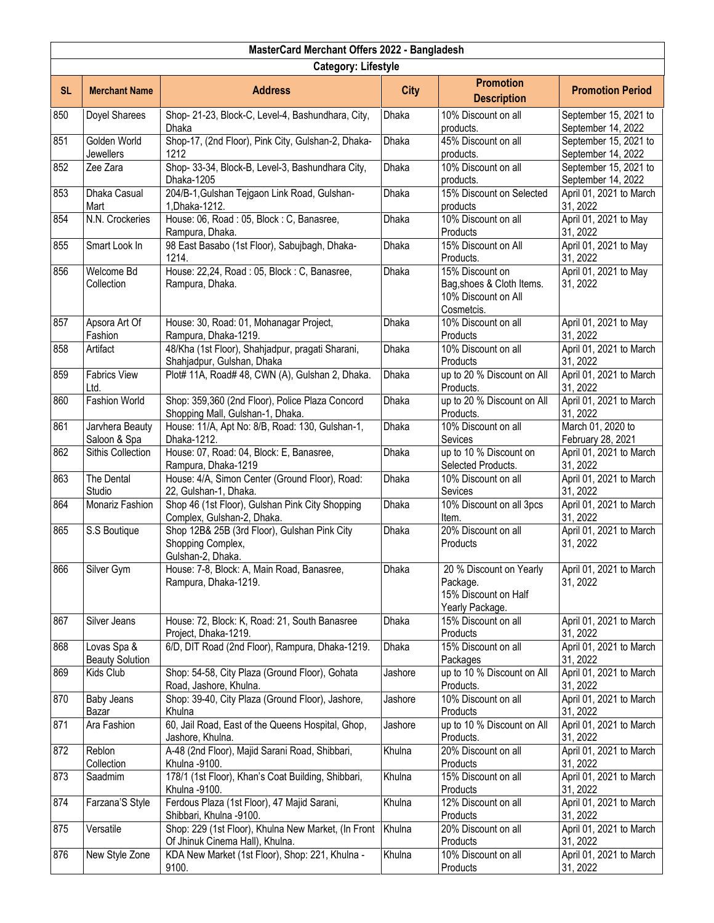| MasterCard Merchant Offers 2022 - Bangladesh |                                       |                                                                                        |              |                                                                                   |                                             |  |  |
|----------------------------------------------|---------------------------------------|----------------------------------------------------------------------------------------|--------------|-----------------------------------------------------------------------------------|---------------------------------------------|--|--|
|                                              | <b>Category: Lifestyle</b>            |                                                                                        |              |                                                                                   |                                             |  |  |
| <b>SL</b>                                    | <b>Merchant Name</b>                  | <b>Address</b>                                                                         | <b>City</b>  | <b>Promotion</b><br><b>Description</b>                                            | <b>Promotion Period</b>                     |  |  |
| 850                                          | Doyel Sharees                         | Shop- 21-23, Block-C, Level-4, Bashundhara, City,<br><b>Dhaka</b>                      | Dhaka        | 10% Discount on all<br>products.                                                  | September 15, 2021 to<br>September 14, 2022 |  |  |
| 851                                          | Golden World<br><b>Jewellers</b>      | Shop-17, (2nd Floor), Pink City, Gulshan-2, Dhaka-<br>1212                             | Dhaka        | 45% Discount on all<br>products.                                                  | September 15, 2021 to<br>September 14, 2022 |  |  |
| 852                                          | Zee Zara                              | Shop- 33-34, Block-B, Level-3, Bashundhara City,<br>Dhaka-1205                         | Dhaka        | 10% Discount on all<br>products.                                                  | September 15, 2021 to<br>September 14, 2022 |  |  |
| 853                                          | Dhaka Casual<br>Mart                  | 204/B-1, Gulshan Tejgaon Link Road, Gulshan-<br>1, Dhaka-1212.                         | <b>Dhaka</b> | 15% Discount on Selected<br>products                                              | April 01, 2021 to March<br>31, 2022         |  |  |
| 854                                          | N.N. Crockeries                       | House: 06, Road: 05, Block: C, Banasree,<br>Rampura, Dhaka.                            | <b>Dhaka</b> | 10% Discount on all<br>Products                                                   | April 01, 2021 to May<br>31, 2022           |  |  |
| 855                                          | Smart Look In                         | 98 East Basabo (1st Floor), Sabujbagh, Dhaka-<br>1214.                                 | <b>Dhaka</b> | 15% Discount on All<br>Products.                                                  | April 01, 2021 to May<br>31, 2022           |  |  |
| 856                                          | Welcome Bd<br>Collection              | House: 22,24, Road: 05, Block: C, Banasree,<br>Rampura, Dhaka.                         | Dhaka        | 15% Discount on<br>Bag, shoes & Cloth Items.<br>10% Discount on All<br>Cosmetcis. | April 01, 2021 to May<br>31, 2022           |  |  |
| 857                                          | Apsora Art Of<br>Fashion              | House: 30, Road: 01, Mohanagar Project,<br>Rampura, Dhaka-1219.                        | Dhaka        | 10% Discount on all<br>Products                                                   | April 01, 2021 to May<br>31, 2022           |  |  |
| 858                                          | Artifact                              | 48/Kha (1st Floor), Shahjadpur, pragati Sharani,<br>Shahjadpur, Gulshan, Dhaka         | <b>Dhaka</b> | 10% Discount on all<br>Products                                                   | April 01, 2021 to March<br>31, 2022         |  |  |
| 859                                          | <b>Fabrics View</b><br>Ltd.           | Plot# 11A, Road# 48, CWN (A), Gulshan 2, Dhaka.                                        | <b>Dhaka</b> | up to 20 % Discount on All<br>Products.                                           | April 01, 2021 to March<br>31, 2022         |  |  |
| 860                                          | <b>Fashion World</b>                  | Shop: 359,360 (2nd Floor), Police Plaza Concord<br>Shopping Mall, Gulshan-1, Dhaka.    | Dhaka        | up to 20 % Discount on All<br>Products.                                           | April 01, 2021 to March<br>31, 2022         |  |  |
| 861                                          | Jarvhera Beauty<br>Saloon & Spa       | House: 11/A, Apt No: 8/B, Road: 130, Gulshan-1,<br>Dhaka-1212.                         | Dhaka        | 10% Discount on all<br>Sevices                                                    | March 01, 2020 to<br>February 28, 2021      |  |  |
| 862                                          | Sithis Collection                     | House: 07, Road: 04, Block: E, Banasree,<br>Rampura, Dhaka-1219                        | Dhaka        | up to 10 % Discount on<br>Selected Products.                                      | April 01, 2021 to March<br>31, 2022         |  |  |
| 863                                          | The Dental<br>Studio                  | House: 4/A, Simon Center (Ground Floor), Road:<br>22, Gulshan-1, Dhaka.                | Dhaka        | 10% Discount on all<br>Sevices                                                    | April 01, 2021 to March<br>31, 2022         |  |  |
| 864                                          | Monariz Fashion                       | Shop 46 (1st Floor), Gulshan Pink City Shopping<br>Complex, Gulshan-2, Dhaka.          | Dhaka        | 10% Discount on all 3pcs<br>Item.                                                 | April 01, 2021 to March<br>31, 2022         |  |  |
| 865                                          | S.S Boutique                          | Shop 12B& 25B (3rd Floor), Gulshan Pink City<br>Shopping Complex,<br>Gulshan-2, Dhaka. | <b>Dhaka</b> | 20% Discount on all<br>Products                                                   | April 01, 2021 to March<br>31, 2022         |  |  |
| 866                                          | Silver Gym                            | House: 7-8, Block: A, Main Road, Banasree,<br>Rampura, Dhaka-1219.                     | Dhaka        | 20 % Discount on Yearly<br>Package.<br>15% Discount on Half<br>Yearly Package.    | April 01, 2021 to March<br>31, 2022         |  |  |
| 867                                          | Silver Jeans                          | House: 72, Block: K, Road: 21, South Banasree<br>Project, Dhaka-1219.                  | Dhaka        | 15% Discount on all<br>Products                                                   | April 01, 2021 to March<br>31, 2022         |  |  |
| 868                                          | Lovas Spa &<br><b>Beauty Solution</b> | 6/D, DIT Road (2nd Floor), Rampura, Dhaka-1219.                                        | Dhaka        | 15% Discount on all<br>Packages                                                   | April 01, 2021 to March<br>31, 2022         |  |  |
| 869                                          | Kids Club                             | Shop: 54-58, City Plaza (Ground Floor), Gohata<br>Road, Jashore, Khulna.               | Jashore      | up to 10 % Discount on All<br>Products.                                           | April 01, 2021 to March<br>31, 2022         |  |  |
| 870                                          | Baby Jeans<br>Bazar                   | Shop: 39-40, City Plaza (Ground Floor), Jashore,<br>Khulna                             | Jashore      | 10% Discount on all<br>Products                                                   | April 01, 2021 to March<br>31, 2022         |  |  |
| 871                                          | Ara Fashion                           | 60, Jail Road, East of the Queens Hospital, Ghop,<br>Jashore, Khulna.                  | Jashore      | up to 10 % Discount on All<br>Products.                                           | April 01, 2021 to March<br>31, 2022         |  |  |
| 872                                          | Reblon<br>Collection                  | A-48 (2nd Floor), Majid Sarani Road, Shibbari,<br>Khulna -9100.                        | Khulna       | 20% Discount on all<br>Products                                                   | April 01, 2021 to March<br>31, 2022         |  |  |
| 873                                          | Saadmim                               | 178/1 (1st Floor), Khan's Coat Building, Shibbari,<br>Khulna -9100.                    | Khulna       | 15% Discount on all<br>Products                                                   | April 01, 2021 to March<br>31, 2022         |  |  |
| 874                                          | Farzana'S Style                       | Ferdous Plaza (1st Floor), 47 Majid Sarani,<br>Shibbari, Khulna -9100.                 | Khulna       | 12% Discount on all<br>Products                                                   | April 01, 2021 to March<br>31, 2022         |  |  |
| 875                                          | Versatile                             | Shop: 229 (1st Floor), Khulna New Market, (In Front<br>Of Jhinuk Cinema Hall), Khulna. | Khulna       | 20% Discount on all<br>Products                                                   | April 01, 2021 to March<br>31, 2022         |  |  |
| 876                                          | New Style Zone                        | KDA New Market (1st Floor), Shop: 221, Khulna -<br>9100.                               | Khulna       | 10% Discount on all<br>Products                                                   | April 01, 2021 to March<br>31, 2022         |  |  |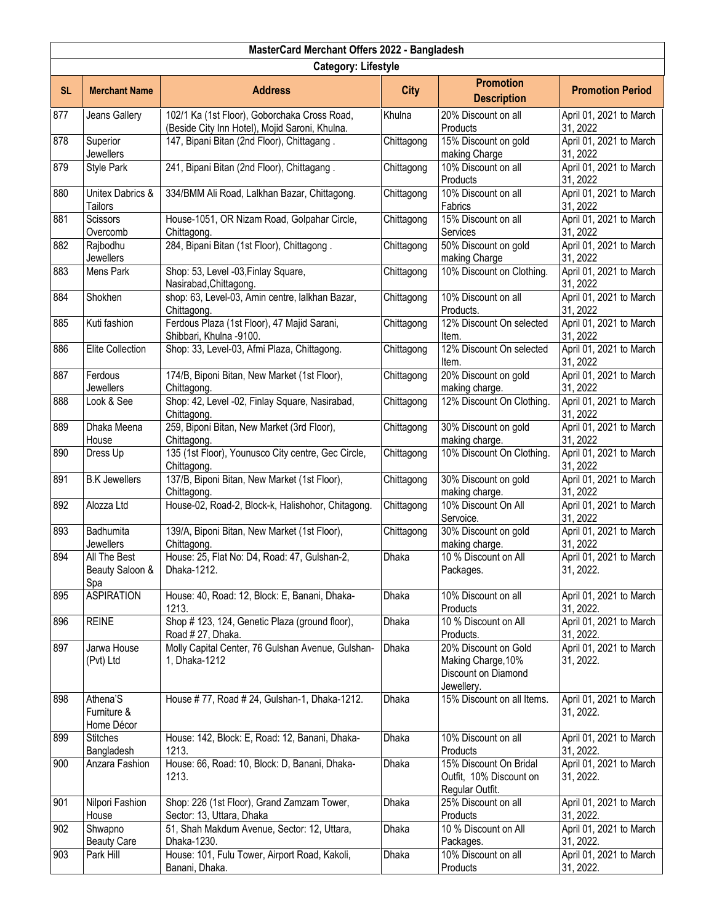| MasterCard Merchant Offers 2022 - Bangladesh                                                                                            |                                        |                                                                                                |              |                                                                                 |                                      |  |
|-----------------------------------------------------------------------------------------------------------------------------------------|----------------------------------------|------------------------------------------------------------------------------------------------|--------------|---------------------------------------------------------------------------------|--------------------------------------|--|
|                                                                                                                                         | <b>Category: Lifestyle</b>             |                                                                                                |              |                                                                                 |                                      |  |
| <b>Promotion</b><br><b>SL</b><br><b>Merchant Name</b><br><b>Address</b><br><b>City</b><br><b>Promotion Period</b><br><b>Description</b> |                                        |                                                                                                |              |                                                                                 |                                      |  |
| 877                                                                                                                                     | Jeans Gallery                          | 102/1 Ka (1st Floor), Goborchaka Cross Road,<br>(Beside City Inn Hotel), Mojid Saroni, Khulna. | Khulna       | 20% Discount on all<br>Products                                                 | April 01, 2021 to March<br>31, 2022  |  |
| 878                                                                                                                                     | Superior<br><b>Jewellers</b>           | 147, Bipani Bitan (2nd Floor), Chittagang.                                                     | Chittagong   | 15% Discount on gold<br>making Charge                                           | April 01, 2021 to March<br>31, 2022  |  |
| 879                                                                                                                                     | <b>Style Park</b>                      | 241, Bipani Bitan (2nd Floor), Chittagang.                                                     | Chittagong   | 10% Discount on all<br>Products                                                 | April 01, 2021 to March<br>31, 2022  |  |
| 880                                                                                                                                     | Unitex Dabrics &<br>Tailors            | 334/BMM Ali Road, Lalkhan Bazar, Chittagong.                                                   | Chittagong   | 10% Discount on all<br>Fabrics                                                  | April 01, 2021 to March<br>31, 2022  |  |
| 881                                                                                                                                     | <b>Scissors</b><br>Overcomb            | House-1051, OR Nizam Road, Golpahar Circle,<br>Chittagong.                                     | Chittagong   | 15% Discount on all<br>Services                                                 | April 01, 2021 to March<br>31, 2022  |  |
| 882                                                                                                                                     | Rajbodhu<br>Jewellers                  | 284, Bipani Bitan (1st Floor), Chittagong.                                                     | Chittagong   | 50% Discount on gold<br>making Charge                                           | April 01, 2021 to March<br>31, 2022  |  |
| 883                                                                                                                                     | Mens Park                              | Shop: 53, Level -03, Finlay Square,<br>Nasirabad, Chittagong.                                  | Chittagong   | 10% Discount on Clothing.                                                       | April 01, 2021 to March<br>31, 2022  |  |
| 884                                                                                                                                     | Shokhen                                | shop: 63, Level-03, Amin centre, lalkhan Bazar,<br>Chittagong.                                 | Chittagong   | 10% Discount on all<br>Products.                                                | April 01, 2021 to March<br>31, 2022  |  |
| 885                                                                                                                                     | Kuti fashion                           | Ferdous Plaza (1st Floor), 47 Majid Sarani,<br>Shibbari, Khulna -9100.                         | Chittagong   | 12% Discount On selected<br>Item.                                               | April 01, 2021 to March<br>31, 2022  |  |
| 886                                                                                                                                     | <b>Elite Collection</b>                | Shop: 33, Level-03, Afmi Plaza, Chittagong.                                                    | Chittagong   | 12% Discount On selected<br>Item.                                               | April 01, 2021 to March<br>31, 2022  |  |
| 887                                                                                                                                     | Ferdous<br><b>Jewellers</b>            | 174/B, Biponi Bitan, New Market (1st Floor),<br>Chittagong.                                    | Chittagong   | 20% Discount on gold<br>making charge.                                          | April 01, 2021 to March<br>31, 2022  |  |
| 888                                                                                                                                     | Look & See                             | Shop: 42, Level -02, Finlay Square, Nasirabad,<br>Chittagong.                                  | Chittagong   | 12% Discount On Clothing.                                                       | April 01, 2021 to March<br>31, 2022  |  |
| 889                                                                                                                                     | Dhaka Meena<br>House                   | 259, Biponi Bitan, New Market (3rd Floor),<br>Chittagong.                                      | Chittagong   | 30% Discount on gold<br>making charge.                                          | April 01, 2021 to March<br>31, 2022  |  |
| 890                                                                                                                                     | Dress Up                               | 135 (1st Floor), Younusco City centre, Gec Circle,<br>Chittagong.                              | Chittagong   | 10% Discount On Clothing.                                                       | April 01, 2021 to March<br>31, 2022  |  |
| 891                                                                                                                                     | <b>B.K Jewellers</b>                   | 137/B, Biponi Bitan, New Market (1st Floor),<br>Chittagong.                                    | Chittagong   | 30% Discount on gold<br>making charge.                                          | April 01, 2021 to March<br>31, 2022  |  |
| 892                                                                                                                                     | Alozza Ltd                             | House-02, Road-2, Block-k, Halishohor, Chitagong.                                              | Chittagong   | 10% Discount On All<br>Servoice.                                                | April 01, 2021 to March<br>31, 2022  |  |
| 893                                                                                                                                     | Badhumita<br>Jewellers                 | 139/A, Biponi Bitan, New Market (1st Floor),<br>Chittagong.                                    | Chittagong   | 30% Discount on gold<br>making charge.                                          | April 01, 2021 to March<br>31, 2022  |  |
| 894                                                                                                                                     | All The Best<br>Beauty Saloon &<br>Spa | House: 25, Flat No: D4, Road: 47, Gulshan-2,<br>Dhaka-1212.                                    | Dhaka        | 10 % Discount on All<br>Packages.                                               | April 01, 2021 to March<br>31, 2022. |  |
| 895                                                                                                                                     | <b>ASPIRATION</b>                      | House: 40, Road: 12, Block: E, Banani, Dhaka-<br>1213.                                         | Dhaka        | 10% Discount on all<br>Products                                                 | April 01, 2021 to March<br>31, 2022. |  |
| 896                                                                                                                                     | <b>REINE</b>                           | Shop # 123, 124, Genetic Plaza (ground floor),<br>Road # 27, Dhaka.                            | Dhaka        | 10 % Discount on All<br>Products.                                               | April 01, 2021 to March<br>31, 2022. |  |
| 897                                                                                                                                     | Jarwa House<br>(Pvt) Ltd               | Molly Capital Center, 76 Gulshan Avenue, Gulshan-<br>1, Dhaka-1212                             | <b>Dhaka</b> | 20% Discount on Gold<br>Making Charge, 10%<br>Discount on Diamond<br>Jewellery. | April 01, 2021 to March<br>31, 2022. |  |
| 898                                                                                                                                     | Athena'S<br>Furniture &<br>Home Décor  | House #77, Road #24, Gulshan-1, Dhaka-1212.                                                    | Dhaka        | 15% Discount on all Items.                                                      | April 01, 2021 to March<br>31, 2022. |  |
| 899                                                                                                                                     | <b>Stitches</b><br>Bangladesh          | House: 142, Block: E, Road: 12, Banani, Dhaka-<br>1213.                                        | Dhaka        | 10% Discount on all<br>Products                                                 | April 01, 2021 to March<br>31, 2022. |  |
| 900                                                                                                                                     | Anzara Fashion                         | House: 66, Road: 10, Block: D, Banani, Dhaka-<br>1213.                                         | Dhaka        | 15% Discount On Bridal<br>Outfit, 10% Discount on<br>Regular Outfit.            | April 01, 2021 to March<br>31, 2022. |  |
| 901                                                                                                                                     | Nilpori Fashion<br>House               | Shop: 226 (1st Floor), Grand Zamzam Tower,<br>Sector: 13, Uttara, Dhaka                        | Dhaka        | 25% Discount on all<br>Products                                                 | April 01, 2021 to March<br>31, 2022. |  |
| 902                                                                                                                                     | Shwapno<br><b>Beauty Care</b>          | 51, Shah Makdum Avenue, Sector: 12, Uttara,<br>Dhaka-1230.                                     | Dhaka        | 10 % Discount on All<br>Packages.                                               | April 01, 2021 to March<br>31, 2022. |  |
| 903                                                                                                                                     | Park Hill                              | House: 101, Fulu Tower, Airport Road, Kakoli,<br>Banani, Dhaka.                                | Dhaka        | 10% Discount on all<br>Products                                                 | April 01, 2021 to March<br>31, 2022. |  |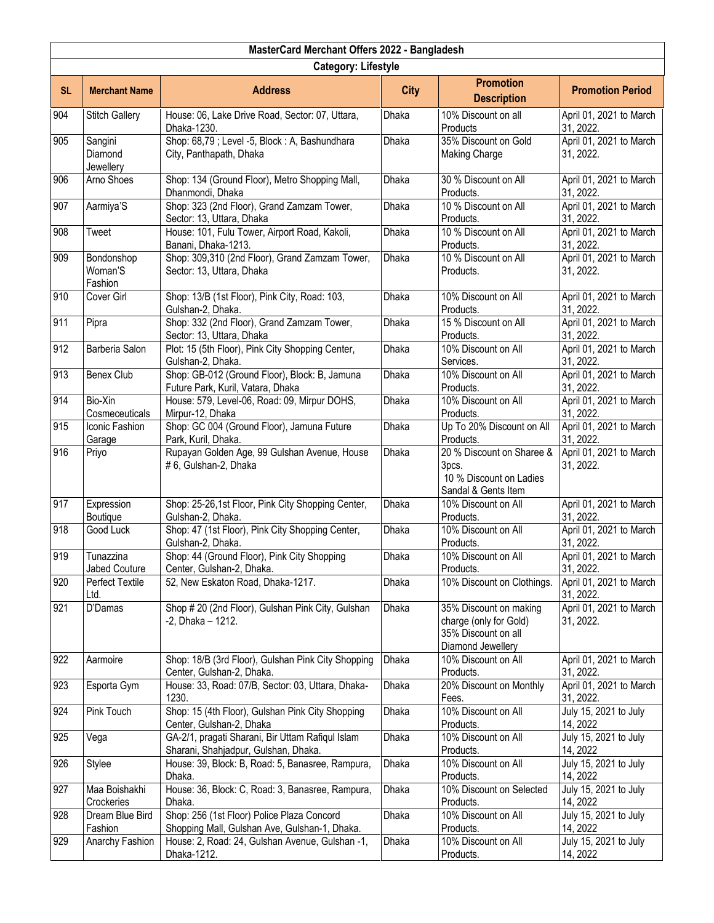|           | MasterCard Merchant Offers 2022 - Bangladesh |                                                                                             |              |                                                                                              |                                      |  |  |
|-----------|----------------------------------------------|---------------------------------------------------------------------------------------------|--------------|----------------------------------------------------------------------------------------------|--------------------------------------|--|--|
|           | <b>Category: Lifestyle</b>                   |                                                                                             |              |                                                                                              |                                      |  |  |
| <b>SL</b> | <b>Merchant Name</b>                         | <b>Address</b>                                                                              | <b>City</b>  | <b>Promotion</b><br><b>Description</b>                                                       | <b>Promotion Period</b>              |  |  |
| 904       | <b>Stitch Gallery</b>                        | House: 06, Lake Drive Road, Sector: 07, Uttara,<br>Dhaka-1230.                              | Dhaka        | 10% Discount on all<br>Products                                                              | April 01, 2021 to March<br>31, 2022. |  |  |
| 905       | Sangini<br>Diamond<br>Jewellery              | Shop: 68,79 ; Level -5, Block : A, Bashundhara<br>City, Panthapath, Dhaka                   | Dhaka        | 35% Discount on Gold<br><b>Making Charge</b>                                                 | April 01, 2021 to March<br>31, 2022. |  |  |
| 906       | Arno Shoes                                   | Shop: 134 (Ground Floor), Metro Shopping Mall,<br>Dhanmondi, Dhaka                          | Dhaka        | 30 % Discount on All<br>Products.                                                            | April 01, 2021 to March<br>31, 2022. |  |  |
| 907       | Aarmiya'S                                    | Shop: 323 (2nd Floor), Grand Zamzam Tower,<br>Sector: 13, Uttara, Dhaka                     | Dhaka        | 10 % Discount on All<br>Products.                                                            | April 01, 2021 to March<br>31, 2022. |  |  |
| 908       | Tweet                                        | House: 101, Fulu Tower, Airport Road, Kakoli,<br>Banani, Dhaka-1213.                        | Dhaka        | 10 % Discount on All<br>Products.                                                            | April 01, 2021 to March<br>31, 2022. |  |  |
| 909       | Bondonshop<br>Woman'S<br>Fashion             | Shop: 309,310 (2nd Floor), Grand Zamzam Tower,<br>Sector: 13, Uttara, Dhaka                 | <b>Dhaka</b> | 10 % Discount on All<br>Products.                                                            | April 01, 2021 to March<br>31, 2022. |  |  |
| 910       | Cover Girl                                   | Shop: 13/B (1st Floor), Pink City, Road: 103,<br>Gulshan-2, Dhaka.                          | Dhaka        | 10% Discount on All<br>Products.                                                             | April 01, 2021 to March<br>31, 2022. |  |  |
| 911       | Pipra                                        | Shop: 332 (2nd Floor), Grand Zamzam Tower,<br>Sector: 13, Uttara, Dhaka                     | Dhaka        | 15 % Discount on All<br>Products.                                                            | April 01, 2021 to March<br>31, 2022. |  |  |
| 912       | Barberia Salon                               | Plot: 15 (5th Floor), Pink City Shopping Center,<br>Gulshan-2, Dhaka.                       | <b>Dhaka</b> | 10% Discount on All<br>Services.                                                             | April 01, 2021 to March<br>31, 2022. |  |  |
| 913       | Benex Club                                   | Shop: GB-012 (Ground Floor), Block: B, Jamuna<br>Future Park, Kuril, Vatara, Dhaka          | <b>Dhaka</b> | 10% Discount on All<br>Products.                                                             | April 01, 2021 to March<br>31, 2022. |  |  |
| 914       | Bio-Xin<br>Cosmeceuticals                    | House: 579, Level-06, Road: 09, Mirpur DOHS,<br>Mirpur-12, Dhaka                            | <b>Dhaka</b> | 10% Discount on All<br>Products.                                                             | April 01, 2021 to March<br>31, 2022. |  |  |
| 915       | Iconic Fashion<br>Garage                     | Shop: GC 004 (Ground Floor), Jamuna Future<br>Park, Kuril, Dhaka.                           | Dhaka        | Up To 20% Discount on All<br>Products.                                                       | April 01, 2021 to March<br>31, 2022. |  |  |
| 916       | Priyo                                        | Rupayan Golden Age, 99 Gulshan Avenue, House<br># 6, Gulshan-2, Dhaka                       | Dhaka        | 20 % Discount on Sharee &<br>3pcs.<br>10 % Discount on Ladies<br>Sandal & Gents Item         | April 01, 2021 to March<br>31, 2022. |  |  |
| 917       | Expression<br>Boutique                       | Shop: 25-26,1st Floor, Pink City Shopping Center,<br>Gulshan-2, Dhaka.                      | Dhaka        | 10% Discount on All<br>Products.                                                             | April 01, 2021 to March<br>31, 2022. |  |  |
| 918       | Good Luck                                    | Shop: 47 (1st Floor), Pink City Shopping Center,<br>Gulshan-2, Dhaka.                       | <b>Dhaka</b> | 10% Discount on All<br>Products.                                                             | April 01, 2021 to March<br>31, 2022. |  |  |
| 919       | Tunazzina<br>Jabed Couture                   | Shop: 44 (Ground Floor), Pink City Shopping<br>Center, Gulshan-2, Dhaka.                    | Dhaka        | 10% Discount on All<br>Products.                                                             | April 01, 2021 to March<br>31, 2022. |  |  |
| 920       | Perfect Textile<br>Ltd.                      | 52, New Eskaton Road, Dhaka-1217.                                                           | Dhaka        | 10% Discount on Clothings.                                                                   | April 01, 2021 to March<br>31, 2022. |  |  |
| 921       | D'Damas                                      | Shop #20 (2nd Floor), Gulshan Pink City, Gulshan<br>$-2$ , Dhaka - 1212.                    | Dhaka        | 35% Discount on making<br>charge (only for Gold)<br>35% Discount on all<br>Diamond Jewellery | April 01, 2021 to March<br>31, 2022. |  |  |
| 922       | Aarmoire                                     | Shop: 18/B (3rd Floor), Gulshan Pink City Shopping<br>Center, Gulshan-2, Dhaka.             | Dhaka        | 10% Discount on All<br>Products.                                                             | April 01, 2021 to March<br>31, 2022. |  |  |
| 923       | Esporta Gym                                  | House: 33, Road: 07/B, Sector: 03, Uttara, Dhaka-<br>1230.                                  | Dhaka        | 20% Discount on Monthly<br>Fees.                                                             | April 01, 2021 to March<br>31, 2022. |  |  |
| 924       | Pink Touch                                   | Shop: 15 (4th Floor), Gulshan Pink City Shopping<br>Center, Gulshan-2, Dhaka                | Dhaka        | 10% Discount on All<br>Products.                                                             | July 15, 2021 to July<br>14, 2022    |  |  |
| 925       | Vega                                         | GA-2/1, pragati Sharani, Bir Uttam Rafiqul Islam<br>Sharani, Shahjadpur, Gulshan, Dhaka.    | Dhaka        | 10% Discount on All<br>Products.                                                             | July 15, 2021 to July<br>14, 2022    |  |  |
| 926       | Stylee                                       | House: 39, Block: B, Road: 5, Banasree, Rampura,<br>Dhaka.                                  | Dhaka        | 10% Discount on All<br>Products.                                                             | July 15, 2021 to July<br>14, 2022    |  |  |
| 927       | Maa Boishakhi<br>Crockeries                  | House: 36, Block: C, Road: 3, Banasree, Rampura,<br>Dhaka.                                  | <b>Dhaka</b> | 10% Discount on Selected<br>Products.                                                        | July 15, 2021 to July<br>14, 2022    |  |  |
| 928       | Dream Blue Bird<br>Fashion                   | Shop: 256 (1st Floor) Police Plaza Concord<br>Shopping Mall, Gulshan Ave, Gulshan-1, Dhaka. | Dhaka        | 10% Discount on All<br>Products.                                                             | July 15, 2021 to July<br>14, 2022    |  |  |
| 929       | Anarchy Fashion                              | House: 2, Road: 24, Gulshan Avenue, Gulshan -1,<br>Dhaka-1212.                              | Dhaka        | 10% Discount on All<br>Products.                                                             | July 15, 2021 to July<br>14, 2022    |  |  |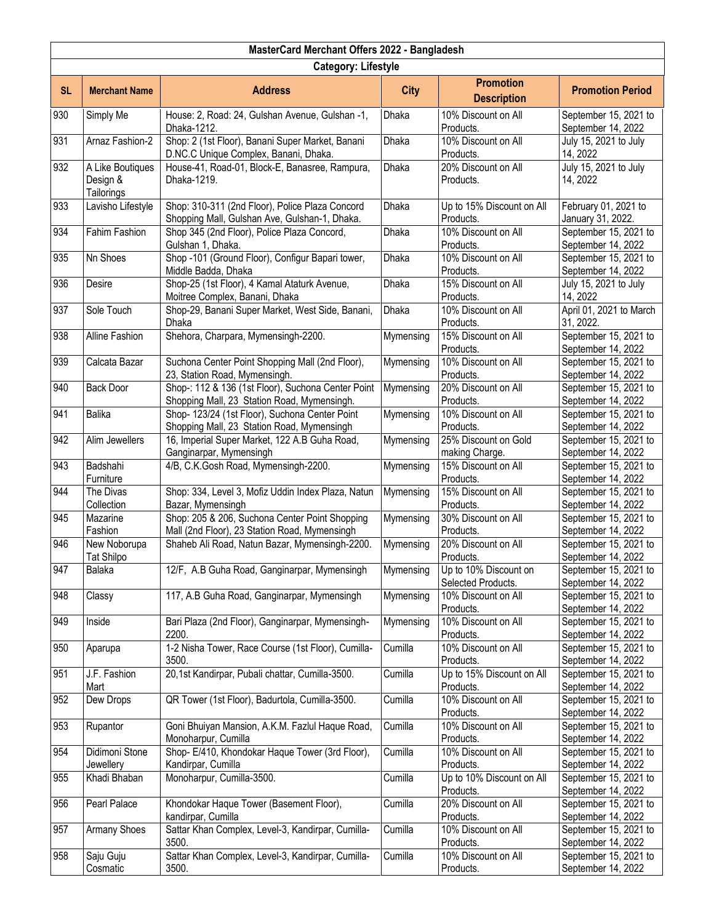| MasterCard Merchant Offers 2022 - Bangladesh |                                            |                                                                                                   |              |                                             |                                             |  |
|----------------------------------------------|--------------------------------------------|---------------------------------------------------------------------------------------------------|--------------|---------------------------------------------|---------------------------------------------|--|
| <b>Category: Lifestyle</b>                   |                                            |                                                                                                   |              |                                             |                                             |  |
| <b>SL</b>                                    | <b>Merchant Name</b>                       | <b>Address</b>                                                                                    | <b>City</b>  | <b>Promotion</b><br><b>Description</b>      | <b>Promotion Period</b>                     |  |
| 930                                          | Simply Me                                  | House: 2, Road: 24, Gulshan Avenue, Gulshan -1,<br>Dhaka-1212.                                    | <b>Dhaka</b> | 10% Discount on All<br>Products.            | September 15, 2021 to<br>September 14, 2022 |  |
| 931                                          | Arnaz Fashion-2                            | Shop: 2 (1st Floor), Banani Super Market, Banani<br>D.NC.C Unique Complex, Banani, Dhaka.         | Dhaka        | 10% Discount on All<br>Products.            | July 15, 2021 to July<br>14, 2022           |  |
| 932                                          | A Like Boutiques<br>Design &<br>Tailorings | House-41, Road-01, Block-E, Banasree, Rampura,<br>Dhaka-1219.                                     | <b>Dhaka</b> | 20% Discount on All<br>Products.            | July 15, 2021 to July<br>14, 2022           |  |
| 933                                          | Lavisho Lifestyle                          | Shop: 310-311 (2nd Floor), Police Plaza Concord<br>Shopping Mall, Gulshan Ave, Gulshan-1, Dhaka.  | Dhaka        | Up to 15% Discount on All<br>Products.      | February 01, 2021 to<br>January 31, 2022.   |  |
| 934                                          | Fahim Fashion                              | Shop 345 (2nd Floor), Police Plaza Concord,<br>Gulshan 1, Dhaka.                                  | Dhaka        | 10% Discount on All<br>Products.            | September 15, 2021 to<br>September 14, 2022 |  |
| 935                                          | Nn Shoes                                   | Shop -101 (Ground Floor), Configur Bapari tower,<br>Middle Badda, Dhaka                           | <b>Dhaka</b> | 10% Discount on All<br>Products.            | September 15, 2021 to<br>September 14, 2022 |  |
| 936                                          | Desire                                     | Shop-25 (1st Floor), 4 Kamal Ataturk Avenue,<br>Moitree Complex, Banani, Dhaka                    | Dhaka        | 15% Discount on All<br>Products.            | July 15, 2021 to July<br>14, 2022           |  |
| 937                                          | Sole Touch                                 | Shop-29, Banani Super Market, West Side, Banani,<br>Dhaka                                         | Dhaka        | 10% Discount on All<br>Products.            | April 01, 2021 to March<br>31, 2022.        |  |
| 938                                          | Alline Fashion                             | Shehora, Charpara, Mymensingh-2200.                                                               | Mymensing    | 15% Discount on All<br>Products.            | September 15, 2021 to<br>September 14, 2022 |  |
| 939                                          | Calcata Bazar                              | Suchona Center Point Shopping Mall (2nd Floor),<br>23, Station Road, Mymensingh.                  | Mymensing    | 10% Discount on All<br>Products.            | September 15, 2021 to<br>September 14, 2022 |  |
| 940                                          | <b>Back Door</b>                           | Shop-: 112 & 136 (1st Floor), Suchona Center Point<br>Shopping Mall, 23 Station Road, Mymensingh. | Mymensing    | 20% Discount on All<br>Products.            | September 15, 2021 to<br>September 14, 2022 |  |
| 941                                          | <b>Balika</b>                              | Shop- 123/24 (1st Floor), Suchona Center Point<br>Shopping Mall, 23 Station Road, Mymensingh      | Mymensing    | 10% Discount on All<br>Products.            | September 15, 2021 to<br>September 14, 2022 |  |
| 942                                          | Alim Jewellers                             | 16, Imperial Super Market, 122 A.B Guha Road,<br>Ganginarpar, Mymensingh                          | Mymensing    | 25% Discount on Gold<br>making Charge.      | September 15, 2021 to<br>September 14, 2022 |  |
| 943                                          | Badshahi<br>Furniture                      | 4/B, C.K.Gosh Road, Mymensingh-2200.                                                              | Mymensing    | 15% Discount on All<br>Products.            | September 15, 2021 to<br>September 14, 2022 |  |
| 944                                          | The Divas<br>Collection                    | Shop: 334, Level 3, Mofiz Uddin Index Plaza, Natun<br>Bazar, Mymensingh                           | Mymensing    | 15% Discount on All<br>Products.            | September 15, 2021 to<br>September 14, 2022 |  |
| 945                                          | Mazarine<br>Fashion                        | Shop: 205 & 206, Suchona Center Point Shopping<br>Mall (2nd Floor), 23 Station Road, Mymensingh   | Mymensing    | 30% Discount on All<br>Products.            | September 15, 2021 to<br>September 14, 2022 |  |
| 946                                          | New Noborupa<br><b>Tat Shilpo</b>          | Shaheb Ali Road, Natun Bazar, Mymensingh-2200.                                                    | Mymensing    | 20% Discount on All<br>Products.            | September 15, 2021 to<br>September 14, 2022 |  |
| 947                                          | Balaka                                     | 12/F, A.B Guha Road, Ganginarpar, Mymensingh                                                      | Mymensing    | Up to 10% Discount on<br>Selected Products. | September 15, 2021 to<br>September 14, 2022 |  |
| 948                                          | Classy                                     | 117, A.B Guha Road, Ganginarpar, Mymensingh                                                       | Mymensing    | 10% Discount on All<br>Products.            | September 15, 2021 to<br>September 14, 2022 |  |
| 949                                          | Inside                                     | Bari Plaza (2nd Floor), Ganginarpar, Mymensingh-<br>2200.                                         | Mymensing    | 10% Discount on All<br>Products.            | September 15, 2021 to<br>September 14, 2022 |  |
| 950                                          | Aparupa                                    | 1-2 Nisha Tower, Race Course (1st Floor), Cumilla-<br>3500.                                       | Cumilla      | 10% Discount on All<br>Products.            | September 15, 2021 to<br>September 14, 2022 |  |
| 951                                          | J.F. Fashion<br>Mart                       | 20,1st Kandirpar, Pubali chattar, Cumilla-3500.                                                   | Cumilla      | Up to 15% Discount on All<br>Products.      | September 15, 2021 to<br>September 14, 2022 |  |
| 952                                          | Dew Drops                                  | QR Tower (1st Floor), Badurtola, Cumilla-3500.                                                    | Cumilla      | 10% Discount on All<br>Products.            | September 15, 2021 to<br>September 14, 2022 |  |
| 953                                          | Rupantor                                   | Goni Bhuiyan Mansion, A.K.M. Fazlul Haque Road,<br>Monoharpur, Cumilla                            | Cumilla      | 10% Discount on All<br>Products.            | September 15, 2021 to<br>September 14, 2022 |  |
| 954                                          | Didimoni Stone<br>Jewellery                | Shop-E/410, Khondokar Haque Tower (3rd Floor),<br>Kandirpar, Cumilla                              | Cumilla      | 10% Discount on All<br>Products.            | September 15, 2021 to<br>September 14, 2022 |  |
| 955                                          | Khadi Bhaban                               | Monoharpur, Cumilla-3500.                                                                         | Cumilla      | Up to 10% Discount on All<br>Products.      | September 15, 2021 to<br>September 14, 2022 |  |
| 956                                          | Pearl Palace                               | Khondokar Haque Tower (Basement Floor),<br>kandirpar, Cumilla                                     | Cumilla      | 20% Discount on All<br>Products.            | September 15, 2021 to<br>September 14, 2022 |  |
| 957                                          | <b>Armany Shoes</b>                        | Sattar Khan Complex, Level-3, Kandirpar, Cumilla-<br>3500.                                        | Cumilla      | 10% Discount on All<br>Products.            | September 15, 2021 to<br>September 14, 2022 |  |
| 958                                          | Saju Guju<br>Cosmatic                      | Sattar Khan Complex, Level-3, Kandirpar, Cumilla-<br>3500.                                        | Cumilla      | 10% Discount on All<br>Products.            | September 15, 2021 to<br>September 14, 2022 |  |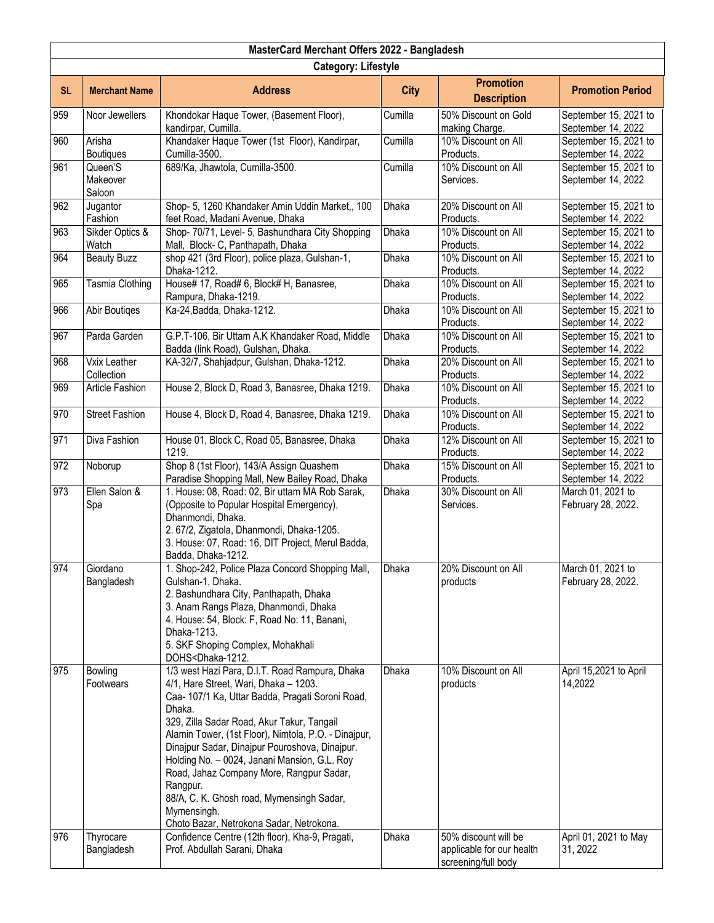| MasterCard Merchant Offers 2022 - Bangladesh |                               |                                                                                                                                                                                                                                                                                                                                                                                                                                                                                                                                                                                  |                |                                                         |                                                            |  |
|----------------------------------------------|-------------------------------|----------------------------------------------------------------------------------------------------------------------------------------------------------------------------------------------------------------------------------------------------------------------------------------------------------------------------------------------------------------------------------------------------------------------------------------------------------------------------------------------------------------------------------------------------------------------------------|----------------|---------------------------------------------------------|------------------------------------------------------------|--|
| <b>Category: Lifestyle</b>                   |                               |                                                                                                                                                                                                                                                                                                                                                                                                                                                                                                                                                                                  |                |                                                         |                                                            |  |
| <b>SL</b>                                    | <b>Merchant Name</b>          | <b>Address</b>                                                                                                                                                                                                                                                                                                                                                                                                                                                                                                                                                                   | <b>City</b>    | <b>Promotion</b><br><b>Description</b>                  | <b>Promotion Period</b>                                    |  |
| 959                                          | Noor Jewellers                | Khondokar Haque Tower, (Basement Floor),<br>kandirpar, Cumilla.                                                                                                                                                                                                                                                                                                                                                                                                                                                                                                                  | Cumilla        | 50% Discount on Gold<br>making Charge.                  | September 15, 2021 to<br>September 14, 2022                |  |
| 960                                          | Arisha<br><b>Boutiques</b>    | Khandaker Haque Tower (1st Floor), Kandirpar,<br>Cumilla-3500.                                                                                                                                                                                                                                                                                                                                                                                                                                                                                                                   | Cumilla        | 10% Discount on All<br>Products.                        | September 15, 2021 to<br>September 14, 2022                |  |
| 961                                          | Queen'S<br>Makeover<br>Saloon | 689/Ka, Jhawtola, Cumilla-3500.                                                                                                                                                                                                                                                                                                                                                                                                                                                                                                                                                  | Cumilla        | 10% Discount on All<br>Services.                        | September 15, 2021 to<br>September 14, 2022                |  |
| 962                                          | Jugantor<br>Fashion           | Shop- 5, 1260 Khandaker Amin Uddin Market,, 100<br>feet Road, Madani Avenue, Dhaka                                                                                                                                                                                                                                                                                                                                                                                                                                                                                               | Dhaka          | 20% Discount on All<br>Products.                        | September 15, 2021 to<br>September 14, 2022                |  |
| 963                                          | Sikder Optics &<br>Watch      | Shop- 70/71, Level- 5, Bashundhara City Shopping<br>Mall, Block- C, Panthapath, Dhaka                                                                                                                                                                                                                                                                                                                                                                                                                                                                                            | Dhaka          | 10% Discount on All<br>Products.                        | September 15, 2021 to<br>September 14, 2022                |  |
| 964                                          | <b>Beauty Buzz</b>            | shop 421 (3rd Floor), police plaza, Gulshan-1,<br>Dhaka-1212.                                                                                                                                                                                                                                                                                                                                                                                                                                                                                                                    | <b>Dhaka</b>   | 10% Discount on All<br>Products.                        | September 15, 2021 to<br>September 14, 2022                |  |
| 965                                          | Tasmia Clothing               | House# 17, Road# 6, Block# H, Banasree,<br>Rampura, Dhaka-1219.                                                                                                                                                                                                                                                                                                                                                                                                                                                                                                                  | Dhaka          | 10% Discount on All<br>Products.                        | September 15, 2021 to<br>September 14, 2022                |  |
| 966                                          | Abir Boutiges                 | Ka-24, Badda, Dhaka-1212.                                                                                                                                                                                                                                                                                                                                                                                                                                                                                                                                                        | Dhaka          | 10% Discount on All<br>Products.                        | September 15, 2021 to<br>September 14, 2022                |  |
| 967                                          | Parda Garden                  | G.P.T-106, Bir Uttam A.K Khandaker Road, Middle<br>Badda (link Road), Gulshan, Dhaka.                                                                                                                                                                                                                                                                                                                                                                                                                                                                                            | Dhaka          | 10% Discount on All<br>Products.                        | September 15, 2021 to<br>September 14, 2022                |  |
| 968                                          | Vxix Leather<br>Collection    | KA-32/7, Shahjadpur, Gulshan, Dhaka-1212.                                                                                                                                                                                                                                                                                                                                                                                                                                                                                                                                        | <b>Dhaka</b>   | 20% Discount on All<br>Products.                        | September 15, 2021 to<br>September 14, 2022                |  |
| 969                                          | Article Fashion               | House 2, Block D, Road 3, Banasree, Dhaka 1219.                                                                                                                                                                                                                                                                                                                                                                                                                                                                                                                                  | Dhaka          | 10% Discount on All<br>Products.                        | September 15, 2021 to<br>September 14, 2022                |  |
| 970                                          | <b>Street Fashion</b>         | House 4, Block D, Road 4, Banasree, Dhaka 1219.                                                                                                                                                                                                                                                                                                                                                                                                                                                                                                                                  | Dhaka          | 10% Discount on All<br>Products.                        | September 15, 2021 to<br>September 14, 2022                |  |
| 971                                          | Diva Fashion                  | House 01, Block C, Road 05, Banasree, Dhaka<br>1219.                                                                                                                                                                                                                                                                                                                                                                                                                                                                                                                             | Dhaka          | 12% Discount on All<br>Products.                        | September 15, 2021 to<br>September 14, 2022                |  |
| 972                                          | Noborup                       | Shop 8 (1st Floor), 143/A Assign Quashem<br>Paradise Shopping Mall, New Bailey Road, Dhaka                                                                                                                                                                                                                                                                                                                                                                                                                                                                                       | <b>Dhaka</b>   | 15% Discount on All<br>Products.                        | September 15, 2021 to<br>September 14, 2022                |  |
| 973                                          | Ellen Salon &<br>Spa          | 1. House: 08, Road: 02, Bir uttam MA Rob Sarak,<br>(Opposite to Popular Hospital Emergency),<br>Dhanmondi, Dhaka.<br>2.67/2, Zigatola, Dhanmondi, Dhaka-1205.<br>3. House: 07, Road: 16, DIT Project, Merul Badda,<br>Badda, Dhaka-1212.                                                                                                                                                                                                                                                                                                                                         | Dhaka          | 30% Discount on All<br>Services.                        | March 01, 2021 to<br>February 28, 2022.                    |  |
| 974                                          | Giordano<br>Bangladesh        | 1. Shop-242, Police Plaza Concord Shopping Mall,<br>Gulshan-1, Dhaka.<br>2. Bashundhara City, Panthapath, Dhaka<br>3. Anam Rangs Plaza, Dhanmondi, Dhaka<br>4. House: 54, Block: F, Road No: 11, Banani,<br>Dhaka-1213.<br>5. SKF Shoping Complex, Mohakhali<br>DOHS <dhaka-1212.< td=""><td>Dhaka</td><td>20% Discount on All<br/>products</td><td>March 01, 2021 to<br/>February 28, 2022.</td></dhaka-1212.<>                                                                                                                                                                 | Dhaka          | 20% Discount on All<br>products                         | March 01, 2021 to<br>February 28, 2022.                    |  |
| 975<br>976                                   | Bowling<br>Footwears          | 1/3 west Hazi Para, D.I.T. Road Rampura, Dhaka<br>4/1, Hare Street, Wari, Dhaka - 1203.<br>Caa- 107/1 Ka, Uttar Badda, Pragati Soroni Road,<br>Dhaka.<br>329, Zilla Sadar Road, Akur Takur, Tangail<br>Alamin Tower, (1st Floor), Nimtola, P.O. - Dinajpur,<br>Dinajpur Sadar, Dinajpur Pouroshova, Dinajpur.<br>Holding No. - 0024, Janani Mansion, G.L. Roy<br>Road, Jahaz Company More, Rangpur Sadar,<br>Rangpur.<br>88/A, C. K. Ghosh road, Mymensingh Sadar,<br>Mymensingh.<br>Choto Bazar, Netrokona Sadar, Netrokona.<br>Confidence Centre (12th floor), Kha-9, Pragati, | Dhaka<br>Dhaka | 10% Discount on All<br>products<br>50% discount will be | April 15,2021 to April<br>14,2022<br>April 01, 2021 to May |  |
|                                              | Thyrocare<br>Bangladesh       | Prof. Abdullah Sarani, Dhaka                                                                                                                                                                                                                                                                                                                                                                                                                                                                                                                                                     |                | applicable for our health<br>screening/full body        | 31, 2022                                                   |  |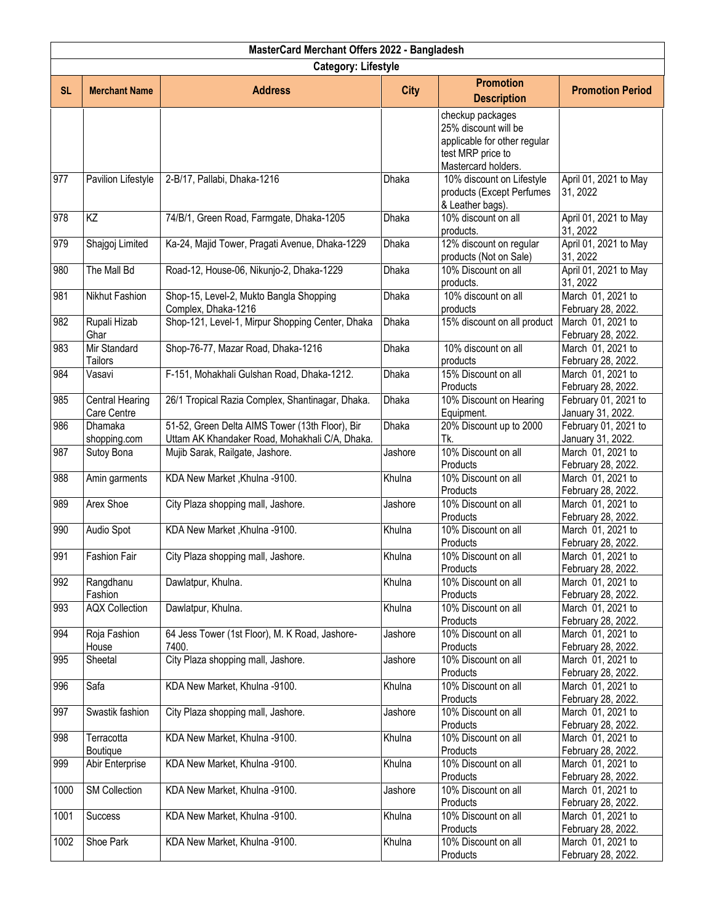| MasterCard Merchant Offers 2022 - Bangladesh |                                |                                                                                                   |              |                                                                                                                      |                                           |  |
|----------------------------------------------|--------------------------------|---------------------------------------------------------------------------------------------------|--------------|----------------------------------------------------------------------------------------------------------------------|-------------------------------------------|--|
| <b>Category: Lifestyle</b>                   |                                |                                                                                                   |              |                                                                                                                      |                                           |  |
| <b>SL</b>                                    | <b>Merchant Name</b>           | <b>Address</b>                                                                                    | <b>City</b>  | <b>Promotion</b><br><b>Description</b>                                                                               | <b>Promotion Period</b>                   |  |
|                                              |                                |                                                                                                   |              | checkup packages<br>25% discount will be<br>applicable for other regular<br>test MRP price to<br>Mastercard holders. |                                           |  |
| 977                                          | Pavilion Lifestyle             | 2-B/17, Pallabi, Dhaka-1216                                                                       | Dhaka        | 10% discount on Lifestyle<br>products (Except Perfumes<br>& Leather bags).                                           | April 01, 2021 to May<br>31, 2022         |  |
| 978                                          | $\overline{KZ}$                | 74/B/1, Green Road, Farmgate, Dhaka-1205                                                          | Dhaka        | 10% discount on all<br>products.                                                                                     | April 01, 2021 to May<br>31, 2022         |  |
| 979                                          | Shajgoj Limited                | Ka-24, Majid Tower, Pragati Avenue, Dhaka-1229                                                    | Dhaka        | 12% discount on regular<br>products (Not on Sale)                                                                    | April 01, 2021 to May<br>31, 2022         |  |
| 980                                          | The Mall Bd                    | Road-12, House-06, Nikunjo-2, Dhaka-1229                                                          | Dhaka        | 10% Discount on all<br>products.                                                                                     | April 01, 2021 to May<br>31, 2022         |  |
| 981                                          | Nikhut Fashion                 | Shop-15, Level-2, Mukto Bangla Shopping<br>Complex, Dhaka-1216                                    | Dhaka        | 10% discount on all<br>products                                                                                      | March 01, 2021 to<br>February 28, 2022.   |  |
| 982                                          | Rupali Hizab<br>Ghar           | Shop-121, Level-1, Mirpur Shopping Center, Dhaka                                                  | <b>Dhaka</b> | 15% discount on all product                                                                                          | March 01, 2021 to<br>February 28, 2022.   |  |
| 983                                          | Mir Standard<br>Tailors        | Shop-76-77, Mazar Road, Dhaka-1216                                                                | Dhaka        | 10% discount on all<br>products                                                                                      | March 01, 2021 to<br>February 28, 2022.   |  |
| 984                                          | Vasavi                         | F-151, Mohakhali Gulshan Road, Dhaka-1212.                                                        | <b>Dhaka</b> | 15% Discount on all<br>Products                                                                                      | March 01, 2021 to<br>February 28, 2022.   |  |
| 985                                          | Central Hearing<br>Care Centre | 26/1 Tropical Razia Complex, Shantinagar, Dhaka.                                                  | Dhaka        | 10% Discount on Hearing<br>Equipment.                                                                                | February 01, 2021 to<br>January 31, 2022. |  |
| 986                                          | Dhamaka<br>shopping.com        | 51-52, Green Delta AIMS Tower (13th Floor), Bir<br>Uttam AK Khandaker Road, Mohakhali C/A, Dhaka. | Dhaka        | 20% Discount up to 2000<br>Tk.                                                                                       | February 01, 2021 to<br>January 31, 2022. |  |
| 987                                          | Sutoy Bona                     | Mujib Sarak, Railgate, Jashore.                                                                   | Jashore      | 10% Discount on all<br>Products                                                                                      | March 01, 2021 to<br>February 28, 2022.   |  |
| 988                                          | Amin garments                  | KDA New Market, Khulna -9100.                                                                     | Khulna       | 10% Discount on all<br>Products                                                                                      | March 01, 2021 to<br>February 28, 2022.   |  |
| 989                                          | <b>Arex Shoe</b>               | City Plaza shopping mall, Jashore.                                                                | Jashore      | 10% Discount on all<br>Products                                                                                      | March 01, 2021 to<br>February 28, 2022.   |  |
| 990                                          | Audio Spot                     | KDA New Market, Khulna -9100.                                                                     | Khulna       | 10% Discount on all<br>Products                                                                                      | March 01, 2021 to<br>February 28, 2022.   |  |
| 991                                          | Fashion Fair                   | City Plaza shopping mall, Jashore.                                                                | Khulna       | 10% Discount on all<br>Products                                                                                      | March 01, 2021 to<br>February 28, 2022.   |  |
| 992                                          | Rangdhanu<br>Fashion           | Dawlatpur, Khulna.                                                                                | Khulna       | 10% Discount on all<br>Products                                                                                      | March 01, 2021 to<br>February 28, 2022.   |  |
| 993                                          | <b>AQX Collection</b>          | Dawlatpur, Khulna.                                                                                | Khulna       | 10% Discount on all<br>Products                                                                                      | March 01, 2021 to<br>February 28, 2022.   |  |
| 994                                          | Roja Fashion<br>House          | 64 Jess Tower (1st Floor), M. K Road, Jashore-<br>7400.                                           | Jashore      | 10% Discount on all<br>Products                                                                                      | March 01, 2021 to<br>February 28, 2022.   |  |
| 995                                          | Sheetal                        | City Plaza shopping mall, Jashore.                                                                | Jashore      | 10% Discount on all<br>Products                                                                                      | March 01, 2021 to<br>February 28, 2022.   |  |
| 996                                          | Safa                           | KDA New Market, Khulna -9100.                                                                     | Khulna       | 10% Discount on all<br>Products                                                                                      | March 01, 2021 to<br>February 28, 2022.   |  |
| 997                                          | Swastik fashion                | City Plaza shopping mall, Jashore.                                                                | Jashore      | 10% Discount on all<br>Products                                                                                      | March 01, 2021 to<br>February 28, 2022.   |  |
| 998                                          | Terracotta<br>Boutique         | KDA New Market, Khulna -9100.                                                                     | Khulna       | 10% Discount on all<br>Products                                                                                      | March 01, 2021 to<br>February 28, 2022.   |  |
| 999                                          | Abir Enterprise                | KDA New Market, Khulna -9100.                                                                     | Khulna       | 10% Discount on all<br>Products                                                                                      | March 01, 2021 to<br>February 28, 2022.   |  |
| 1000                                         | <b>SM Collection</b>           | KDA New Market, Khulna -9100.                                                                     | Jashore      | 10% Discount on all<br>Products                                                                                      | March 01, 2021 to<br>February 28, 2022.   |  |
| 1001                                         | Success                        | KDA New Market, Khulna -9100.                                                                     | Khulna       | 10% Discount on all<br>Products                                                                                      | March 01, 2021 to<br>February 28, 2022.   |  |
| 1002                                         | Shoe Park                      | KDA New Market, Khulna -9100.                                                                     | Khulna       | 10% Discount on all<br>Products                                                                                      | March 01, 2021 to<br>February 28, 2022.   |  |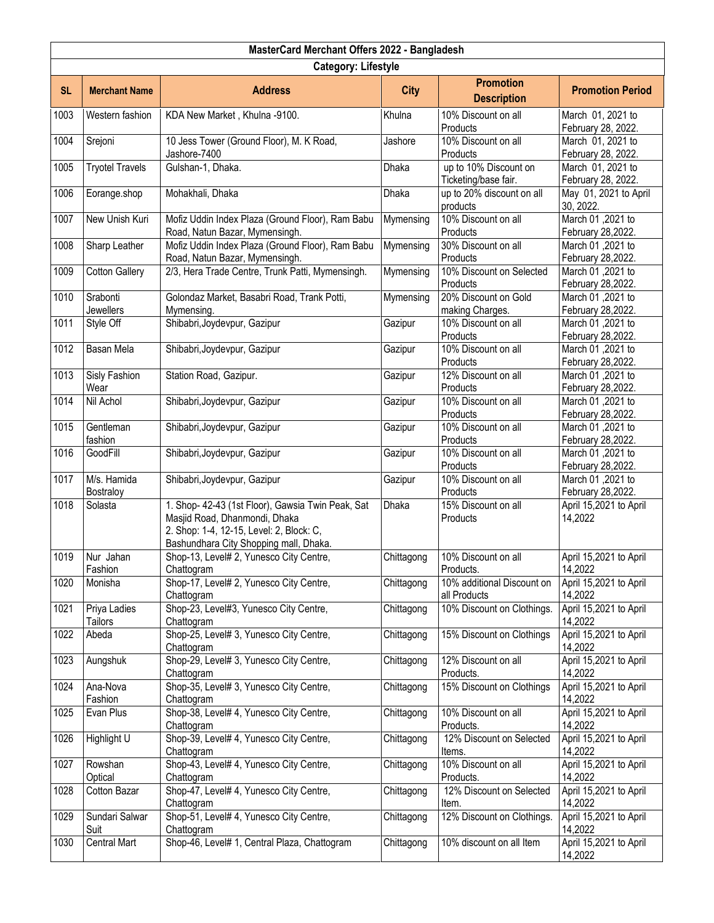| MasterCard Merchant Offers 2022 - Bangladesh |                                |                                                                                                                                                                          |             |                                               |                                         |  |
|----------------------------------------------|--------------------------------|--------------------------------------------------------------------------------------------------------------------------------------------------------------------------|-------------|-----------------------------------------------|-----------------------------------------|--|
| <b>Category: Lifestyle</b>                   |                                |                                                                                                                                                                          |             |                                               |                                         |  |
| <b>SL</b>                                    | <b>Merchant Name</b>           | <b>Address</b>                                                                                                                                                           | <b>City</b> | <b>Promotion</b><br><b>Description</b>        | <b>Promotion Period</b>                 |  |
| 1003                                         | Western fashion                | KDA New Market, Khulna -9100.                                                                                                                                            | Khulna      | 10% Discount on all<br>Products               | March 01, 2021 to<br>February 28, 2022. |  |
| 1004                                         | Srejoni                        | 10 Jess Tower (Ground Floor), M. K Road,<br>Jashore-7400                                                                                                                 | Jashore     | 10% Discount on all<br>Products               | March 01, 2021 to<br>February 28, 2022. |  |
| 1005                                         | <b>Tryotel Travels</b>         | Gulshan-1, Dhaka.                                                                                                                                                        | Dhaka       | up to 10% Discount on<br>Ticketing/base fair. | March 01, 2021 to<br>February 28, 2022. |  |
| 1006                                         | Eorange.shop                   | Mohakhali, Dhaka                                                                                                                                                         | Dhaka       | up to 20% discount on all<br>products         | May 01, 2021 to April<br>30, 2022.      |  |
| 1007                                         | New Unish Kuri                 | Mofiz Uddin Index Plaza (Ground Floor), Ram Babu<br>Road, Natun Bazar, Mymensingh.                                                                                       | Mymensing   | 10% Discount on all<br>Products               | March 01,2021 to<br>February 28,2022.   |  |
| 1008                                         | Sharp Leather                  | Mofiz Uddin Index Plaza (Ground Floor), Ram Babu<br>Road, Natun Bazar, Mymensingh.                                                                                       | Mymensing   | 30% Discount on all<br>Products               | March 01,2021 to<br>February 28,2022.   |  |
| 1009                                         | <b>Cotton Gallery</b>          | 2/3, Hera Trade Centre, Trunk Patti, Mymensingh.                                                                                                                         | Mymensing   | 10% Discount on Selected<br>Products          | March 01,2021 to<br>February 28,2022.   |  |
| 1010                                         | Srabonti<br><b>Jewellers</b>   | Golondaz Market, Basabri Road, Trank Potti,<br>Mymensing.                                                                                                                | Mymensing   | 20% Discount on Gold<br>making Charges.       | March 01,2021 to<br>February 28, 2022.  |  |
| 1011                                         | Style Off                      | Shibabri, Joydevpur, Gazipur                                                                                                                                             | Gazipur     | 10% Discount on all<br>Products               | March 01,2021 to<br>February 28,2022.   |  |
| $\frac{1012}{2}$                             | <b>Basan Mela</b>              | Shibabri, Joydevpur, Gazipur                                                                                                                                             | Gazipur     | 10% Discount on all<br>Products               | March 01,2021 to<br>February 28,2022.   |  |
| 1013                                         | Sisly Fashion<br>Wear          | Station Road, Gazipur.                                                                                                                                                   | Gazipur     | 12% Discount on all<br>Products               | March 01,2021 to<br>February 28,2022.   |  |
| 1014                                         | Nil Achol                      | Shibabri, Joydevpur, Gazipur                                                                                                                                             | Gazipur     | 10% Discount on all<br>Products               | March 01, 2021 to<br>February 28,2022.  |  |
| 1015                                         | Gentleman<br>fashion           | Shibabri, Joydevpur, Gazipur                                                                                                                                             | Gazipur     | 10% Discount on all<br>Products               | March 01,2021 to<br>February 28,2022.   |  |
| 1016                                         | GoodFill                       | Shibabri, Joydevpur, Gazipur                                                                                                                                             | Gazipur     | 10% Discount on all<br>Products               | March 01,2021 to<br>February 28,2022.   |  |
| 1017                                         | M/s. Hamida<br>Bostraloy       | Shibabri, Joydevpur, Gazipur                                                                                                                                             | Gazipur     | 10% Discount on all<br>Products               | March 01,2021 to<br>February 28,2022.   |  |
| 1018                                         | Solasta                        | 1. Shop- 42-43 (1st Floor), Gawsia Twin Peak, Sat<br>Masjid Road, Dhanmondi, Dhaka<br>2. Shop: 1-4, 12-15, Level: 2, Block: C,<br>Bashundhara City Shopping mall, Dhaka. | Dhaka       | 15% Discount on all<br>Products               | April 15,2021 to April<br>14,2022       |  |
| 1019                                         | Nur Jahan<br>Fashion           | Shop-13, Level# 2, Yunesco City Centre,<br>Chattogram                                                                                                                    | Chittagong  | 10% Discount on all<br>Products.              | April 15,2021 to April<br>14,2022       |  |
| 1020                                         | Monisha                        | Shop-17, Level# 2, Yunesco City Centre,<br>Chattogram                                                                                                                    | Chittagong  | 10% additional Discount on<br>all Products    | April 15,2021 to April<br>14,2022       |  |
| 1021                                         | Priya Ladies<br><b>Tailors</b> | Shop-23, Level#3, Yunesco City Centre,<br>Chattogram                                                                                                                     | Chittagong  | 10% Discount on Clothings.                    | April 15,2021 to April<br>14,2022       |  |
| 1022                                         | Abeda                          | Shop-25, Level# 3, Yunesco City Centre,<br>Chattogram                                                                                                                    | Chittagong  | 15% Discount on Clothings                     | April 15,2021 to April<br>14,2022       |  |
| 1023                                         | Aungshuk                       | Shop-29, Level# 3, Yunesco City Centre,<br>Chattogram                                                                                                                    | Chittagong  | 12% Discount on all<br>Products.              | April 15,2021 to April<br>14,2022       |  |
| 1024                                         | Ana-Nova<br>Fashion            | Shop-35, Level# 3, Yunesco City Centre,<br>Chattogram                                                                                                                    | Chittagong  | 15% Discount on Clothings                     | April 15,2021 to April<br>14,2022       |  |
| 1025                                         | Evan Plus                      | Shop-38, Level# 4, Yunesco City Centre,<br>Chattogram                                                                                                                    | Chittagong  | 10% Discount on all<br>Products.              | April 15,2021 to April<br>14,2022       |  |
| 1026                                         | Highlight U                    | Shop-39, Level# 4, Yunesco City Centre,<br>Chattogram                                                                                                                    | Chittagong  | 12% Discount on Selected<br>Items.            | April 15,2021 to April<br>14,2022       |  |
| 1027                                         | Rowshan<br>Optical             | Shop-43, Level# 4, Yunesco City Centre,<br>Chattogram                                                                                                                    | Chittagong  | 10% Discount on all<br>Products.              | April 15,2021 to April<br>14,2022       |  |
| 1028                                         | Cotton Bazar                   | Shop-47, Level# 4, Yunesco City Centre,<br>Chattogram                                                                                                                    | Chittagong  | 12% Discount on Selected<br>Item.             | April 15,2021 to April<br>14,2022       |  |
| 1029                                         | Sundari Salwar<br>Suit         | Shop-51, Level# 4, Yunesco City Centre,<br>Chattogram                                                                                                                    | Chittagong  | 12% Discount on Clothings.                    | April 15,2021 to April<br>14,2022       |  |
| 1030                                         | <b>Central Mart</b>            | Shop-46, Level# 1, Central Plaza, Chattogram                                                                                                                             | Chittagong  | 10% discount on all Item                      | April 15,2021 to April<br>14,2022       |  |